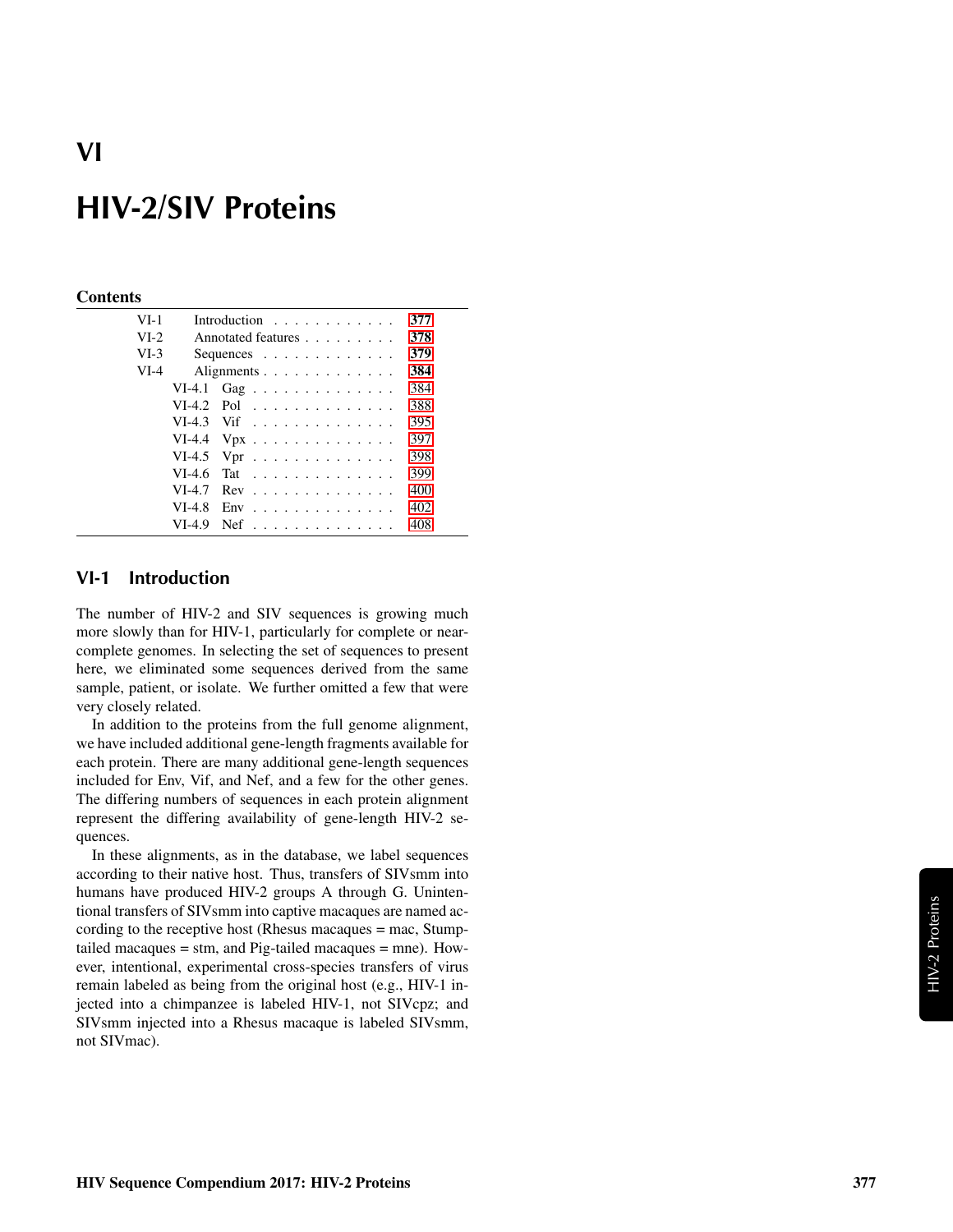# **VI**

# **HIV-2/SIV Proteins**

#### **Contents**

| $VI-1$ |          | Introduction $\ldots$ ,                       | 377 |
|--------|----------|-----------------------------------------------|-----|
| $VI-2$ |          | Annotated features                            | 378 |
| $VI-3$ |          | Sequences $\ldots$ $\ldots$ $\ldots$ $\ldots$ | 379 |
|        |          |                                               |     |
| $VI-4$ |          | Alignments                                    | 384 |
|        |          | VI-4.1 Gag                                    | 384 |
|        |          | $VI-4.2$ Pol                                  | 388 |
|        |          | $VI-4.3$ Vif                                  | 395 |
|        |          | VI-4.4 $Vpx$                                  | 397 |
|        |          | VI-4.5 Vpr $\dots \dots \dots \dots \dots$    | 398 |
|        | $VI-4.6$ | Tat                                           | 399 |
|        | $VI-4.7$ | $Rev \dots \dots \dots \dots \dots$           | 400 |
|        | $VI-4.8$ | $Env$                                         | 402 |
|        | $VI-4.9$ | $Nef$                                         | 408 |

## <span id="page-0-0"></span>**VI-1 Introduction**

The number of HIV-2 and SIV sequences is growing much more slowly than for HIV-1, particularly for complete or nearcomplete genomes. In selecting the set of sequences to present here, we eliminated some sequences derived from the same sample, patient, or isolate. We further omitted a few that were very closely related.

In addition to the proteins from the full genome alignment, we have included additional gene-length fragments available for each protein. There are many additional gene-length sequences included for Env, Vif, and Nef, and a few for the other genes. The differing numbers of sequences in each protein alignment represent the differing availability of gene-length HIV-2 sequences.

In these alignments, as in the database, we label sequences according to their native host. Thus, transfers of SIVsmm into humans have produced HIV-2 groups A through G. Unintentional transfers of SIVsmm into captive macaques are named according to the receptive host (Rhesus macaques = mac, Stumptailed macaques  $=$  stm, and Pig-tailed macaques  $=$  mne). However, intentional, experimental cross-species transfers of virus remain labeled as being from the original host (e.g., HIV-1 injected into a chimpanzee is labeled HIV-1, not SIVcpz; and SIVsmm injected into a Rhesus macaque is labeled SIVsmm, not SIVmac).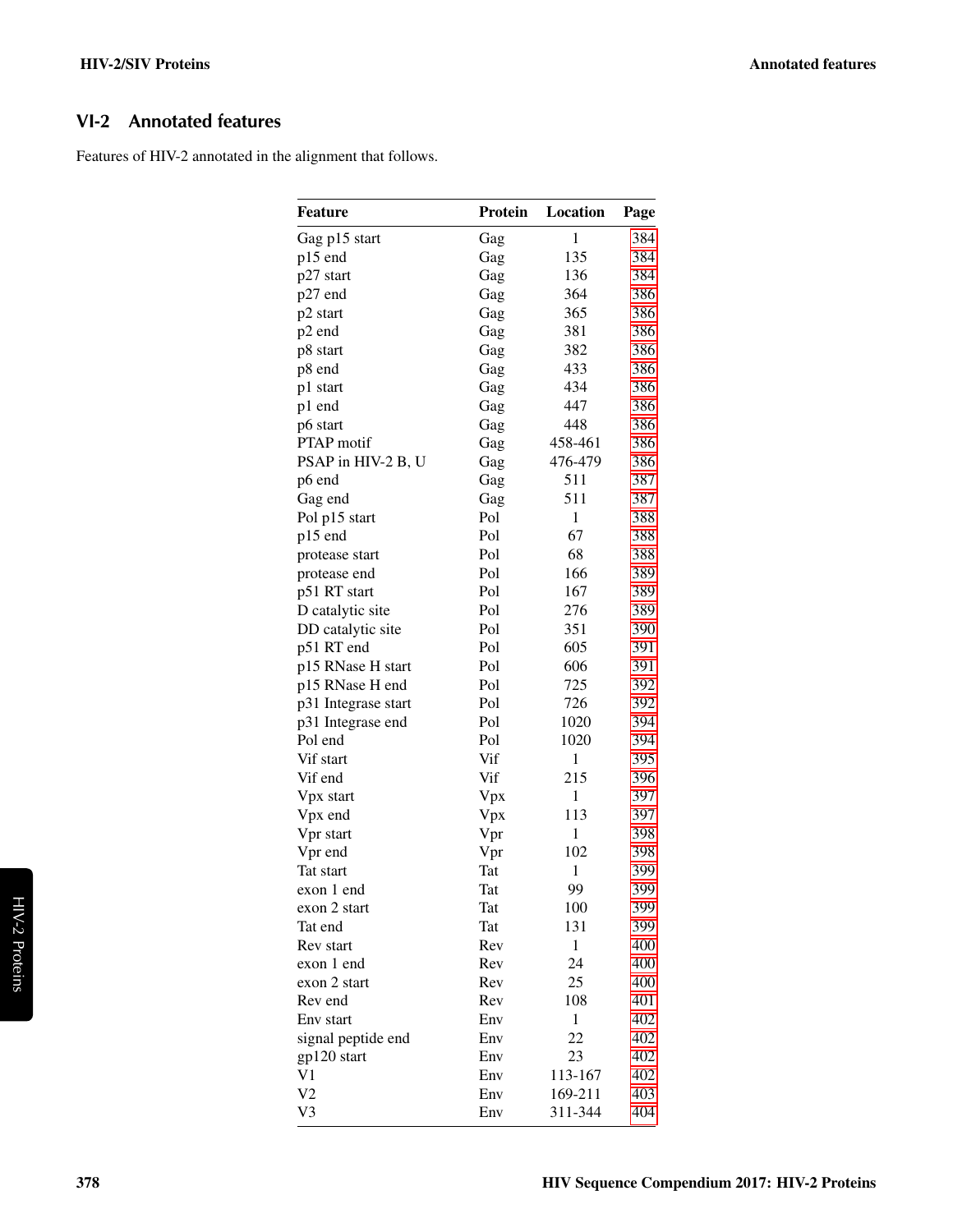## <span id="page-1-0"></span>**VI-2 Annotated features**

Features of HIV-2 annotated in the alignment that follows.

| <b>Feature</b>      | Protein | Location     | Page |
|---------------------|---------|--------------|------|
| Gag p15 start       | Gag     | $\mathbf{1}$ | 384  |
| p15 end             | Gag     | 135          | 384  |
| p27 start           | Gag     | 136          | 384  |
| p27 end             | Gag     | 364          | 386  |
| p2 start            | Gag     | 365          | 386  |
| p2 end              | Gag     | 381          | 386  |
| p8 start            | Gag     | 382          | 386  |
| p8 end              | Gag     | 433          | 386  |
| p1 start            | Gag     | 434          | 386  |
| p1 end              | Gag     | 447          | 386  |
| p6 start            | Gag     | 448          | 386  |
| PTAP motif          | Gag     | 458-461      | 386  |
| PSAP in HIV-2 B, U  | Gag     | 476-479      | 386  |
| p6 end              | Gag     | 511          | 387  |
| Gag end             | Gag     | 511          | 387  |
| Pol p15 start       | Pol     | $\mathbf{1}$ | 388  |
| p15 end             | Pol     | 67           | 388  |
| protease start      | Pol     | 68           | 388  |
| protease end        | Pol     | 166          | 389  |
| p51 RT start        | Pol     | 167          | 389  |
| D catalytic site    | Pol     | 276          | 389  |
| DD catalytic site   | Pol     | 351          | 390  |
| p51 RT end          | Pol     | 605          | 391  |
| p15 RNase H start   | Pol     | 606          | 391  |
| p15 RNase H end     | Pol     | 725          | 392  |
| p31 Integrase start | Pol     | 726          | 392  |
| p31 Integrase end   | Pol     | 1020         | 394  |
| Pol end             | Pol     | 1020         | 394  |
| Vif start           | Vif     | $\mathbf{1}$ | 395  |
| Vif end             | Vif     | 215          | 396  |
| Vpx start           | Vpx     | 1            | 397  |
| Vpx end             | Vpx     | 113          | 397  |
| Vpr start           | Vpr     | 1            | 398  |
| Vpr end             | Vpr     | 102          | 398  |
| Tat start           | Tat     | $\mathbf{1}$ | 399  |
| exon 1 end          | Tat     | 99           | 399  |
| exon 2 start        | Tat     | 100          | 399  |
| Tat end             | Tat     | 131          | 399  |
| Rev start           | Rev     | 1            | 400  |
| exon 1 end          | Rev     | 24           | 400  |
| exon 2 start        | Rev     | 25           | 400  |
| Rev end             | Rev     | 108          | 401  |
| Env start           | Env     | 1            | 402  |
| signal peptide end  | Env     | 22           | 402  |
| gp120 start         | Env     | 23           | 402  |
| V1                  | Env     | 113-167      | 402  |
| V <sub>2</sub>      | Env     | 169-211      |      |
|                     |         |              | 403  |
| V3                  | Env     | 311-344      | 404  |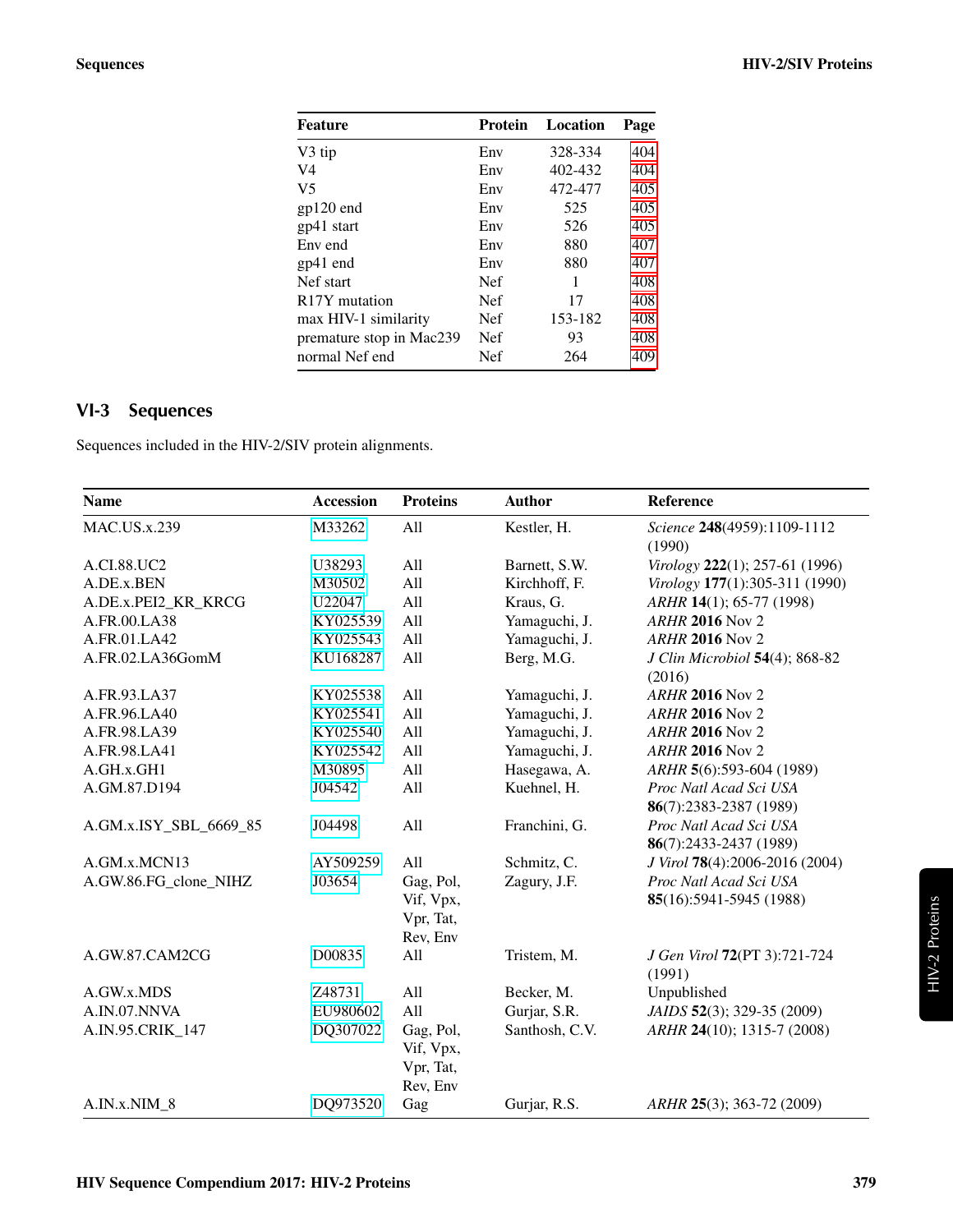| <b>Feature</b>             | <b>Protein</b> | Location | Page |
|----------------------------|----------------|----------|------|
| V3 tip                     | Env            | 328-334  | 404  |
| V4                         | Env            | 402-432  | 404  |
| V <sub>5</sub>             | Env            | 472-477  | 405  |
| $gp120$ end                | Env            | 525      | 405  |
| gp41 start                 | Env            | 526      | 405  |
| Env end                    | Env            | 880      | 407  |
| $gp41$ end                 | Env            | 880      | 407  |
| Nef start                  | <b>Nef</b>     | 1        | 408  |
| R <sub>17</sub> Y mutation | <b>Nef</b>     | 17       | 408  |
| max HIV-1 similarity       | <b>Nef</b>     | 153-182  | 408  |
| premature stop in Mac239   | <b>Nef</b>     | 93       | 408  |
| normal Nef end             | Nef            | 264      | 409  |
|                            |                |          |      |

# <span id="page-2-0"></span>**VI-3 Sequences**

Sequences included in the HIV-2/SIV protein alignments.

| <b>Name</b>            | <b>Accession</b> | <b>Proteins</b> | <b>Author</b>  | Reference                                |
|------------------------|------------------|-----------------|----------------|------------------------------------------|
| <b>MAC.US.x.239</b>    | M33262           | All             | Kestler, H.    | Science 248(4959):1109-1112<br>(1990)    |
| A.CI.88.UC2            | U38293           | All             | Barnett, S.W.  | Virology 222(1); 257-61 (1996)           |
| A.DE.x.BEN             | M30502           | All             | Kirchhoff, F.  | Virology 177(1):305-311 (1990)           |
| A.DE.x.PEI2_KR_KRCG    | U22047           | All             | Kraus, G.      | ARHR 14(1); 65-77 (1998)                 |
| A.FR.00.LA38           | KY025539         | All             | Yamaguchi, J.  | <b>ARHR 2016 Nov 2</b>                   |
| A.FR.01.LA42           | KY025543         | All             | Yamaguchi, J.  | <b>ARHR 2016 Nov 2</b>                   |
| A.FR.02.LA36GomM       | KU168287         | All             | Berg, M.G.     | J Clin Microbiol 54(4); 868-82<br>(2016) |
| A.FR.93.LA37           | KY025538         | All             | Yamaguchi, J.  | <b>ARHR 2016 Nov 2</b>                   |
| A.FR.96.LA40           | KY025541         | All             | Yamaguchi, J.  | <b>ARHR 2016 Nov 2</b>                   |
| A.FR.98.LA39           | KY025540         | All             | Yamaguchi, J.  | <b>ARHR 2016 Nov 2</b>                   |
| A.FR.98.LA41           | KY025542         | All             | Yamaguchi, J.  | <b>ARHR 2016 Nov 2</b>                   |
| A.GH.x.GH1             | M30895           | All             | Hasegawa, A.   | ARHR 5(6):593-604 (1989)                 |
| A.GM.87.D194           | J04542           | All             | Kuehnel, H.    | Proc Natl Acad Sci USA                   |
|                        |                  |                 |                | 86(7):2383-2387 (1989)                   |
| A.GM.x.ISY_SBL_6669_85 | J04498           | All             | Franchini, G.  | Proc Natl Acad Sci USA                   |
|                        |                  |                 |                | 86(7):2433-2437 (1989)                   |
| A.GM.x.MCN13           | AY509259         | All             | Schmitz, C.    | J Virol 78(4):2006-2016 (2004)           |
| A.GW.86.FG_clone_NIHZ  | J03654           | Gag, Pol,       | Zagury, J.F.   | Proc Natl Acad Sci USA                   |
|                        |                  | Vif, Vpx,       |                | 85(16):5941-5945 (1988)                  |
|                        |                  | Vpr, Tat,       |                |                                          |
|                        |                  | Rev, Env        |                |                                          |
| A.GW.87.CAM2CG         | D00835           | All             | Tristem, M.    | J Gen Virol 72(PT 3):721-724<br>(1991)   |
| A.GW.x.MDS             | Z48731           | All             | Becker, M.     | Unpublished                              |
| A.IN.07.NNVA           | EU980602         | All             | Gurjar, S.R.   | JAIDS 52(3); 329-35 (2009)               |
| A.IN.95.CRIK_147       | DQ307022         | Gag, Pol,       | Santhosh, C.V. | ARHR 24(10); 1315-7 (2008)               |
|                        |                  | Vif, Vpx,       |                |                                          |
|                        |                  | Vpr, Tat,       |                |                                          |
|                        |                  | Rev, Env        |                |                                          |
| A.IN.x.NIM 8           | DQ973520         | Gag             | Gurjar, R.S.   | ARHR 25(3); 363-72 (2009)                |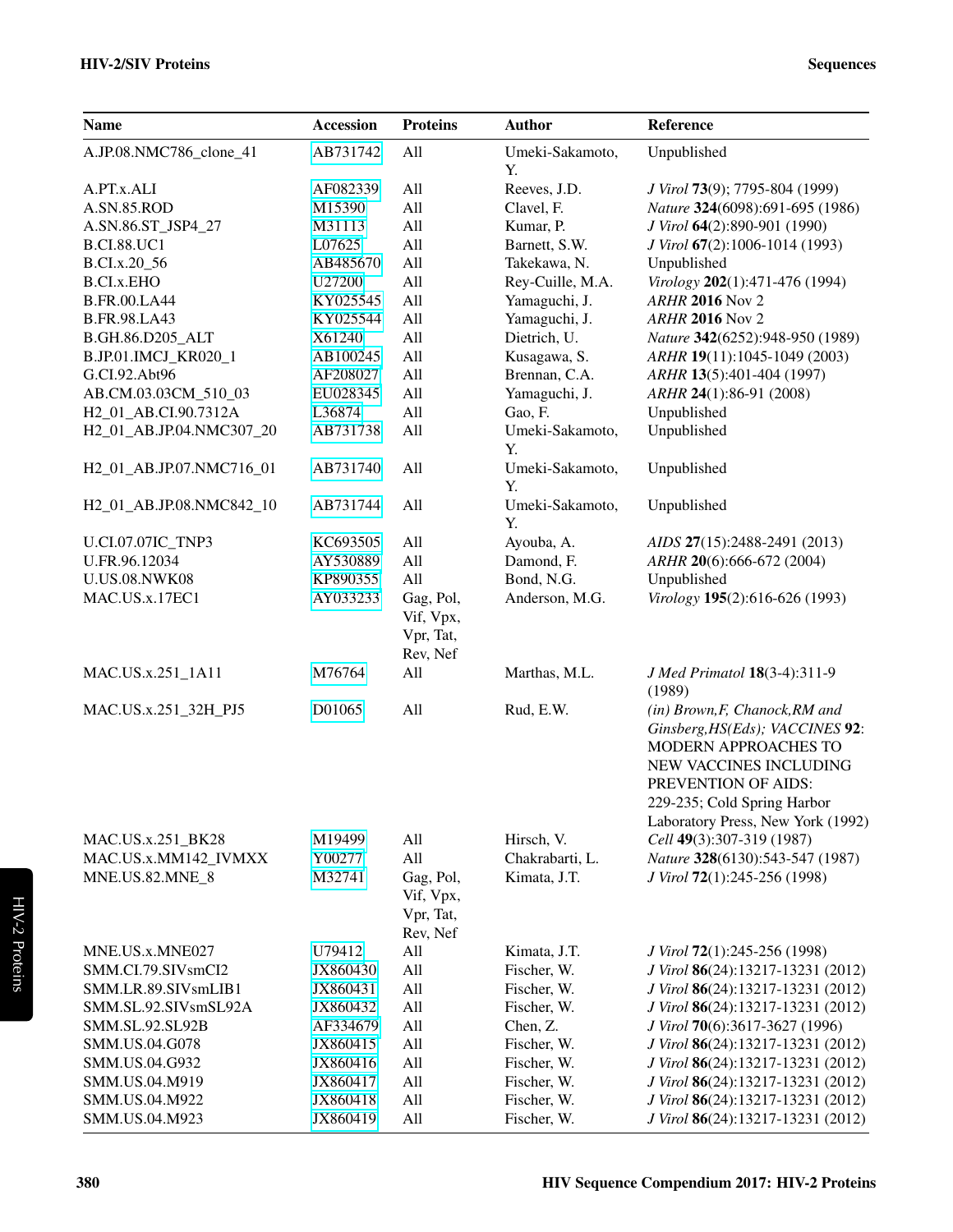| <b>Name</b>                             | <b>Accession</b> | <b>Proteins</b>                                        | <b>Author</b>                   | Reference                                                                                                                                                                                                      |
|-----------------------------------------|------------------|--------------------------------------------------------|---------------------------------|----------------------------------------------------------------------------------------------------------------------------------------------------------------------------------------------------------------|
| A.JP.08.NMC786_clone_41                 | AB731742         | All                                                    | Umeki-Sakamoto,<br>Y.           | Unpublished                                                                                                                                                                                                    |
| A.PT.x.ALI                              | AF082339         | All                                                    | Reeves, J.D.                    | J Virol 73(9); 7795-804 (1999)                                                                                                                                                                                 |
| A.SN.85.ROD                             | M15390           | All                                                    | Clavel, F.                      | Nature 324(6098):691-695 (1986)                                                                                                                                                                                |
| A.SN.86.ST_JSP4_27                      | M31113           | All                                                    | Kumar, P.                       | J Virol 64(2):890-901 (1990)                                                                                                                                                                                   |
| <b>B.CI.88.UC1</b>                      | L07625           | All                                                    | Barnett, S.W.                   | J Virol 67(2):1006-1014 (1993)                                                                                                                                                                                 |
| B.CI.x.20_56                            | AB485670         | All                                                    | Takekawa, N.                    | Unpublished                                                                                                                                                                                                    |
| <b>B.CI.x.EHO</b>                       | U27200           | All                                                    | Rey-Cuille, M.A.                | Virology 202(1):471-476 (1994)                                                                                                                                                                                 |
| <b>B.FR.00.LA44</b>                     | KY025545         | All                                                    | Yamaguchi, J.                   | <b>ARHR 2016 Nov 2</b>                                                                                                                                                                                         |
| <b>B.FR.98.LA43</b>                     | KY025544         | All                                                    | Yamaguchi, J.                   | <b>ARHR 2016 Nov 2</b>                                                                                                                                                                                         |
| B.GH.86.D205_ALT                        | X61240           | All                                                    | Dietrich, U.                    | Nature 342(6252):948-950 (1989)                                                                                                                                                                                |
| B.JP.01.IMCJ_KR020_1                    | AB100245         | All                                                    | Kusagawa, S.                    | ARHR 19(11):1045-1049 (2003)                                                                                                                                                                                   |
| G.CI.92.Abt96                           | AF208027         | All                                                    | Brennan, C.A.                   | ARHR 13(5):401-404 (1997)                                                                                                                                                                                      |
| AB.CM.03.03CM_510_03                    | EU028345         | All                                                    | Yamaguchi, J.                   | ARHR 24(1):86-91 (2008)                                                                                                                                                                                        |
| H <sub>2_01_AB</sub> .CI.90.7312A       | L36874           | All                                                    | Gao, F.                         | Unpublished                                                                                                                                                                                                    |
| H2_01_AB.JP.04.NMC307_20                | AB731738         | All                                                    | Umeki-Sakamoto,<br>Y.           | Unpublished                                                                                                                                                                                                    |
| H2_01_AB.JP.07.NMC716_01                | AB731740         | All                                                    | Umeki-Sakamoto,<br>Y.           | Unpublished                                                                                                                                                                                                    |
| H2 01 AB.JP.08.NMC842 10                | AB731744         | All                                                    | Umeki-Sakamoto,<br>Y.           | Unpublished                                                                                                                                                                                                    |
| <b>U.CI.07.07IC TNP3</b>                | KC693505         | All                                                    | Ayouba, A.                      | AIDS 27(15):2488-2491 (2013)                                                                                                                                                                                   |
| U.FR.96.12034                           | AY530889         | All                                                    | Damond, F.                      | ARHR 20(6):666-672 (2004)                                                                                                                                                                                      |
| <b>U.US.08.NWK08</b>                    | KP890355         | All                                                    | Bond, N.G.                      | Unpublished                                                                                                                                                                                                    |
| MAC.US.x.17EC1                          | AY033233         | Gag, Pol,<br>Vif, Vpx,<br>Vpr, Tat,                    | Anderson, M.G.                  | Virology 195(2):616-626 (1993)                                                                                                                                                                                 |
| MAC.US.x.251_1A11                       | M76764           | Rev, Nef<br>All                                        | Marthas, M.L.                   | J Med Primatol 18(3-4):311-9                                                                                                                                                                                   |
|                                         |                  |                                                        |                                 | (1989)                                                                                                                                                                                                         |
| MAC.US.x.251_32H_PJ5                    | D01065           | All                                                    | Rud, E.W.                       | (in) Brown, F, Chanock, RM and<br>Ginsberg, HS(Eds); VACCINES 92:<br>MODERN APPROACHES TO<br>NEW VACCINES INCLUDING<br>PREVENTION OF AIDS:<br>229-235; Cold Spring Harbor<br>Laboratory Press, New York (1992) |
| MAC.US.x.251_BK28                       | M19499           | All                                                    | Hirsch, V.                      | Cell 49(3):307-319 (1987)                                                                                                                                                                                      |
| MAC.US.x.MM142_IVMXX<br>MNE.US.82.MNE_8 | Y00277<br>M32741 | All<br>Gag, Pol,<br>Vif, Vpx,<br>Vpr, Tat,<br>Rev, Nef | Chakrabarti, L.<br>Kimata, J.T. | Nature 328(6130):543-547 (1987)<br>J Virol 72(1):245-256 (1998)                                                                                                                                                |
| MNE.US.x.MNE027                         | U79412           | All                                                    | Kimata, J.T.                    | J Virol 72(1):245-256 (1998)                                                                                                                                                                                   |
| SMM.CI.79.SIVsmCI2                      | JX860430         | All                                                    | Fischer, W.                     | J Virol 86(24):13217-13231 (2012)                                                                                                                                                                              |
| SMM.LR.89.SIVsmLIB1                     | JX860431         | All                                                    | Fischer, W.                     | J Virol 86(24):13217-13231 (2012)                                                                                                                                                                              |
| SMM.SL.92.SIVsmSL92A                    | JX860432         | All                                                    | Fischer, W.                     | J Virol 86(24):13217-13231 (2012)                                                                                                                                                                              |
| SMM.SL.92.SL92B                         | AF334679         | All                                                    | Chen, Z.                        | J Virol 70(6):3617-3627 (1996)                                                                                                                                                                                 |
| SMM.US.04.G078                          | JX860415         | All                                                    | Fischer, W.                     | J Virol 86(24):13217-13231 (2012)                                                                                                                                                                              |
| SMM.US.04.G932                          | JX860416         | All                                                    | Fischer, W.                     | J Virol 86(24):13217-13231 (2012)                                                                                                                                                                              |
| SMM.US.04.M919                          | JX860417         | All                                                    | Fischer, W.                     | J Virol 86(24):13217-13231 (2012)                                                                                                                                                                              |
| SMM.US.04.M922                          | JX860418         | All                                                    | Fischer, W.                     | J Virol 86(24):13217-13231 (2012)                                                                                                                                                                              |
| SMM.US.04.M923                          | JX860419         | All                                                    | Fischer, W.                     | J Virol 86(24):13217-13231 (2012)                                                                                                                                                                              |

380 HIV Sequence Compendium 2017: HIV-2 Proteins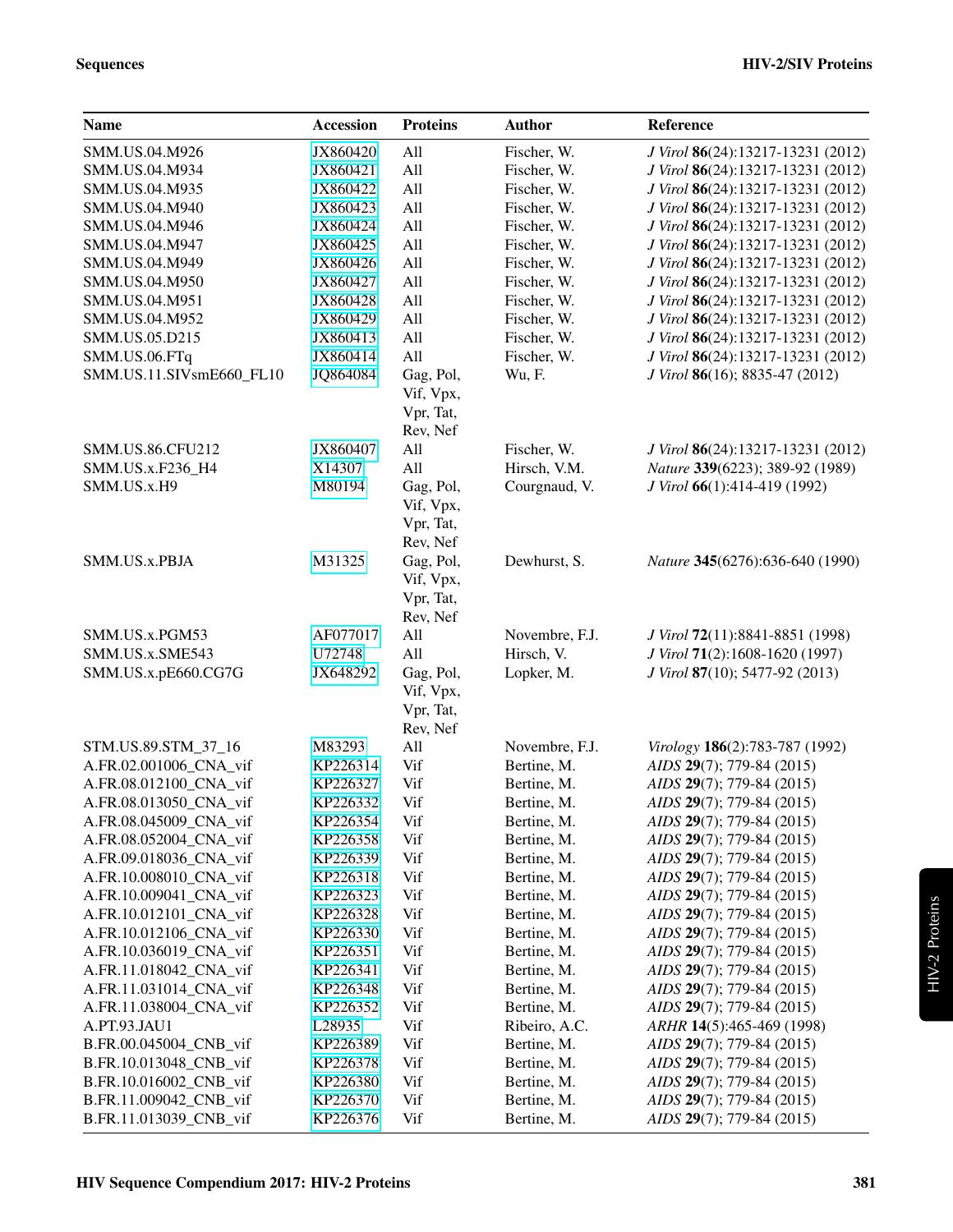| <b>Name</b>              | <b>Accession</b> | <b>Proteins</b>                                 | <b>Author</b>  | Reference                         |
|--------------------------|------------------|-------------------------------------------------|----------------|-----------------------------------|
| SMM.US.04.M926           | JX860420         | All                                             | Fischer, W.    | J Virol 86(24):13217-13231 (2012) |
| SMM.US.04.M934           | JX860421         | All                                             | Fischer, W.    | J Virol 86(24):13217-13231 (2012) |
| SMM.US.04.M935           | JX860422         | All                                             | Fischer, W.    | J Virol 86(24):13217-13231 (2012) |
| SMM.US.04.M940           | JX860423         | All                                             | Fischer, W.    | J Virol 86(24):13217-13231 (2012) |
| SMM.US.04.M946           | JX860424         | All                                             | Fischer, W.    | J Virol 86(24):13217-13231 (2012) |
| SMM.US.04.M947           | JX860425         | All                                             | Fischer, W.    | J Virol 86(24):13217-13231 (2012) |
| SMM.US.04.M949           | JX860426         | All                                             | Fischer, W.    | J Virol 86(24):13217-13231 (2012) |
| SMM.US.04.M950           | JX860427         | All                                             | Fischer, W.    | J Virol 86(24):13217-13231 (2012) |
| SMM.US.04.M951           | JX860428         | All                                             | Fischer, W.    | J Virol 86(24):13217-13231 (2012) |
| SMM.US.04.M952           | JX860429         | All                                             | Fischer, W.    | J Virol 86(24):13217-13231 (2012) |
| SMM.US.05.D215           | JX860413         | All                                             | Fischer, W.    | J Virol 86(24):13217-13231 (2012) |
| SMM.US.06.FTq            | JX860414         | All                                             | Fischer, W.    | J Virol 86(24):13217-13231 (2012) |
| SMM.US.11.SIVsmE660_FL10 | JQ864084         | Gag, Pol,<br>Vif, Vpx,<br>Vpr, Tat,<br>Rev, Nef | Wu, F.         | J Virol 86(16); 8835-47 (2012)    |
| SMM.US.86.CFU212         | JX860407         | All                                             | Fischer, W.    | J Virol 86(24):13217-13231 (2012) |
| SMM.US.x.F236_H4         | X14307           | All                                             | Hirsch, V.M.   | Nature 339(6223); 389-92 (1989)   |
| SMM.US.x.H9              | M80194           | Gag, Pol,<br>Vif, Vpx,<br>Vpr, Tat,<br>Rev, Nef | Courgnaud, V.  | J Virol 66(1):414-419 (1992)      |
| SMM.US.x.PBJA            | M31325           | Gag, Pol,<br>Vif, Vpx,<br>Vpr, Tat,<br>Rev, Nef | Dewhurst, S.   | Nature 345(6276):636-640 (1990)   |
| SMM.US.x.PGM53           | AF077017         | All                                             | Novembre, F.J. | J Virol 72(11):8841-8851 (1998)   |
| SMM.US.x.SME543          | U72748           | All                                             | Hirsch, V.     | J Virol 71(2):1608-1620 (1997)    |
| SMM.US.x.pE660.CG7G      | JX648292         | Gag, Pol,<br>Vif, Vpx,<br>Vpr, Tat,<br>Rev, Nef | Lopker, M.     | J Virol 87(10); 5477-92 (2013)    |
| STM.US.89.STM_37_16      | M83293           | All                                             | Novembre, F.J. | Virology 186(2):783-787 (1992)    |
| A.FR.02.001006_CNA_vif   | KP226314         | Vif                                             | Bertine, M.    | AIDS 29(7); 779-84 (2015)         |
| A.FR.08.012100_CNA_vif   | KP226327         | Vif                                             | Bertine, M.    | AIDS 29(7); 779-84 (2015)         |
| A.FR.08.013050_CNA_vif   | KP226332         | Vif                                             | Bertine, M.    | AIDS 29(7); 779-84 (2015)         |
| A.FR.08.045009_CNA_vif   | KP226354         | Vif                                             | Bertine, M.    | AIDS 29(7); 779-84 (2015)         |
| A.FR.08.052004_CNA_vif   | KP226358         | Vif                                             | Bertine, M.    | AIDS 29(7); 779-84 (2015)         |
| A.FR.09.018036_CNA_vif   | KP226339         | Vif                                             | Bertine, M.    | AIDS 29(7); 779-84 (2015)         |
| A.FR.10.008010_CNA_vif   | KP226318         | Vif                                             | Bertine, M.    | AIDS 29(7); 779-84 (2015)         |
| A.FR.10.009041_CNA_vif   | KP226323         | Vif                                             | Bertine, M.    | AIDS 29(7); 779-84 (2015)         |
| A.FR.10.012101_CNA_vif   | KP226328         | Vif                                             | Bertine, M.    | AIDS 29(7); 779-84 (2015)         |
| A.FR.10.012106_CNA_vif   | KP226330         | Vif                                             | Bertine, M.    | AIDS 29(7); 779-84 (2015)         |
| A.FR.10.036019_CNA_vif   | KP226351         | Vif                                             | Bertine, M.    | AIDS 29(7); 779-84 (2015)         |
| A.FR.11.018042_CNA_vif   | KP226341         | Vif                                             | Bertine, M.    | AIDS 29(7); 779-84 (2015)         |
| A.FR.11.031014_CNA_vif   | KP226348         | Vif                                             | Bertine, M.    | AIDS 29(7); 779-84 (2015)         |
| A.FR.11.038004_CNA_vif   | KP226352         | Vif                                             | Bertine, M.    | AIDS 29(7); 779-84 (2015)         |
| A.PT.93.JAU1             | L28935           | Vif                                             | Ribeiro, A.C.  | ARHR 14(5):465-469 (1998)         |
| B.FR.00.045004_CNB_vif   | KP226389         | Vif                                             | Bertine, M.    | AIDS 29(7); 779-84 (2015)         |
| B.FR.10.013048_CNB_vif   | KP226378         | Vif                                             | Bertine, M.    | AIDS 29(7); 779-84 (2015)         |
| B.FR.10.016002_CNB_vif   | KP226380         | Vif                                             | Bertine, M.    | AIDS 29(7); 779-84 (2015)         |
| B.FR.11.009042_CNB_vif   | KP226370         | Vif                                             | Bertine, M.    | AIDS 29(7); 779-84 (2015)         |
| B.FR.11.013039_CNB_vif   | KP226376         | Vif                                             | Bertine, M.    | AIDS 29(7); 779-84 (2015)         |

HIV-2 Proteins

HIV-2 Proteins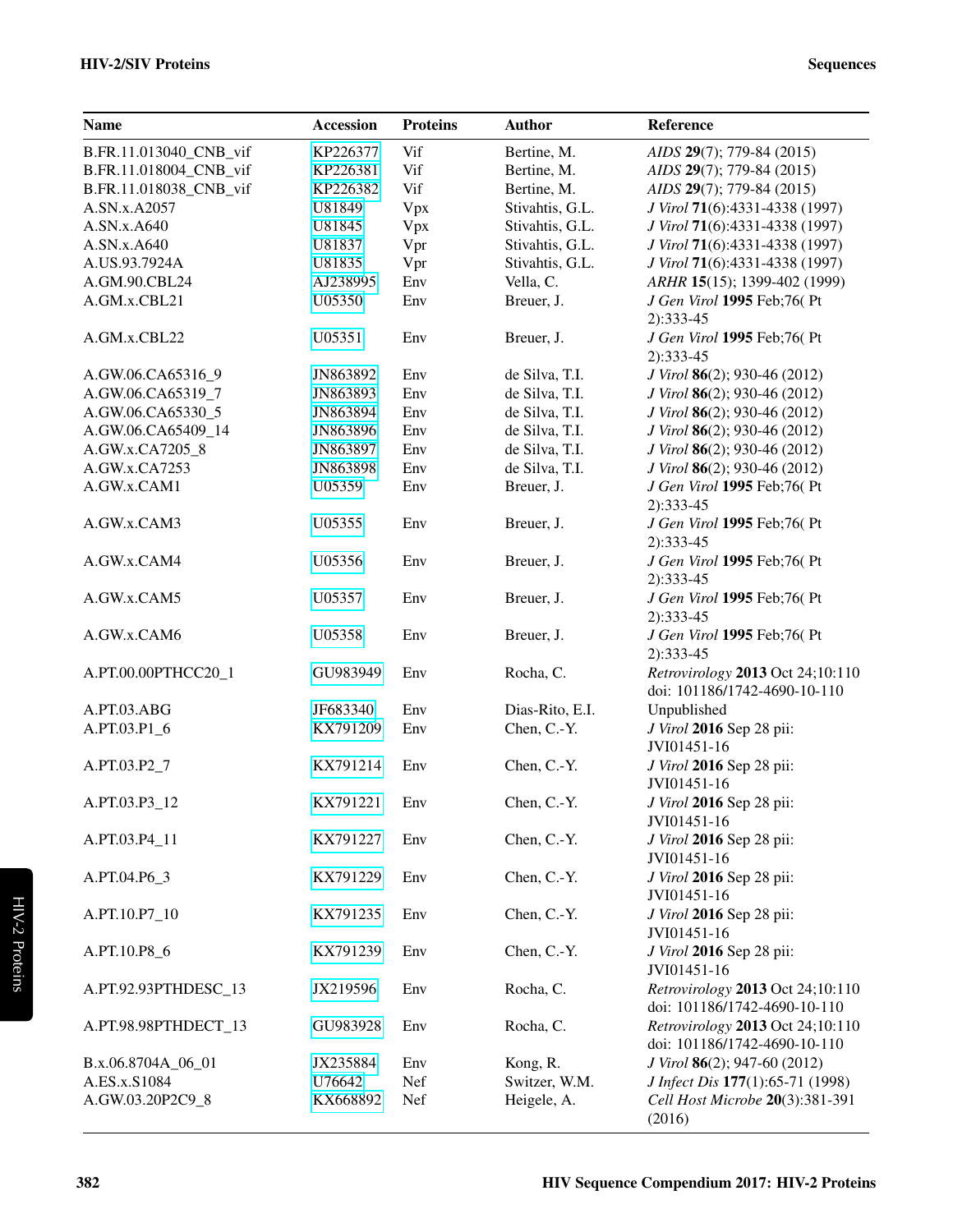### HIV-2/SIV Proteins Sequences

| <b>Name</b>            | Accession | <b>Proteins</b> | <b>Author</b>   | Reference                                                        |
|------------------------|-----------|-----------------|-----------------|------------------------------------------------------------------|
| B.FR.11.013040_CNB_vif | KP226377  | Vif             | Bertine, M.     | AIDS 29(7); 779-84 (2015)                                        |
| B.FR.11.018004_CNB_vif | KP226381  | Vif             | Bertine, M.     | AIDS 29(7); 779-84 (2015)                                        |
| B.FR.11.018038_CNB_vif | KP226382  | Vif             | Bertine, M.     | AIDS 29(7); 779-84 (2015)                                        |
| A.SN.x.A2057           | U81849    | Vpx             | Stivahtis, G.L. | J Virol 71(6):4331-4338 (1997)                                   |
| A.SN.x.A640            | U81845    | Vpx             | Stivahtis, G.L. | J Virol 71(6):4331-4338 (1997)                                   |
| A.SN.x.A640            | U81837    | Vpr             | Stivahtis, G.L. | J Virol 71(6):4331-4338 (1997)                                   |
| A.US.93.7924A          | U81835    | Vpr             | Stivahtis, G.L. | J Virol 71(6):4331-4338 (1997)                                   |
| A.GM.90.CBL24          | AJ238995  | Env             | Vella, C.       | ARHR 15(15); 1399-402 (1999)                                     |
| A.GM.x.CBL21           | U05350    | Env             | Breuer, J.      | J Gen Virol 1995 Feb;76(Pt<br>$2):333-45$                        |
| A.GM.x.CBL22           | U05351    | Env             | Breuer, J.      | J Gen Virol 1995 Feb;76(Pt<br>$2):333-45$                        |
| A.GW.06.CA65316_9      | JN863892  | Env             | de Silva, T.I.  | J Virol 86(2); 930-46 (2012)                                     |
| A.GW.06.CA65319_7      | JN863893  | Env             | de Silva, T.I.  | J Virol 86(2); 930-46 (2012)                                     |
| A.GW.06.CA65330_5      | JN863894  | Env             | de Silva, T.I.  | J Virol 86(2); 930-46 (2012)                                     |
| A.GW.06.CA65409 14     | JN863896  | Env             | de Silva, T.I.  | J Virol 86(2); 930-46 (2012)                                     |
| A.GW.x.CA7205_8        | JN863897  | Env             | de Silva, T.I.  | J Virol 86(2); 930-46 (2012)                                     |
| A.GW.x.CA7253          | JN863898  | Env             | de Silva, T.I.  | J Virol 86(2); 930-46 (2012)                                     |
| A.GW.x.CAM1            | U05359    | Env             | Breuer, J.      | J Gen Virol 1995 Feb;76(Pt<br>$2):333-45$                        |
| A.GW.x.CAM3            | U05355    | Env             | Breuer, J.      | J Gen Virol 1995 Feb;76(Pt<br>$2):333-45$                        |
| A.GW.x.CAM4            | U05356    | Env             | Breuer, J.      | J Gen Virol 1995 Feb;76(Pt<br>$2):333-45$                        |
| A.GW.x.CAM5            | U05357    | Env             | Breuer, J.      | J Gen Virol 1995 Feb;76(Pt<br>$2):333-45$                        |
| A.GW.x.CAM6            | U05358    | Env             | Breuer, J.      | J Gen Virol 1995 Feb;76(Pt<br>$2):333-45$                        |
| A.PT.00.00PTHCC20_1    | GU983949  | Env             | Rocha, C.       | Retrovirology 2013 Oct 24;10:110<br>doi: 101186/1742-4690-10-110 |
| A.PT.03.ABG            | JF683340  | Env             | Dias-Rito, E.I. | Unpublished                                                      |
| A.PT.03.P1 6           | KX791209  | Env             | Chen, C.-Y.     | J Virol 2016 Sep 28 pii:<br>JVI01451-16                          |
| A.PT.03.P2_7           | KX791214  | Env             | Chen, C.-Y.     | J Virol 2016 Sep 28 pii:                                         |
|                        |           |                 |                 | JVI01451-16                                                      |
| A.PT.03.P3_12          | KX791221  | Env             | Chen, C.-Y.     | J Virol 2016 Sep 28 pii:<br>JVI01451-16                          |
| A.PT.03.P4_11          | KX791227  | Env             | Chen, C.-Y.     | J Virol 2016 Sep 28 pii:<br>JVI01451-16                          |
| A.PT.04.P6_3           | KX791229  | Env             | Chen, C.-Y.     | J Virol 2016 Sep 28 pii:<br>JVI01451-16                          |
| A.PT.10.P7_10          | KX791235  | Env             | Chen, C.-Y.     | J Virol 2016 Sep 28 pii:<br>JVI01451-16                          |
| A.PT.10.P8_6           | KX791239  | Env             | Chen, C.-Y.     | J Virol 2016 Sep 28 pii:<br>JVI01451-16                          |
| A.PT.92.93PTHDESC_13   | JX219596  | Env             | Rocha, C.       | Retrovirology 2013 Oct 24;10:110<br>doi: 101186/1742-4690-10-110 |
| A.PT.98.98PTHDECT_13   | GU983928  | Env             | Rocha, C.       | Retrovirology 2013 Oct 24;10:110<br>doi: 101186/1742-4690-10-110 |
| B.x.06.8704A_06_01     | JX235884  | Env             | Kong, R.        | J Virol 86(2); 947-60 (2012)                                     |
| A.ES.x.S1084           | U76642    | Nef             | Switzer, W.M.   | J Infect Dis 177(1):65-71 (1998)                                 |
| A.GW.03.20P2C9_8       | KX668892  | Nef             | Heigele, A.     | Cell Host Microbe 20(3):381-391                                  |
|                        |           |                 |                 | (2016)                                                           |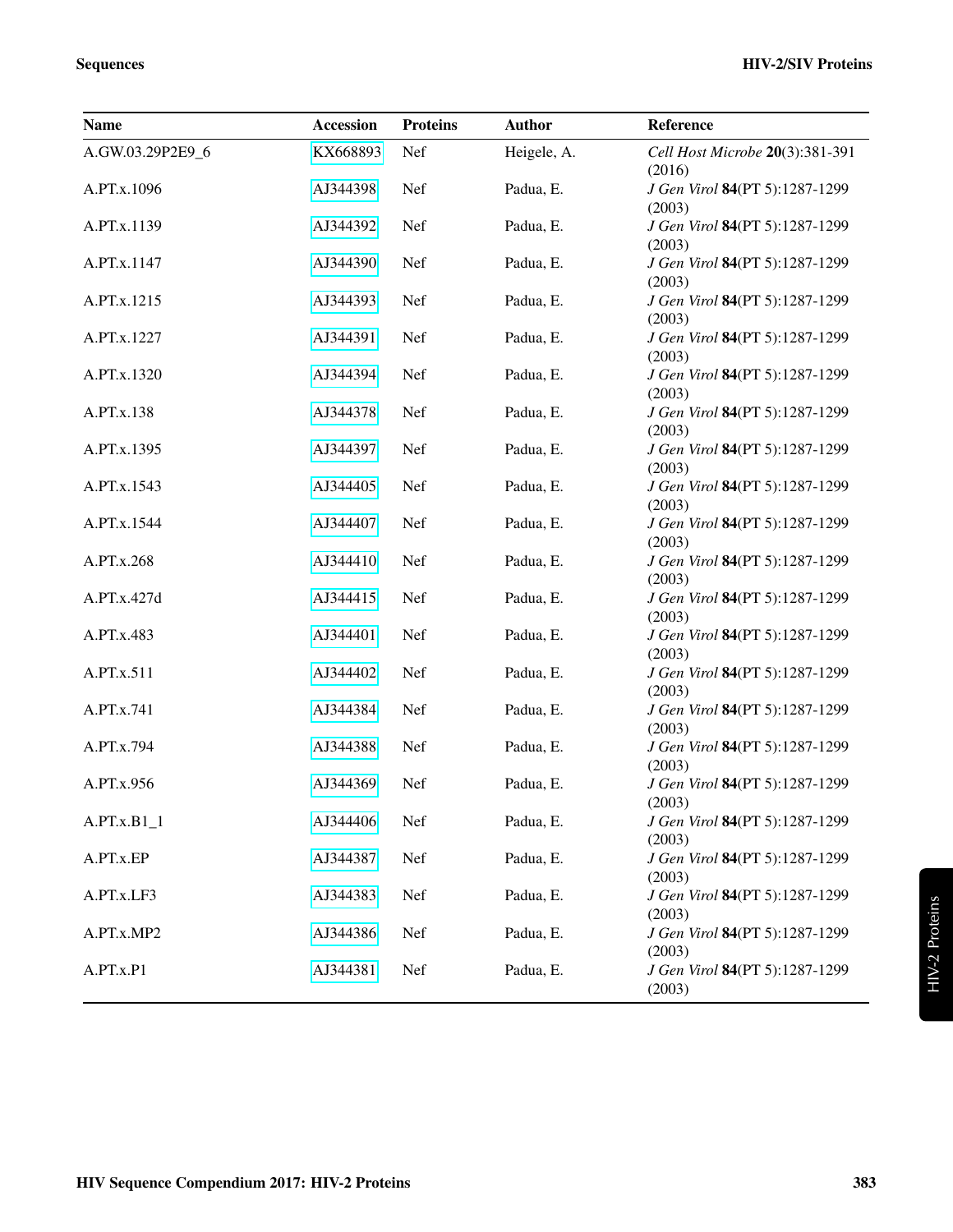| <b>Name</b>      | <b>Accession</b> | <b>Proteins</b> | <b>Author</b> | Reference                                          |
|------------------|------------------|-----------------|---------------|----------------------------------------------------|
| A.GW.03.29P2E9_6 | KX668893         | Nef             | Heigele, A.   | Cell Host Microbe 20(3):381-391<br>(2016)          |
| A.PT.x.1096      | AJ344398         | Nef             | Padua, E.     | J Gen Virol 84(PT 5):1287-1299<br>(2003)           |
| A.PT.x.1139      | AJ344392         | Nef             | Padua, E.     | J Gen Virol 84(PT 5):1287-1299<br>(2003)           |
| A.PT.x.1147      | AJ344390         | Nef             | Padua, E.     | J Gen Virol 84(PT 5):1287-1299<br>(2003)           |
| A.PT.x.1215      | AJ344393         | Nef             | Padua, E.     | J Gen Virol 84(PT 5):1287-1299<br>(2003)           |
| A.PT.x.1227      | AJ344391         | Nef             | Padua, E.     | J Gen Virol 84(PT 5):1287-1299<br>(2003)           |
| A.PT.x.1320      | AJ344394         | Nef             | Padua, E.     | J Gen Virol 84(PT 5):1287-1299<br>(2003)           |
| A.PT.x.138       | AJ344378         | Nef             | Padua, E.     | J Gen Virol 84(PT 5):1287-1299<br>(2003)           |
| A.PT.x.1395      | AJ344397         | Nef             | Padua, E.     | J Gen Virol 84(PT 5):1287-1299<br>(2003)           |
| A.PT.x.1543      | AJ344405         | Nef             | Padua, E.     | J Gen Virol 84(PT 5):1287-1299<br>(2003)           |
| A.PT.x.1544      | AJ344407         | Nef             | Padua, E.     | J Gen Virol 84(PT 5):1287-1299<br>(2003)           |
| A.PT.x.268       | AJ344410         | Nef             | Padua, E.     | J Gen Virol 84(PT 5):1287-1299<br>(2003)           |
| A.PT.x.427d      | AJ344415         | Nef             | Padua, E.     | J Gen Virol 84(PT 5):1287-1299<br>(2003)           |
| A.PT.x.483       | AJ344401         | Nef             | Padua, E.     | J Gen Virol 84(PT 5):1287-1299<br>(2003)           |
| A.PT.x.511       | AJ344402         | Nef             | Padua, E.     | J Gen Virol 84(PT 5):1287-1299<br>(2003)           |
| A.PT.x.741       | AJ344384         | Nef             | Padua, E.     | J Gen Virol 84(PT 5):1287-1299<br>(2003)           |
| A.PT.x.794       | AJ344388         | Nef             | Padua, E.     | J Gen Virol 84(PT 5):1287-1299<br>(2003)           |
| A.PT.x.956       | AJ344369         | Nef             | Padua, E.     | J Gen Virol 84(PT 5):1287-1299<br>(2003)           |
| $A.PT.x.B1_1$    | AJ344406         | Nef             | Padua, E.     | J Gen Virol 84(PT 5):1287-1299<br>(2003)           |
| A.PT.x.EP        | AJ344387         | Nef             | Padua, E.     | J Gen Virol 84(PT 5):1287-1299<br>(2003)           |
| A.PT.x.LF3       | AJ344383         | Nef             | Padua, E.     | J Gen Virol 84(PT 5):1287-1299                     |
| A.PT.x.MP2       | AJ344386         | Nef             | Padua, E.     | (2003)<br>J Gen Virol 84(PT 5):1287-1299<br>(2003) |
| A.PT.x.P1        | AJ344381         | Nef             | Padua, E.     | J Gen Virol 84(PT 5):1287-1299<br>(2003)           |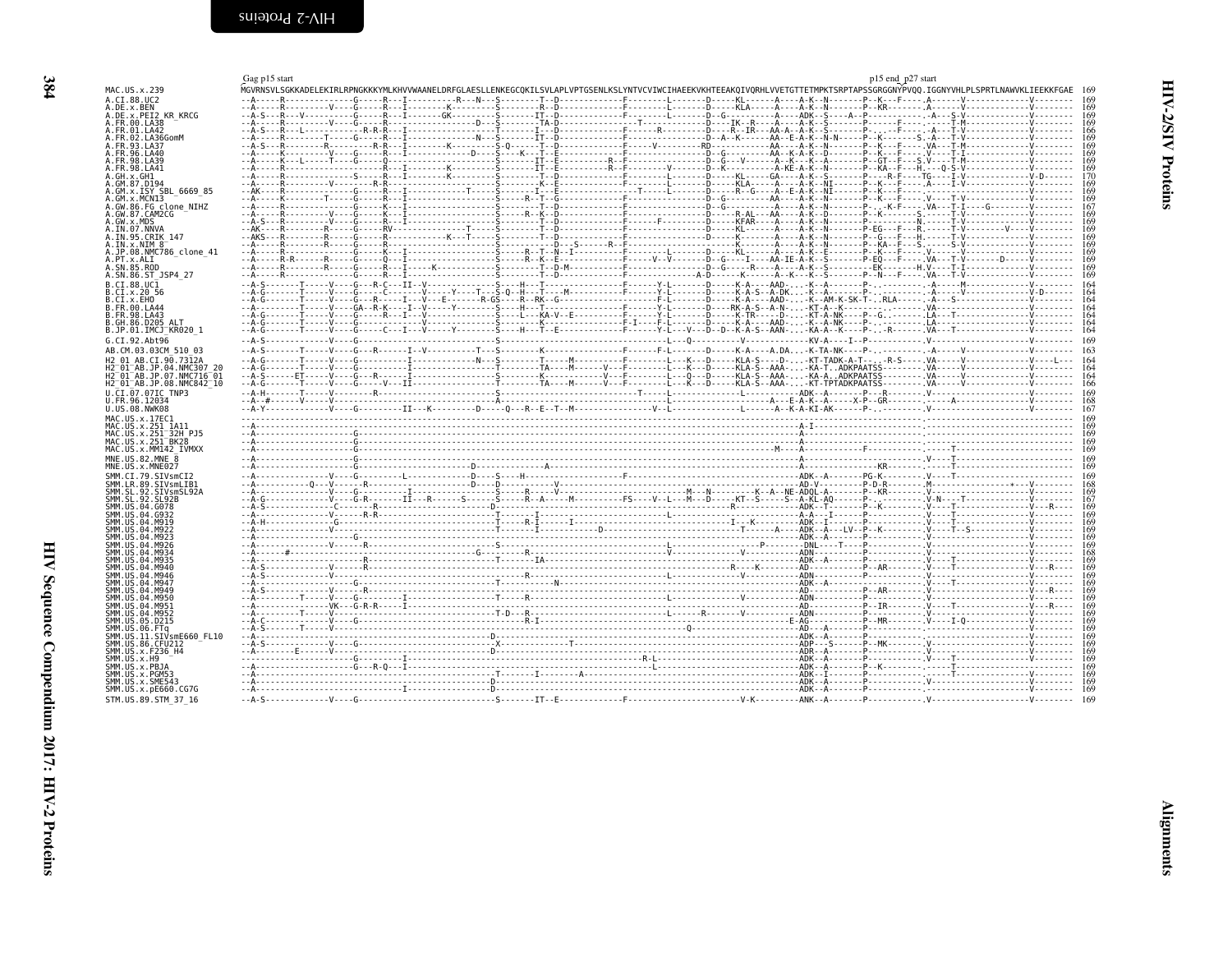<span id="page-7-2"></span><span id="page-7-1"></span><span id="page-7-0"></span>

|                                                                 | Gag p15 start                                                                                                                                                                  | p15 end_p27 start |
|-----------------------------------------------------------------|--------------------------------------------------------------------------------------------------------------------------------------------------------------------------------|-------------------|
| MAC.US.x.239                                                    | MGVRNSVLSGKKADELEKTRLRPNGKKKYMLKHVVWAANELDRFGLAESLLENKEGCOKTLSVLAPLVPTGSENLKSLYNTVCVIWCIHAEEKVKHTEEAKOIVORHLVVETGTTETMPKTSRPTAPSSGRGGNYPVOO.IGGNYVHLPLSPRTLNAWVKLIEEKKFGAE 169 |                   |
| A.CI.88.UC2<br>A.DE.x.BEN                                       |                                                                                                                                                                                |                   |
| A.DE.x.PEI2 KR KRCG                                             |                                                                                                                                                                                |                   |
| A.FR.00.LA38<br>A.FR.01.LA42                                    |                                                                                                                                                                                |                   |
| A.FR.02.LA36GomM                                                |                                                                                                                                                                                |                   |
| A.FR.93.LA37<br>A.FR.96.LA40                                    |                                                                                                                                                                                |                   |
| A.FR.98.LA39                                                    |                                                                                                                                                                                |                   |
| A FR 98 1 A 41                                                  |                                                                                                                                                                                |                   |
| A.GM.87.D194                                                    |                                                                                                                                                                                |                   |
| A.GM.x.ISY SBL 6669 85                                          |                                                                                                                                                                                |                   |
| A.GM.x.MCNI3<br>A.GW.86.FG clone NIHZ                           |                                                                                                                                                                                |                   |
| A.GW.87.CAM2CG                                                  |                                                                                                                                                                                |                   |
| A.GW.x.MDS<br>A.IN.07.NNVA                                      |                                                                                                                                                                                |                   |
| A.IN.95.CRIK 147                                                |                                                                                                                                                                                |                   |
| $A. IN. \times . NIM 8^-$<br>A.JP.08.NMC786 clone 41            |                                                                                                                                                                                |                   |
| A.PT.x.ALI                                                      |                                                                                                                                                                                |                   |
| A.SN.85.ROD<br>A.SN.86.ST JSP4 27                               |                                                                                                                                                                                |                   |
| B.CI.88.UC1                                                     |                                                                                                                                                                                |                   |
| B.CI.X.20 56                                                    |                                                                                                                                                                                |                   |
| B.CI.X.EHO<br>B.FR.00.LA44                                      |                                                                                                                                                                                |                   |
| B. FR. 98. LA43                                                 |                                                                                                                                                                                |                   |
| B.GH.86.D205 ALT<br>B.JP.01.IMCJ KR020 1                        |                                                                                                                                                                                |                   |
| G.CI.92.Abt96                                                   |                                                                                                                                                                                |                   |
| AB.CM.03.03CM 510 03                                            |                                                                                                                                                                                |                   |
| H2 01 AB.CI.90.7312A<br>H2 01 AB.JP.04.NMC307 20                |                                                                                                                                                                                |                   |
| H2 <sup>-</sup> 01 <sup>-</sup> AB.JP.07.NMC716 <sup>-</sup> 01 |                                                                                                                                                                                |                   |
| H2 <sup>-</sup> 01 <sup>-</sup> AB.JP.08.NMC842 <sup>-</sup> 10 |                                                                                                                                                                                |                   |
| U.CI.07.07IC TNP3<br>U.FR.96.12034                              |                                                                                                                                                                                |                   |
| U.US.08.NWK08                                                   |                                                                                                                                                                                |                   |
| MAC.US.x.17EC1<br>MAC.US.x.251 1A11                             |                                                                                                                                                                                |                   |
| MAC.US.x.251 32H PJ5                                            |                                                                                                                                                                                |                   |
| MAC.US.x.251 BK28<br>MAC.US.x.MM142 IVMXX                       |                                                                                                                                                                                |                   |
| MNE.US.82.MNE 8                                                 |                                                                                                                                                                                |                   |
| MNE.US.x.MNE027                                                 |                                                                                                                                                                                |                   |
| SMM.CI.79.SIVsmCI2<br>SMM.LR.89.SIVsmLIB1                       |                                                                                                                                                                                |                   |
| SMM.SL.92.SIVsmSL92A                                            |                                                                                                                                                                                |                   |
| SMM.SL.92.SL92B<br>SMM.US.04.G078                               |                                                                                                                                                                                |                   |
| SMM.US.04.G932<br>SMM IIS A4 MQ10                               |                                                                                                                                                                                |                   |
| SMM IIS 04 M922                                                 |                                                                                                                                                                                |                   |
| SMM.US.04.M923<br>SMM IIS 04 M926                               |                                                                                                                                                                                |                   |
| SMM US 04 M934                                                  |                                                                                                                                                                                |                   |
| SMM US 04 M935<br>SMM.US.04.M940                                |                                                                                                                                                                                |                   |
| SMM.US.04.M946                                                  |                                                                                                                                                                                |                   |
| SMM.US.04.M947<br>SMM IIS 04 M949                               |                                                                                                                                                                                |                   |
| SMM.US.04.M950                                                  |                                                                                                                                                                                |                   |
| SMM IIS 04 M951<br>SMM.US.04.M952                               |                                                                                                                                                                                | 169               |
| SMM.US.05.D215                                                  |                                                                                                                                                                                |                   |
| SMM.US.06.FTa<br>SMM.US.11.SIVsmE660 FL10                       |                                                                                                                                                                                |                   |
| SMM.US.86.CFU212                                                |                                                                                                                                                                                |                   |
| SMM. US. x. F236 H4<br>SMM.US.x.H9                              |                                                                                                                                                                                |                   |
| SMM.US.x.PBJA                                                   |                                                                                                                                                                                |                   |
| SMM.US.x.PGM53<br>SMM.US.x.SME543                               |                                                                                                                                                                                | 169               |
| SMM.US.x.pE660.CG7G                                             |                                                                                                                                                                                |                   |
| STM.US.89.STM 37 16                                             |                                                                                                                                                                                |                   |

**Alignments**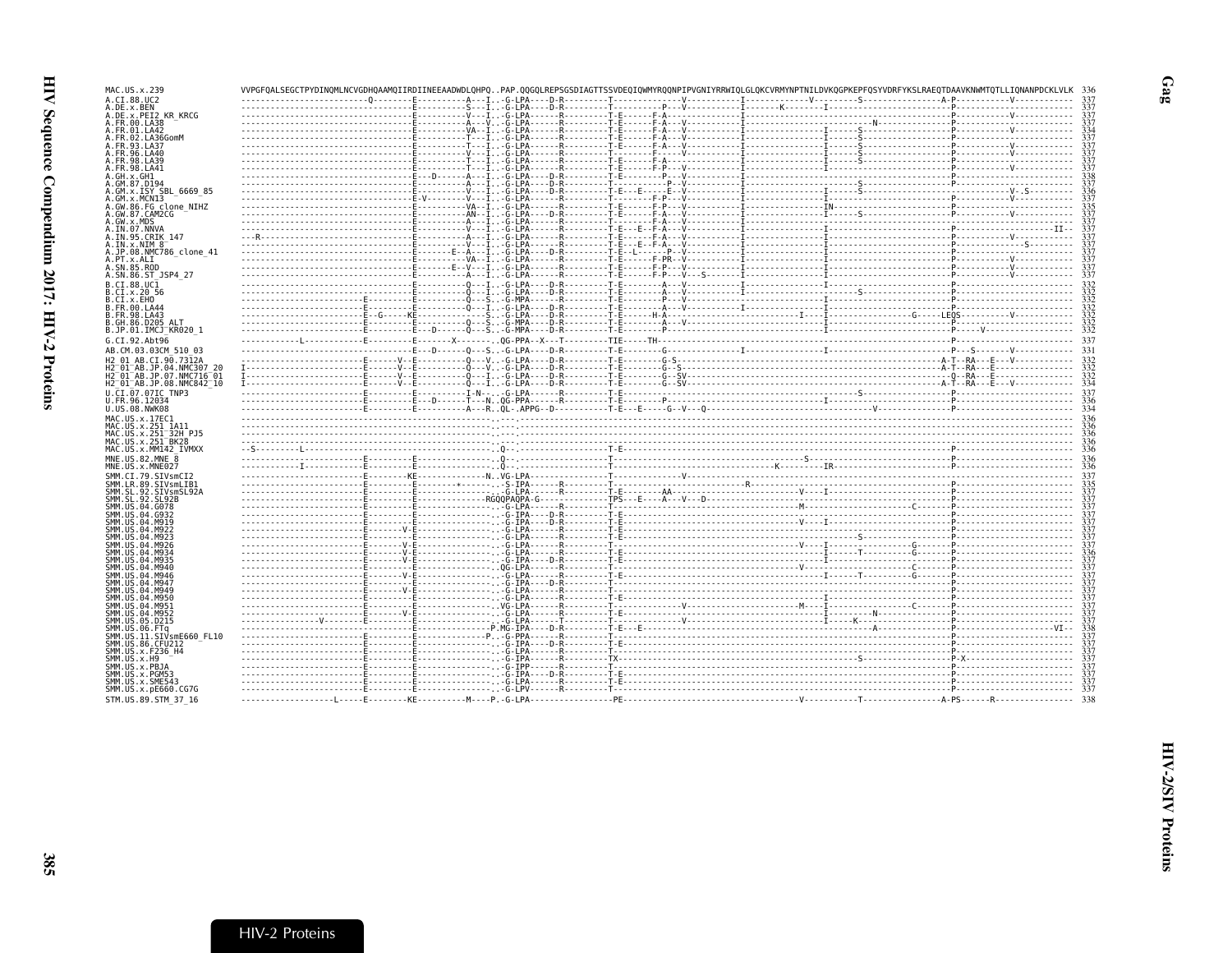| MAC.US.x.239                                                         |  | VVPGFOALSEGCTPYDINOMLNCVGDHOAAMOIIRDIINEEAADWDLOHPOPAP.OOGOLREPSGSDIAGTTSSVDEOIOWMYROONPIPVGNIYRRWIOLGLOKCVRMYNPTNILDVKOGPKEPFOSYVDRFYKSLRAEOTDAAVKNWMTOTLLIONANPDCKLVLK                                                                                                                                                                                                                                                   |     |
|----------------------------------------------------------------------|--|----------------------------------------------------------------------------------------------------------------------------------------------------------------------------------------------------------------------------------------------------------------------------------------------------------------------------------------------------------------------------------------------------------------------------|-----|
| A.CI.88.UC2                                                          |  |                                                                                                                                                                                                                                                                                                                                                                                                                            |     |
| A.DE.x.BEN<br>A.DE.x.PEI2 KR KRCG                                    |  |                                                                                                                                                                                                                                                                                                                                                                                                                            |     |
| A.FR.00.LA38                                                         |  |                                                                                                                                                                                                                                                                                                                                                                                                                            |     |
| A.FR.01.LA42<br>A.FR.02.LA36GomM                                     |  |                                                                                                                                                                                                                                                                                                                                                                                                                            |     |
| A.FR.93.LA37                                                         |  |                                                                                                                                                                                                                                                                                                                                                                                                                            |     |
| A. FR. 96. LA40<br>A. FR. 98. LA39                                   |  |                                                                                                                                                                                                                                                                                                                                                                                                                            |     |
| A.FR.98.LA41                                                         |  |                                                                                                                                                                                                                                                                                                                                                                                                                            |     |
| A.GH.x.GH1<br>A.GM.87.D194                                           |  |                                                                                                                                                                                                                                                                                                                                                                                                                            |     |
| A.GM.X.ISY SBL_6669_85<br>A.GM.x.MCN13<br>A.GW.86.FG_clone_NIHZ      |  |                                                                                                                                                                                                                                                                                                                                                                                                                            |     |
|                                                                      |  |                                                                                                                                                                                                                                                                                                                                                                                                                            |     |
| A.GW.87.CAM2CG                                                       |  |                                                                                                                                                                                                                                                                                                                                                                                                                            |     |
| A.GW.x.MDS<br>A.IN.07.NNVA                                           |  |                                                                                                                                                                                                                                                                                                                                                                                                                            |     |
| A.IN.95.CRIK 147                                                     |  |                                                                                                                                                                                                                                                                                                                                                                                                                            |     |
| A.IN.x.NIM 8<br>A.JP.08.NMC786 clone 41                              |  |                                                                                                                                                                                                                                                                                                                                                                                                                            |     |
| A.PT.x.ALI                                                           |  |                                                                                                                                                                                                                                                                                                                                                                                                                            |     |
| A.SN.85.ROD<br>A.SN.86.ST JSP4 27                                    |  |                                                                                                                                                                                                                                                                                                                                                                                                                            |     |
| B.CT.88.UC1                                                          |  |                                                                                                                                                                                                                                                                                                                                                                                                                            |     |
| B.CI.x.20 56<br>B.CI.X.EHO                                           |  |                                                                                                                                                                                                                                                                                                                                                                                                                            |     |
| B.FR.00.LA44                                                         |  |                                                                                                                                                                                                                                                                                                                                                                                                                            |     |
| B.FR.98.LA43<br>B.GH.86.D205 ALT                                     |  |                                                                                                                                                                                                                                                                                                                                                                                                                            |     |
| B.JP.01.IMCJ KR020 1                                                 |  |                                                                                                                                                                                                                                                                                                                                                                                                                            |     |
| G.CI.92.Abt96                                                        |  |                                                                                                                                                                                                                                                                                                                                                                                                                            | 337 |
| AB.CM.03.03CM 510 03                                                 |  |                                                                                                                                                                                                                                                                                                                                                                                                                            |     |
| H2 01 AB.CI.90.7312A<br>H2-01-AB.JP.04.NMC307 20                     |  |                                                                                                                                                                                                                                                                                                                                                                                                                            |     |
| H2 <sup>-01-AB.JP.07.NMC716-01</sup>                                 |  | $\begin{bmatrix} \text{1} & \text{1} & \text{1} & \text{1} & \text{1} & \text{1} & \text{1} & \text{1} & \text{1} & \text{1} & \text{1} & \text{1} & \text{1} & \text{1} & \text{1} & \text{1} & \text{1} & \text{1} & \text{1} & \text{1} & \text{1} & \text{1} & \text{1} & \text{1} & \text{1} & \text{1} & \text{1} & \text{1} & \text{1} & \text{1} & \text{1} & \text{1} & \text{1} & \text{1} & \text{1} & \text{1$ | 334 |
| H2 <sup>-01-AB.JP.08.NMC842<sup>-10</sup></sup><br>U.CI.07.07IC TNP3 |  |                                                                                                                                                                                                                                                                                                                                                                                                                            |     |
| U.FR.96.12034                                                        |  |                                                                                                                                                                                                                                                                                                                                                                                                                            |     |
| U.US.08.NWK08                                                        |  |                                                                                                                                                                                                                                                                                                                                                                                                                            |     |
| MAC.US.x.17EC1<br>MAC.US.x.251 1A11                                  |  |                                                                                                                                                                                                                                                                                                                                                                                                                            |     |
| MAC.US.x.251 32H PJ5                                                 |  |                                                                                                                                                                                                                                                                                                                                                                                                                            |     |
| MAC.US.x.251 <sup>-BK28</sup><br>MAC.US.x.MM142 IVMXX                |  |                                                                                                                                                                                                                                                                                                                                                                                                                            |     |
| MNE.US.82.MNE 8                                                      |  |                                                                                                                                                                                                                                                                                                                                                                                                                            |     |
| MNE.US.x.MNE027<br>SMM.CI.79.SIVsmCI2                                |  |                                                                                                                                                                                                                                                                                                                                                                                                                            |     |
| SMM.LR.89.SIVsmLIB1                                                  |  |                                                                                                                                                                                                                                                                                                                                                                                                                            |     |
| SMM.SL.92.SIVsmSL92A<br>SMM. SL. 92. SL92B                           |  |                                                                                                                                                                                                                                                                                                                                                                                                                            |     |
| SMM.US.04.G078                                                       |  |                                                                                                                                                                                                                                                                                                                                                                                                                            |     |
| SMM. US. 04. G932<br>SMM. U.S. 04. M919                              |  |                                                                                                                                                                                                                                                                                                                                                                                                                            |     |
| SMM.US.04.M922                                                       |  |                                                                                                                                                                                                                                                                                                                                                                                                                            |     |
| SMM. U.S. 04. M923<br>SMM.US.04.M926                                 |  |                                                                                                                                                                                                                                                                                                                                                                                                                            |     |
| SMM.US.04.M934                                                       |  |                                                                                                                                                                                                                                                                                                                                                                                                                            |     |
| SMM. U.S. 04. M935<br>SMM. US. 04. M940                              |  |                                                                                                                                                                                                                                                                                                                                                                                                                            |     |
| SMM.US.04.M946                                                       |  |                                                                                                                                                                                                                                                                                                                                                                                                                            |     |
| SMM. US. 04. M947<br>SMM IIS 04 M949                                 |  |                                                                                                                                                                                                                                                                                                                                                                                                                            |     |
| SMM.US.04.M950                                                       |  |                                                                                                                                                                                                                                                                                                                                                                                                                            |     |
| SMM.US.04.M951<br>SMM.US.04.M952                                     |  |                                                                                                                                                                                                                                                                                                                                                                                                                            |     |
| SMM.US.05.D215                                                       |  |                                                                                                                                                                                                                                                                                                                                                                                                                            |     |
| SMM.US.06.FTq<br>SMM.US.11.SIVsmE660 FL10                            |  |                                                                                                                                                                                                                                                                                                                                                                                                                            |     |
| SMM.US.86.CFU212                                                     |  |                                                                                                                                                                                                                                                                                                                                                                                                                            |     |
| SMM.US.x.F236 H4<br>SMM. US. x.H9                                    |  |                                                                                                                                                                                                                                                                                                                                                                                                                            |     |
| SMM.US.x.PBJA                                                        |  |                                                                                                                                                                                                                                                                                                                                                                                                                            |     |
| SMM.US.x.PGM53<br>SMM.US.x.SME543                                    |  |                                                                                                                                                                                                                                                                                                                                                                                                                            |     |
| SMM.US.x.pE660.CG7G                                                  |  |                                                                                                                                                                                                                                                                                                                                                                                                                            |     |
| STM.US.89.STM 37 16                                                  |  |                                                                                                                                                                                                                                                                                                                                                                                                                            |     |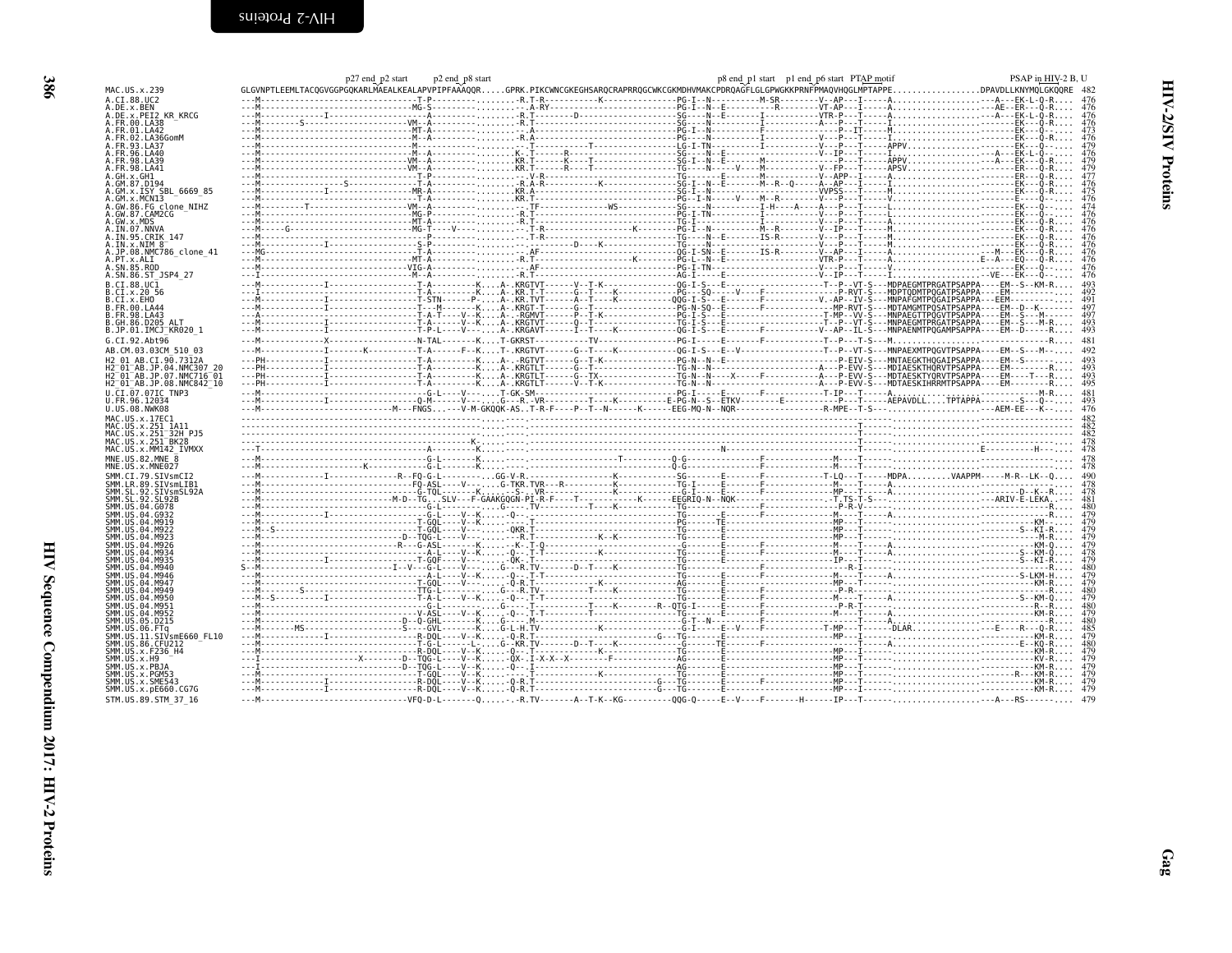|  |  | Ś<br>Ī | 'M |
|--|--|--------|----|
|  |  |        |    |

HIV Sequence Compendium 2017: HIV-2 Proteins

<span id="page-9-0"></span>

|                                                                 | p27 end p2 start | p2 end p8 start |                                                                                                                                                                                                                                                                                                                                                                                                              | p8 end_p1 start _p1 end_p6 start PTAP motif | PSAP in HIV-2 B, U |
|-----------------------------------------------------------------|------------------|-----------------|--------------------------------------------------------------------------------------------------------------------------------------------------------------------------------------------------------------------------------------------------------------------------------------------------------------------------------------------------------------------------------------------------------------|---------------------------------------------|--------------------|
| MAC.US.x.239                                                    |                  |                 | GLGVNPTLEEMLTACQGVGGPGQKARLMAEALKEALAPVPIPFAAAQQRGPRK.PIKCWNCGKEGHSARQCRAPRRQGCWKCGKMDHVMAKCPDRQAGFLGLGPWGKKPRNFPMAQVHQGLMPTAPPEDPAVDLLKNYMQLGKQQRE                                                                                                                                                                                                                                                          |                                             |                    |
| A.CI.88.UC2                                                     |                  |                 |                                                                                                                                                                                                                                                                                                                                                                                                              |                                             |                    |
| .DE.x.BEN                                                       |                  |                 |                                                                                                                                                                                                                                                                                                                                                                                                              |                                             |                    |
| .DE.x.PEI2 KR KRCG<br>FR.00.LA38                                |                  |                 |                                                                                                                                                                                                                                                                                                                                                                                                              |                                             |                    |
| .FR.01.LA42                                                     |                  |                 |                                                                                                                                                                                                                                                                                                                                                                                                              |                                             |                    |
| FR.02.LA36GomM                                                  |                  |                 |                                                                                                                                                                                                                                                                                                                                                                                                              |                                             |                    |
| FR.93.LA37                                                      |                  |                 |                                                                                                                                                                                                                                                                                                                                                                                                              |                                             |                    |
|                                                                 |                  |                 |                                                                                                                                                                                                                                                                                                                                                                                                              |                                             |                    |
| FR.98.LA41                                                      |                  |                 |                                                                                                                                                                                                                                                                                                                                                                                                              |                                             |                    |
|                                                                 |                  |                 |                                                                                                                                                                                                                                                                                                                                                                                                              |                                             |                    |
| GM.87.D194                                                      |                  |                 |                                                                                                                                                                                                                                                                                                                                                                                                              |                                             |                    |
| GM.x.ISY SBL 6669 85<br>GM.x.MCN13                              |                  |                 |                                                                                                                                                                                                                                                                                                                                                                                                              |                                             |                    |
| GW.86.FG clone NIHZ                                             |                  |                 |                                                                                                                                                                                                                                                                                                                                                                                                              |                                             |                    |
| .GW.87.CAM2CG                                                   |                  |                 |                                                                                                                                                                                                                                                                                                                                                                                                              |                                             |                    |
| .GW.x.MDS<br>.IN.07.NNVA                                        |                  |                 |                                                                                                                                                                                                                                                                                                                                                                                                              |                                             |                    |
| .IN.95.CRIK 147                                                 |                  |                 |                                                                                                                                                                                                                                                                                                                                                                                                              |                                             |                    |
| $IN. x. NIM 8^-$                                                |                  |                 |                                                                                                                                                                                                                                                                                                                                                                                                              |                                             |                    |
| .JP.08.NMC786 clone 41                                          |                  |                 |                                                                                                                                                                                                                                                                                                                                                                                                              |                                             |                    |
| .PT.x.ALI<br>SN.85.ROD                                          |                  |                 |                                                                                                                                                                                                                                                                                                                                                                                                              |                                             |                    |
| .SN.86.ST JSP4 27                                               |                  |                 |                                                                                                                                                                                                                                                                                                                                                                                                              |                                             |                    |
| .CI.88.UC1                                                      |                  |                 | $\frac{1}{1}$<br>$\frac{1}{1}$<br>$\frac{1}{1}$<br>$\frac{1}{1}$<br>$\frac{1}{1}$<br>$\frac{1}{1}$<br>$\frac{1}{1}$<br>$\frac{1}{1}$<br>$\frac{1}{1}$<br>$\frac{1}{1}$<br>$\frac{1}{1}$<br>$\frac{1}{1}$<br>$\frac{1}{1}$<br>$\frac{1}{1}$<br>$\frac{1}{1}$<br>$\frac{1}{1}$<br>$\frac{1}{1}$<br>$\frac{1}{1}$<br>$\frac{1}{1}$<br>$\frac{1}{1}$<br>                                                         |                                             |                    |
| .CI.x.20 56                                                     |                  |                 |                                                                                                                                                                                                                                                                                                                                                                                                              |                                             |                    |
| .CI.x.EHO                                                       |                  |                 |                                                                                                                                                                                                                                                                                                                                                                                                              |                                             |                    |
| .FR.00.LA44                                                     |                  |                 |                                                                                                                                                                                                                                                                                                                                                                                                              |                                             |                    |
| FR.98.LA43.                                                     |                  |                 |                                                                                                                                                                                                                                                                                                                                                                                                              |                                             |                    |
| B.GH.86.D205 ALT<br>B.JP.01.IMCJ_KR020_1                        |                  |                 |                                                                                                                                                                                                                                                                                                                                                                                                              |                                             |                    |
| G.CI.92.Abt96                                                   |                  |                 |                                                                                                                                                                                                                                                                                                                                                                                                              |                                             |                    |
| AB.CM.03.03CM 510 03                                            |                  |                 |                                                                                                                                                                                                                                                                                                                                                                                                              |                                             |                    |
| H2 01 AB.CI.90.7312A                                            |                  |                 |                                                                                                                                                                                                                                                                                                                                                                                                              |                                             |                    |
| 2 <sup>-</sup> 01 <sup>-</sup> AB.JP.04.NMC307                  |                  |                 |                                                                                                                                                                                                                                                                                                                                                                                                              |                                             |                    |
| 12 <sup>-</sup> 01 <sup>-</sup> AB.JP.07.NMC716 <sup>-</sup> 01 |                  |                 |                                                                                                                                                                                                                                                                                                                                                                                                              |                                             |                    |
| H2 <sup>-</sup> 01 <sup>-</sup> AB.JP.08.NMC842 <sup>-</sup> 10 |                  |                 |                                                                                                                                                                                                                                                                                                                                                                                                              |                                             |                    |
| U.CI.07.07IC TNP3                                               |                  |                 |                                                                                                                                                                                                                                                                                                                                                                                                              |                                             |                    |
|                                                                 |                  |                 |                                                                                                                                                                                                                                                                                                                                                                                                              |                                             |                    |
| J.FR.96.12034                                                   |                  |                 |                                                                                                                                                                                                                                                                                                                                                                                                              |                                             |                    |
| U.US.08.NWK08                                                   |                  |                 |                                                                                                                                                                                                                                                                                                                                                                                                              |                                             |                    |
|                                                                 |                  |                 | $P_{1}(\text{1},\text{2},\text{3},\text{4},\text{5},\text{6},\text{7},\text{8},\text{8},\text{7},\text{8},\text{8},\text{7},\text{7},\text{6},\text{6},\text{7},\text{7},\text{8},\text{8},\text{7},\text{7},\text{8},\text{8},\text{7},\text{7},\text{8},\text{8},\text{7},\text{8},\text{8},\text{9},\text{1},\text{1},\text{1},\text{2},\text{2},\text{3},\text{3},\text{4},\text{2},\text{2},\text{3},\$ |                                             |                    |
|                                                                 |                  |                 |                                                                                                                                                                                                                                                                                                                                                                                                              |                                             |                    |
| MAC.US.x.251 <sup>-</sup> BK28                                  |                  |                 |                                                                                                                                                                                                                                                                                                                                                                                                              |                                             |                    |
| MAC.US.x.MM142 IVMXX                                            |                  |                 |                                                                                                                                                                                                                                                                                                                                                                                                              |                                             |                    |
| MNE.US.82.MNE                                                   |                  |                 |                                                                                                                                                                                                                                                                                                                                                                                                              |                                             |                    |
| MNE.US.x.MNE027                                                 |                  |                 |                                                                                                                                                                                                                                                                                                                                                                                                              |                                             |                    |
|                                                                 |                  |                 |                                                                                                                                                                                                                                                                                                                                                                                                              |                                             |                    |
|                                                                 |                  |                 |                                                                                                                                                                                                                                                                                                                                                                                                              |                                             |                    |
|                                                                 |                  |                 |                                                                                                                                                                                                                                                                                                                                                                                                              |                                             |                    |
|                                                                 |                  |                 |                                                                                                                                                                                                                                                                                                                                                                                                              |                                             |                    |
|                                                                 |                  |                 |                                                                                                                                                                                                                                                                                                                                                                                                              |                                             |                    |
|                                                                 |                  |                 |                                                                                                                                                                                                                                                                                                                                                                                                              |                                             |                    |
|                                                                 |                  |                 |                                                                                                                                                                                                                                                                                                                                                                                                              |                                             |                    |
|                                                                 |                  |                 |                                                                                                                                                                                                                                                                                                                                                                                                              |                                             |                    |
|                                                                 |                  |                 |                                                                                                                                                                                                                                                                                                                                                                                                              |                                             |                    |
|                                                                 |                  |                 |                                                                                                                                                                                                                                                                                                                                                                                                              |                                             |                    |
|                                                                 |                  |                 |                                                                                                                                                                                                                                                                                                                                                                                                              |                                             |                    |
|                                                                 |                  |                 |                                                                                                                                                                                                                                                                                                                                                                                                              |                                             |                    |
|                                                                 |                  |                 |                                                                                                                                                                                                                                                                                                                                                                                                              |                                             |                    |
|                                                                 |                  |                 |                                                                                                                                                                                                                                                                                                                                                                                                              |                                             |                    |
|                                                                 |                  |                 |                                                                                                                                                                                                                                                                                                                                                                                                              |                                             |                    |
|                                                                 |                  |                 |                                                                                                                                                                                                                                                                                                                                                                                                              |                                             |                    |
|                                                                 |                  |                 |                                                                                                                                                                                                                                                                                                                                                                                                              |                                             |                    |
|                                                                 |                  |                 |                                                                                                                                                                                                                                                                                                                                                                                                              |                                             |                    |
|                                                                 |                  |                 |                                                                                                                                                                                                                                                                                                                                                                                                              |                                             |                    |
|                                                                 |                  |                 |                                                                                                                                                                                                                                                                                                                                                                                                              |                                             |                    |
|                                                                 |                  |                 |                                                                                                                                                                                                                                                                                                                                                                                                              |                                             |                    |
|                                                                 |                  |                 |                                                                                                                                                                                                                                                                                                                                                                                                              |                                             |                    |
| SMM.US.x.pE660.CG7G<br>STM.US.89.STM 37 16                      |                  |                 |                                                                                                                                                                                                                                                                                                                                                                                                              |                                             |                    |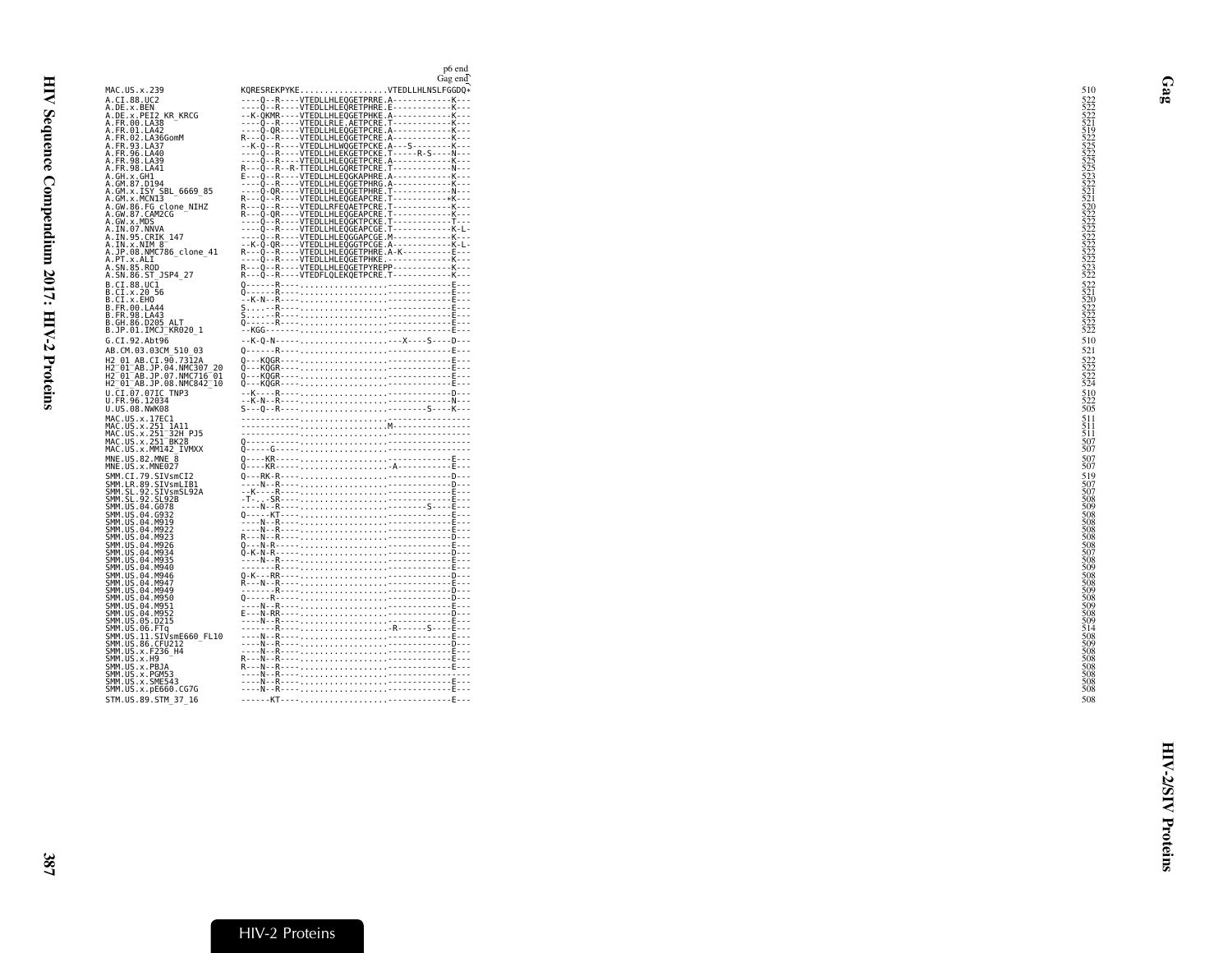| MAC.US.x.239<br>A.CI.88.UC2<br>A.DE.x.BEN<br>A.DE.x.PEI2 KR KRCG<br>A.FR.00.LA38<br>A.FR.01.LA42<br>A. FR. 02. LA36GomM<br>A.FR.93.LA37<br>A.FR.96.LA40<br>A.FR.98.LA39<br>A.FR.98.LA41<br>A.GH.x.GH1<br>A.GM.87.D194<br>A.GM.x.ISY SBL 6669 85<br>A.GM.x.MCNI3 | Gag end<br>KQRESREKPYKEVTEDLLHLNSLFGGDQ*<br>----0--R----VTEDLLHLEOGETPRRE.A------------K---<br>----Q--R----VTEDLLHLEQRETPHRE.E------------K---<br>--K-QKMR----VTEDLLHLEQGETPHKE.A-------------K--- |  |
|-----------------------------------------------------------------------------------------------------------------------------------------------------------------------------------------------------------------------------------------------------------------|----------------------------------------------------------------------------------------------------------------------------------------------------------------------------------------------------|--|
|                                                                                                                                                                                                                                                                 |                                                                                                                                                                                                    |  |
|                                                                                                                                                                                                                                                                 |                                                                                                                                                                                                    |  |
|                                                                                                                                                                                                                                                                 |                                                                                                                                                                                                    |  |
|                                                                                                                                                                                                                                                                 |                                                                                                                                                                                                    |  |
|                                                                                                                                                                                                                                                                 |                                                                                                                                                                                                    |  |
|                                                                                                                                                                                                                                                                 |                                                                                                                                                                                                    |  |
|                                                                                                                                                                                                                                                                 |                                                                                                                                                                                                    |  |
|                                                                                                                                                                                                                                                                 |                                                                                                                                                                                                    |  |
|                                                                                                                                                                                                                                                                 |                                                                                                                                                                                                    |  |
|                                                                                                                                                                                                                                                                 |                                                                                                                                                                                                    |  |
|                                                                                                                                                                                                                                                                 |                                                                                                                                                                                                    |  |
| A.GW.86.FG_clone_NIHZ<br>A.GW.87.CAM2CG                                                                                                                                                                                                                         | R---Q-QR----VIEDLLHLEQGEAPCRE.I------------K---                                                                                                                                                    |  |
| A.GW.x.MDS<br>A. IN. 07. NNVA<br>A. IN. 95. CRIK_147                                                                                                                                                                                                            |                                                                                                                                                                                                    |  |
| A.IN.x.NIM 8                                                                                                                                                                                                                                                    | --K-Q-QR----VTEDLLHLEQGGTPCGE.A-------------K-L-                                                                                                                                                   |  |
| A.JP.08.NMC786_clone 41                                                                                                                                                                                                                                         | R---Q--R----VTEDLLHLEQGETPHRE.A-K----------E-T-                                                                                                                                                    |  |
| A.PT.x.ALI<br>A.SN.85.ROD                                                                                                                                                                                                                                       |                                                                                                                                                                                                    |  |
| A.SN.86.ST JSP4 27                                                                                                                                                                                                                                              |                                                                                                                                                                                                    |  |
| B.CI.88.UC1                                                                                                                                                                                                                                                     |                                                                                                                                                                                                    |  |
| B.CI.x.20 56<br>B.CI.x.EHO                                                                                                                                                                                                                                      |                                                                                                                                                                                                    |  |
| B.FR.00.LA44                                                                                                                                                                                                                                                    |                                                                                                                                                                                                    |  |
| B. FR. 98. LA43<br>B.GH.86.D205<br>ALT                                                                                                                                                                                                                          |                                                                                                                                                                                                    |  |
| B.JP.01.IMCJ_KR020 1                                                                                                                                                                                                                                            |                                                                                                                                                                                                    |  |
| G.CI.92.Abt96                                                                                                                                                                                                                                                   | --K-Q-N--------X----S----D---                                                                                                                                                                      |  |
| AB.CM.03.03CM 510 03                                                                                                                                                                                                                                            |                                                                                                                                                                                                    |  |
| H2 01 AB.CI.90.7312A<br>H2 <sup>-01-AB.JP.04.NMC307 20</sup>                                                                                                                                                                                                    | 0---KOGR----------------E---                                                                                                                                                                       |  |
| H2 <sup>-01-AB.JP.07.NMC716-01</sup>                                                                                                                                                                                                                            |                                                                                                                                                                                                    |  |
| H2 <sup>-01-AB.JP.08.NMC842<sup>-10</sup></sup>                                                                                                                                                                                                                 |                                                                                                                                                                                                    |  |
| U.CI.07.07IC TNP3<br>U.FR.96.12034                                                                                                                                                                                                                              |                                                                                                                                                                                                    |  |
| U.US.08.NWK08                                                                                                                                                                                                                                                   |                                                                                                                                                                                                    |  |
| MAC.US.x.17EC1<br>MAC.US.x.251 1A11<br>MAC.US.x.251 32H PJ5<br>MAC.US.x.251 BK28                                                                                                                                                                                |                                                                                                                                                                                                    |  |
|                                                                                                                                                                                                                                                                 |                                                                                                                                                                                                    |  |
| MAC.US.x.MM142 IVMXX                                                                                                                                                                                                                                            |                                                                                                                                                                                                    |  |
| MNE.US.82.MNE 8                                                                                                                                                                                                                                                 |                                                                                                                                                                                                    |  |
| MNE.US.x.MNE027                                                                                                                                                                                                                                                 |                                                                                                                                                                                                    |  |
| SMM.CI.79.SIVsmCI2                                                                                                                                                                                                                                              |                                                                                                                                                                                                    |  |
| SMM.LR.89.SIVSMLLE<br>SMM.SL.92.SIVSMLIB1<br>SMM.SL.92.SIVSMSL92A                                                                                                                                                                                               |                                                                                                                                                                                                    |  |
| SMM.US.04.G078                                                                                                                                                                                                                                                  |                                                                                                                                                                                                    |  |
| SMM. US. 04. G932                                                                                                                                                                                                                                               |                                                                                                                                                                                                    |  |
| SMM. US. 04. M919<br>SMM. US. 04. M922                                                                                                                                                                                                                          |                                                                                                                                                                                                    |  |
| SMM. US. 04. M923                                                                                                                                                                                                                                               |                                                                                                                                                                                                    |  |
| SMM.US.04.M926                                                                                                                                                                                                                                                  |                                                                                                                                                                                                    |  |
| SMM. US. 04. M934<br>SMM. US. 04. M935<br>SMM.US.04.M940                                                                                                                                                                                                        |                                                                                                                                                                                                    |  |
| SMM.US.04.M946                                                                                                                                                                                                                                                  |                                                                                                                                                                                                    |  |
| SMM.US.04.M947                                                                                                                                                                                                                                                  |                                                                                                                                                                                                    |  |
| SMM. US. 04. M949<br>SMM. US. 04. M950                                                                                                                                                                                                                          |                                                                                                                                                                                                    |  |
| SMM.US.04.M951                                                                                                                                                                                                                                                  |                                                                                                                                                                                                    |  |
| SMM.US.04.M952<br>SMM.US.05.D215<br>SMM.US.06.FTq                                                                                                                                                                                                               |                                                                                                                                                                                                    |  |
| SMM.US.11.SIVsmE660 FL10                                                                                                                                                                                                                                        |                                                                                                                                                                                                    |  |
| SMM.US.86.CFU212                                                                                                                                                                                                                                                |                                                                                                                                                                                                    |  |
| SMM. US. x. F236_H4<br>SMM. US. x. H9                                                                                                                                                                                                                           |                                                                                                                                                                                                    |  |
| SMM.US.x.PBJA                                                                                                                                                                                                                                                   |                                                                                                                                                                                                    |  |
| SMM.US.x.PGM53<br>SMM.US.x.SME543                                                                                                                                                                                                                               |                                                                                                                                                                                                    |  |
| SMM.US.x.pE660.CG7G                                                                                                                                                                                                                                             |                                                                                                                                                                                                    |  |
| STM.US.89.STM 37 16                                                                                                                                                                                                                                             |                                                                                                                                                                                                    |  |

<span id="page-10-0"></span>Gag

HIV-2/SIV Proteins

**HIV-2/SIV Proteins**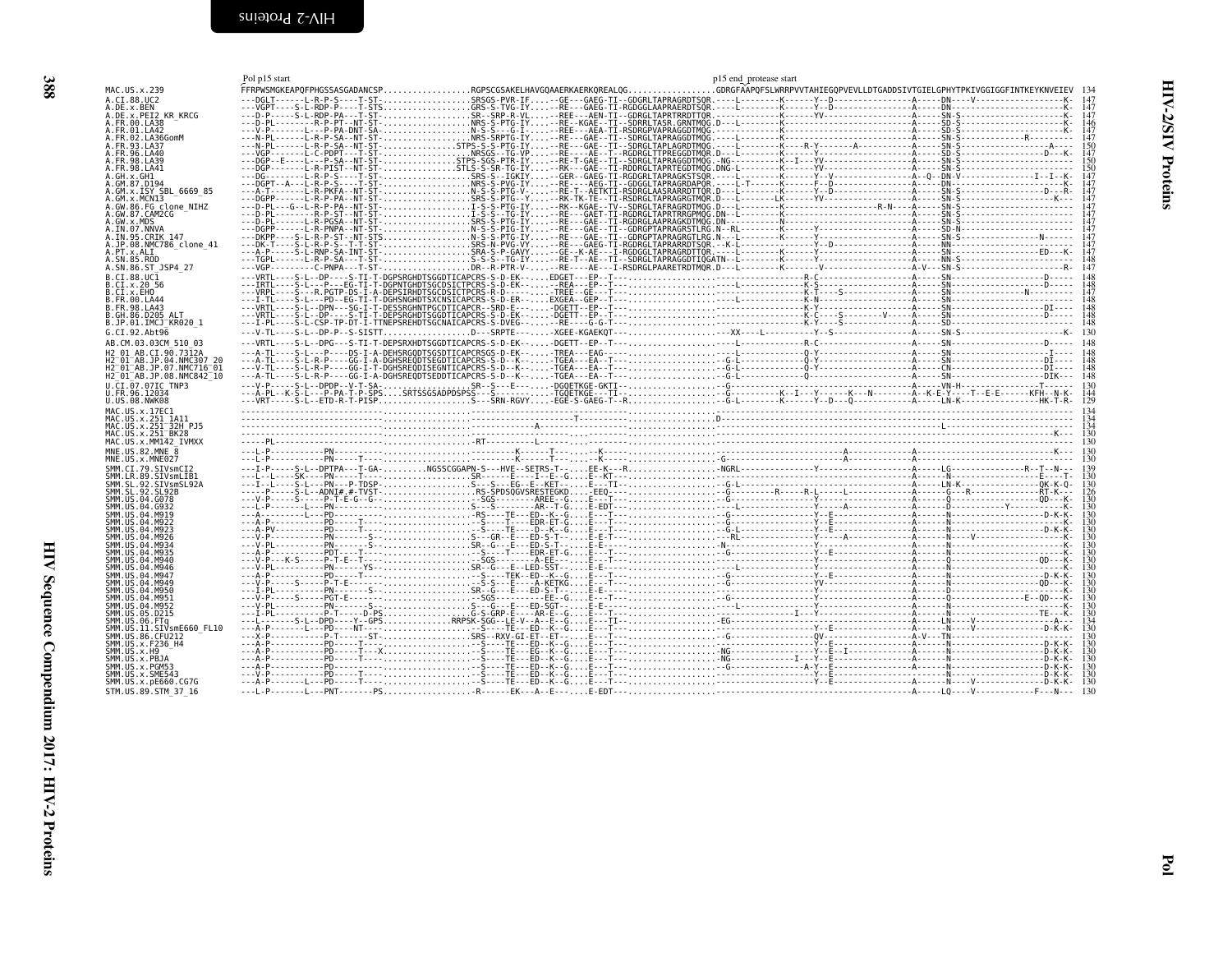<span id="page-11-0"></span>

<span id="page-11-1"></span>

|                                                                                             | Pol p15 start |                                                                                                                                            | p15 end protease start |  |
|---------------------------------------------------------------------------------------------|---------------|--------------------------------------------------------------------------------------------------------------------------------------------|------------------------|--|
| MAC.US.x.239                                                                                |               | FFRPWSMGKEAPQFPHGSSASGADANCSPRGPSCGSAKELHAVGQAAERKAERKQREALQGGDRGFÄÄPQFSLWRRPVVTAHIEGQPVEVLLDTGADDSIVTGIELGPHYTPKIVGGIGGFINTKEYKNVEIEV 134 |                        |  |
| A.CI.88.UC2                                                                                 |               |                                                                                                                                            |                        |  |
| .DE.x.BEN                                                                                   |               |                                                                                                                                            |                        |  |
| .DE.x.PEI2 KR_KRCG<br>.FR.00.LA38                                                           |               |                                                                                                                                            |                        |  |
| 4.FR.01.LA42<br>.FR.02.LA36GomM                                                             |               |                                                                                                                                            |                        |  |
| FR.93.LA37                                                                                  |               |                                                                                                                                            |                        |  |
| FR.96.LA40                                                                                  |               |                                                                                                                                            |                        |  |
| FR.98.LA39<br>FR.98.LA41                                                                    |               |                                                                                                                                            |                        |  |
| .GH.x.GH1                                                                                   |               |                                                                                                                                            |                        |  |
| GM.87.D194                                                                                  |               |                                                                                                                                            |                        |  |
| GM.x.ISY SBL 6669 85<br>.GM.x.MCNI3                                                         |               |                                                                                                                                            |                        |  |
| .GW.86.FG clone NIHZ                                                                        |               |                                                                                                                                            |                        |  |
| A.GW.87.CAM2CG<br>.GW.x.MDS                                                                 |               |                                                                                                                                            |                        |  |
| .IN.07.NNVA                                                                                 |               |                                                                                                                                            |                        |  |
| .IN.95.CRIK 147<br>A.JP.08.NMC786 clone 41                                                  |               |                                                                                                                                            |                        |  |
| A.PT.x.ALI                                                                                  |               |                                                                                                                                            |                        |  |
| A.SN.85.ROD<br>A.SN.86.ST JSP4 27                                                           |               |                                                                                                                                            |                        |  |
| B.CT.88.UC1                                                                                 |               |                                                                                                                                            |                        |  |
| B.CI.x.20 56                                                                                |               |                                                                                                                                            |                        |  |
| B.CI.x.EHO<br>B.FR.00.LA44                                                                  |               |                                                                                                                                            |                        |  |
| B.FR.98.LA43                                                                                |               |                                                                                                                                            |                        |  |
| GH.86.D205 ALT                                                                              |               |                                                                                                                                            |                        |  |
| B.JP.01.IMCJ <sup>-</sup> KR020 1<br>G.CI.92.Abt96                                          |               |                                                                                                                                            |                        |  |
| AB.CM.03.03CM 510 03                                                                        |               |                                                                                                                                            |                        |  |
| H2 01 AB.CI.90.7312A                                                                        |               |                                                                                                                                            |                        |  |
| H2 <sup>-</sup> 01 <sup>-</sup> AB.JP.04.NMC307 20                                          |               |                                                                                                                                            |                        |  |
| H2 01 AB.JP.07.NMC716 01<br>H2 <sup>-</sup> 01 <sup>-</sup> AB.JP.08.NMC842 <sup>-</sup> 10 |               |                                                                                                                                            |                        |  |
| U.CI.07.07IC TNP3                                                                           |               |                                                                                                                                            |                        |  |
| U.FR.96.12034<br>U.US.08.NWK08                                                              |               |                                                                                                                                            |                        |  |
| MAC.US.x.17EC1                                                                              |               |                                                                                                                                            |                        |  |
| MAC.US.x.251 1A11                                                                           |               |                                                                                                                                            |                        |  |
| MAC.US.x.251 <sup>-</sup> 32H PJ5<br>MAC.US.x.251 <sup>-</sup> BK28                         |               |                                                                                                                                            |                        |  |
| MAC.US.x.MM142 IVMXX                                                                        |               |                                                                                                                                            |                        |  |
| MNE.US.82.MNE 8<br>MNE.US.x.MNE027                                                          |               |                                                                                                                                            |                        |  |
| SMM.CI.79.SIVsmCI2                                                                          |               |                                                                                                                                            |                        |  |
| SMM.LR.89.SIVsmLIB1                                                                         |               |                                                                                                                                            |                        |  |
| SMM.SL.92.SIVsmSL92A<br>SMM. SL. 92. SL92B                                                  |               |                                                                                                                                            |                        |  |
| SMM.US.04.G078                                                                              |               |                                                                                                                                            |                        |  |
|                                                                                             |               |                                                                                                                                            |                        |  |
|                                                                                             |               |                                                                                                                                            |                        |  |
|                                                                                             |               |                                                                                                                                            |                        |  |
|                                                                                             |               |                                                                                                                                            |                        |  |
|                                                                                             |               |                                                                                                                                            |                        |  |
| SMM.US.04.M946                                                                              |               |                                                                                                                                            |                        |  |
| SMM.US.04.M947                                                                              |               |                                                                                                                                            |                        |  |
| SMM.US.04.M949                                                                              |               |                                                                                                                                            |                        |  |
| SMM.US.04.M951                                                                              |               |                                                                                                                                            |                        |  |
| SMM.US.04.M952<br>SMM.US.05.D215                                                            |               |                                                                                                                                            |                        |  |
| SMM.US.06.FTq                                                                               |               |                                                                                                                                            |                        |  |
| SMM.US.11.SIVsmE660 FL10                                                                    |               |                                                                                                                                            |                        |  |
| SMM.US.86.CFU212<br>SMM.US.x.F236 H4                                                        |               |                                                                                                                                            |                        |  |
| SMM.US.x.H9                                                                                 |               |                                                                                                                                            |                        |  |
| SMM.US.x.PBJA<br>SMM.US.x.PGM53                                                             |               |                                                                                                                                            |                        |  |
| SMM.US.x.SME543                                                                             |               |                                                                                                                                            |                        |  |
| SMM.US.x.pE660.CG7G<br>STM. US. 89. STM 37 16                                               |               |                                                                                                                                            |                        |  |
|                                                                                             |               |                                                                                                                                            |                        |  |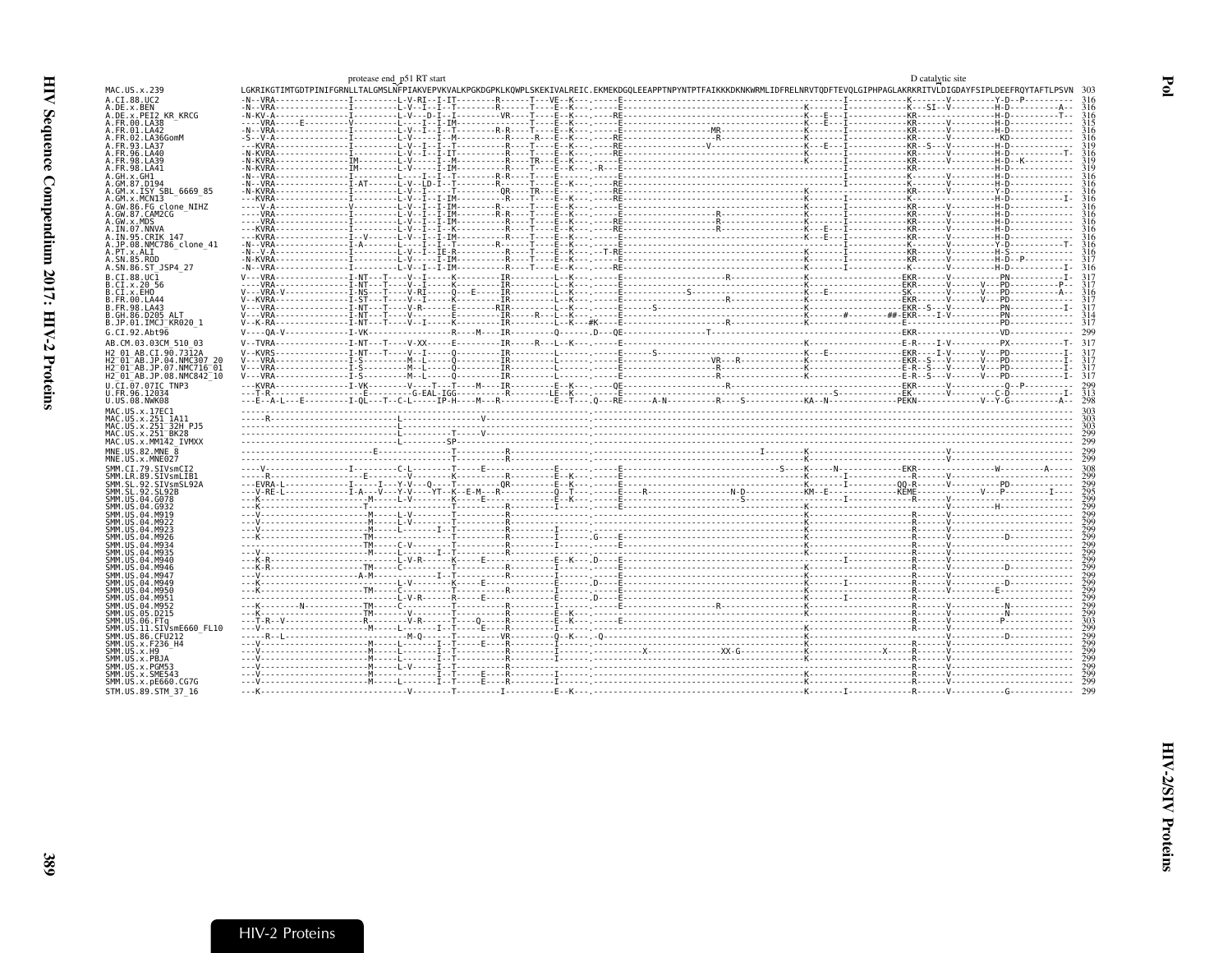<span id="page-12-0"></span>

|                                                               | protease end_p51 RT start |  |                                                                                                                                                                                                                                                                                                                                                                             | D catalytic site |                                                            |
|---------------------------------------------------------------|---------------------------|--|-----------------------------------------------------------------------------------------------------------------------------------------------------------------------------------------------------------------------------------------------------------------------------------------------------------------------------------------------------------------------------|------------------|------------------------------------------------------------|
| MAC.US.x.239                                                  |                           |  | LGKRIKGTIMTGDTPINIFGRNLLTALGMSLNFPIAKVEPVKVALKPGKDGPKLKQWPLSKEKIVALREIC.EKMEKDGQLEEAPPTNPYNTPTFAIKKKDKNKWRMLIDFRELNRVTQDFTEVQLGIPHPAGLAKRKRITVLDIGDAYFSIPLDEEFRQYTAFTLPSVN                                                                                                                                                                                                  |                  |                                                            |
| A.CI.88.UC2                                                   |                           |  |                                                                                                                                                                                                                                                                                                                                                                             |                  |                                                            |
| A.DE.x.BEN<br>A.DE.x.PEI2 KR KRCG                             |                           |  |                                                                                                                                                                                                                                                                                                                                                                             |                  |                                                            |
| A.FR.00.LA38                                                  |                           |  |                                                                                                                                                                                                                                                                                                                                                                             |                  |                                                            |
| A.FR.01.LA42                                                  |                           |  |                                                                                                                                                                                                                                                                                                                                                                             |                  |                                                            |
| A. FR. 02. LA36GomM                                           |                           |  |                                                                                                                                                                                                                                                                                                                                                                             |                  |                                                            |
| A FR 93 1 437<br>A.FR.96.LA40                                 |                           |  |                                                                                                                                                                                                                                                                                                                                                                             |                  |                                                            |
| A.FR.98.LA39                                                  |                           |  |                                                                                                                                                                                                                                                                                                                                                                             |                  |                                                            |
| A.FR.98.LA41                                                  |                           |  |                                                                                                                                                                                                                                                                                                                                                                             |                  |                                                            |
| A.GH.x.GH1                                                    |                           |  |                                                                                                                                                                                                                                                                                                                                                                             |                  |                                                            |
| A.GM.87.D194<br>A.GM.x.ISY SBL 6669 85                        |                           |  |                                                                                                                                                                                                                                                                                                                                                                             |                  |                                                            |
| A.GM.x.MCNI3                                                  |                           |  |                                                                                                                                                                                                                                                                                                                                                                             |                  |                                                            |
| A.GW.86.FG clone NIHZ                                         |                           |  |                                                                                                                                                                                                                                                                                                                                                                             |                  |                                                            |
| A.GW.87.CAM2CG<br>A.GW.x.MDS                                  |                           |  |                                                                                                                                                                                                                                                                                                                                                                             |                  |                                                            |
| A.IN.07.NNVA                                                  |                           |  |                                                                                                                                                                                                                                                                                                                                                                             |                  |                                                            |
| A.IN.95.CRIK 147                                              |                           |  |                                                                                                                                                                                                                                                                                                                                                                             |                  |                                                            |
| A.JP.08.NMC786 clone 41<br>A.PT.x.ALT                         |                           |  |                                                                                                                                                                                                                                                                                                                                                                             |                  |                                                            |
| A.SN.85.ROD                                                   |                           |  |                                                                                                                                                                                                                                                                                                                                                                             |                  |                                                            |
| A.SN.86.ST JSP4 27                                            |                           |  |                                                                                                                                                                                                                                                                                                                                                                             |                  |                                                            |
| B.CI.88.UC1                                                   |                           |  |                                                                                                                                                                                                                                                                                                                                                                             |                  |                                                            |
| B.CI.X.20 56                                                  |                           |  |                                                                                                                                                                                                                                                                                                                                                                             |                  |                                                            |
| B.CI.X.EHO                                                    |                           |  |                                                                                                                                                                                                                                                                                                                                                                             |                  |                                                            |
| B.FR.00.LA44<br>B.FR.98.LA43                                  |                           |  |                                                                                                                                                                                                                                                                                                                                                                             |                  |                                                            |
| <b>B.GH.86.D205 ALT</b>                                       |                           |  |                                                                                                                                                                                                                                                                                                                                                                             |                  |                                                            |
| B.JP.01.IMCJ KR020 1                                          |                           |  |                                                                                                                                                                                                                                                                                                                                                                             |                  |                                                            |
| G.CI.92.Abt96                                                 |                           |  |                                                                                                                                                                                                                                                                                                                                                                             |                  |                                                            |
| AB.CM.03.03CM 510 03                                          |                           |  |                                                                                                                                                                                                                                                                                                                                                                             |                  |                                                            |
| H2 01 AB.CI.90.7312A                                          |                           |  |                                                                                                                                                                                                                                                                                                                                                                             |                  |                                                            |
| H2 01 AB.JP.04.NMC307 20<br>H2 01 AB. JP. 07. NMC716 01       |                           |  |                                                                                                                                                                                                                                                                                                                                                                             |                  |                                                            |
| H2 01 AB.JP.08.NMC842 10                                      |                           |  |                                                                                                                                                                                                                                                                                                                                                                             |                  |                                                            |
| U.CI.07.07IC TNP3                                             |                           |  |                                                                                                                                                                                                                                                                                                                                                                             |                  |                                                            |
| U.FR.96.12034                                                 |                           |  |                                                                                                                                                                                                                                                                                                                                                                             |                  |                                                            |
|                                                               |                           |  |                                                                                                                                                                                                                                                                                                                                                                             |                  |                                                            |
| U.US.08.NWK08                                                 |                           |  |                                                                                                                                                                                                                                                                                                                                                                             |                  |                                                            |
| MAC.US.x.17EC1                                                |                           |  |                                                                                                                                                                                                                                                                                                                                                                             |                  |                                                            |
| MAC.US.x.251 1A11<br>MAC.US.x.251 <sup>-32H</sup> PJ5         |                           |  |                                                                                                                                                                                                                                                                                                                                                                             |                  |                                                            |
| MAC.US.x.251 <sup>-</sup> BK28                                |                           |  |                                                                                                                                                                                                                                                                                                                                                                             |                  |                                                            |
| MAC.US.x.MM142 IVMXX                                          |                           |  |                                                                                                                                                                                                                                                                                                                                                                             |                  |                                                            |
| MNE.U.S.82.MNE 8                                              |                           |  |                                                                                                                                                                                                                                                                                                                                                                             |                  | 299                                                        |
| MNE.US.x.MNE027                                               |                           |  |                                                                                                                                                                                                                                                                                                                                                                             |                  | 799                                                        |
| SMM.CI.79.SIVsmCI2                                            |                           |  |                                                                                                                                                                                                                                                                                                                                                                             |                  |                                                            |
| SMM.LR.89.SIVsmLIB1<br>SMM.SL.92.SIVsmSL92A                   |                           |  |                                                                                                                                                                                                                                                                                                                                                                             |                  | 299                                                        |
| SMM. SL. 92. SL92B                                            |                           |  |                                                                                                                                                                                                                                                                                                                                                                             |                  |                                                            |
| SMM.US.04.G078                                                |                           |  |                                                                                                                                                                                                                                                                                                                                                                             |                  | 295<br>299                                                 |
| SMM.US.04.G932<br>SMM.US.04.M919                              |                           |  |                                                                                                                                                                                                                                                                                                                                                                             |                  |                                                            |
| SMM.US.04.M922                                                |                           |  |                                                                                                                                                                                                                                                                                                                                                                             |                  |                                                            |
| SMM.US.04.M923                                                |                           |  |                                                                                                                                                                                                                                                                                                                                                                             |                  |                                                            |
| SMM.US.04.M926<br>SMM.US.04.M934                              |                           |  |                                                                                                                                                                                                                                                                                                                                                                             |                  |                                                            |
| SMM. US. 04. M935                                             |                           |  |                                                                                                                                                                                                                                                                                                                                                                             |                  |                                                            |
| SMM.US.04.M940                                                |                           |  |                                                                                                                                                                                                                                                                                                                                                                             |                  |                                                            |
| SMM.US.04.M946<br>SMM.US.04.M947                              |                           |  |                                                                                                                                                                                                                                                                                                                                                                             |                  | $\frac{1}{2}$ <sub>99</sub><br>$\frac{1}{2}$ <sub>99</sub> |
| SMM. US. 04. M949                                             |                           |  |                                                                                                                                                                                                                                                                                                                                                                             |                  | 299                                                        |
| SMM.US.04.M950                                                |                           |  |                                                                                                                                                                                                                                                                                                                                                                             |                  |                                                            |
| SMM.US.04.M951                                                |                           |  |                                                                                                                                                                                                                                                                                                                                                                             |                  |                                                            |
| SMM.US.04.M952<br>SMM. US. 05. D215                           |                           |  |                                                                                                                                                                                                                                                                                                                                                                             |                  |                                                            |
| SMM.US.06.FTa                                                 |                           |  |                                                                                                                                                                                                                                                                                                                                                                             |                  |                                                            |
| SMM.US.11.SIVsmE660 FL10                                      |                           |  |                                                                                                                                                                                                                                                                                                                                                                             |                  |                                                            |
| SMM.US.86.CFU212<br>SMM. U.S. x. F236 H4                      |                           |  |                                                                                                                                                                                                                                                                                                                                                                             |                  |                                                            |
| SMM.US.x.H9                                                   |                           |  |                                                                                                                                                                                                                                                                                                                                                                             |                  |                                                            |
| SMM.US.x.PBJA                                                 |                           |  |                                                                                                                                                                                                                                                                                                                                                                             |                  |                                                            |
| SMM.US.x.PGM53                                                |                           |  |                                                                                                                                                                                                                                                                                                                                                                             |                  |                                                            |
| SMM.US.x.SME543<br>SMM.US.x.pE660.CG7G<br>STM.US.89.STM 37 16 |                           |  | $\begin{picture}(1,10) \put(0,0){\vector(1,0){150}} \put(1,0){\vector(1,0){150}} \put(1,0){\vector(1,0){150}} \put(1,0){\vector(1,0){150}} \put(1,0){\vector(1,0){150}} \put(1,0){\vector(1,0){150}} \put(1,0){\vector(1,0){150}} \put(1,0){\vector(1,0){150}} \put(1,0){\vector(1,0){150}} \put(1,0){\vector(1,0){150}} \put(1,0){\vector(1,0){150}} \put(1,0){\vector(1,$ |                  | 299                                                        |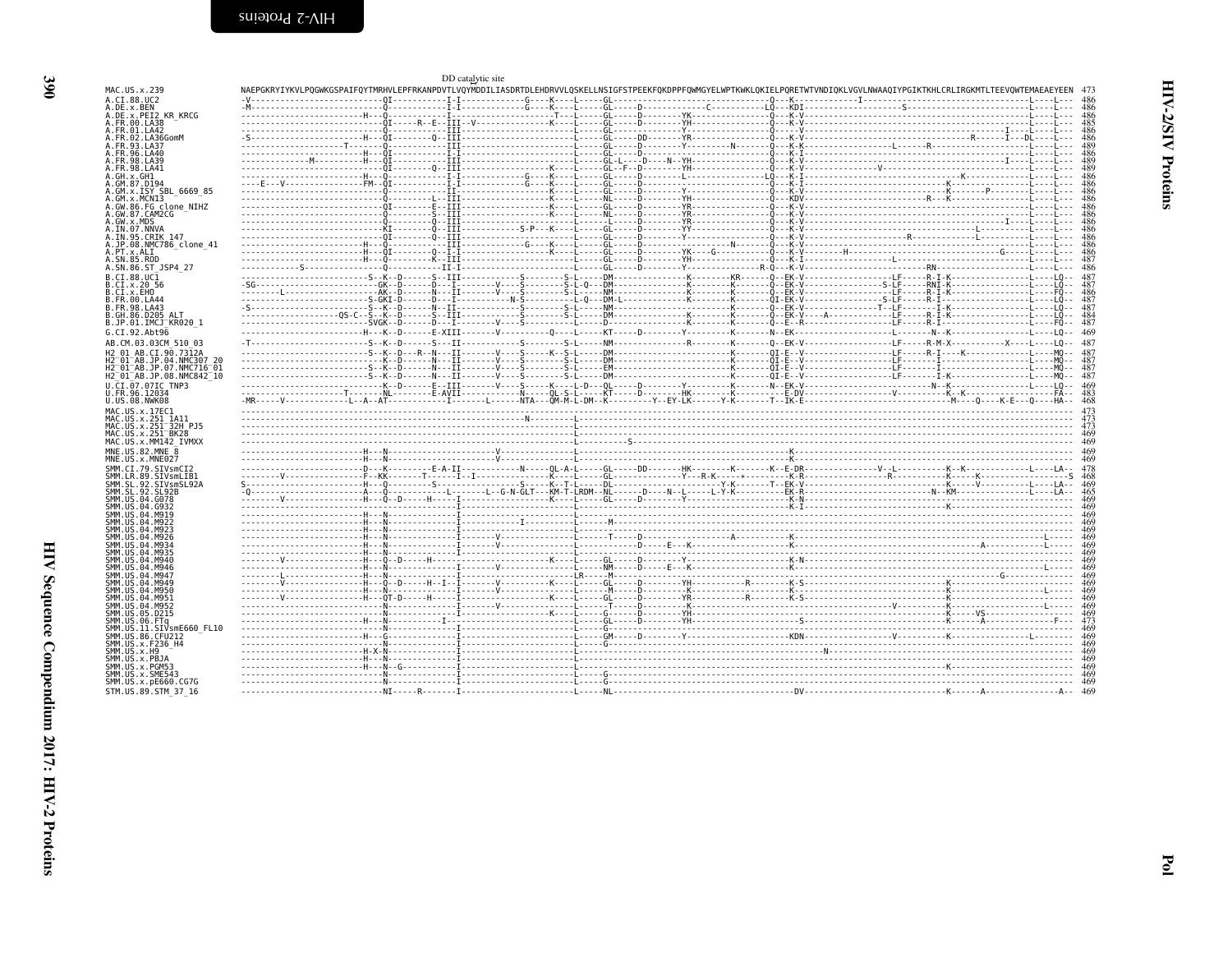| I<br>۰.<br>v |
|--------------|

<span id="page-13-0"></span>

|                                                                                                                                                                                                                                                                                                |  | DD catalytic site |  |                                                                                                                                                                                                                                                                                                                                                                                                                                                                                                  |     |
|------------------------------------------------------------------------------------------------------------------------------------------------------------------------------------------------------------------------------------------------------------------------------------------------|--|-------------------|--|--------------------------------------------------------------------------------------------------------------------------------------------------------------------------------------------------------------------------------------------------------------------------------------------------------------------------------------------------------------------------------------------------------------------------------------------------------------------------------------------------|-----|
| MAC.US.x.239                                                                                                                                                                                                                                                                                   |  |                   |  | NAEPGKRYIYKVLPOGWKGSPAIFOYTMRHVLEPFRKANPDVTLVOYMDDILIASDRTDLEHDRVVLOSKELLNSIGFSTPEEKFOKDPPFOWMGYELWPTKWKLOKIELPORETWTVNDIOKLVGVLNWAA0IYPGIKTKHLCRLIRGKMTLTEEVOWTEMAEAEYEEN 473                                                                                                                                                                                                                                                                                                                   |     |
| A.CI.88.UC2                                                                                                                                                                                                                                                                                    |  |                   |  |                                                                                                                                                                                                                                                                                                                                                                                                                                                                                                  |     |
| A.DE.x.BEN<br>A.DE.X.PEI2 KR KRCG                                                                                                                                                                                                                                                              |  |                   |  |                                                                                                                                                                                                                                                                                                                                                                                                                                                                                                  |     |
| A. FR. 00. LA38                                                                                                                                                                                                                                                                                |  |                   |  |                                                                                                                                                                                                                                                                                                                                                                                                                                                                                                  |     |
| A.FR.01.LA42                                                                                                                                                                                                                                                                                   |  |                   |  |                                                                                                                                                                                                                                                                                                                                                                                                                                                                                                  | 486 |
| A.FR.02.LA36GomM<br>A.FR.93.LA37                                                                                                                                                                                                                                                               |  |                   |  |                                                                                                                                                                                                                                                                                                                                                                                                                                                                                                  | 486 |
| A.FR.96.LA40                                                                                                                                                                                                                                                                                   |  |                   |  |                                                                                                                                                                                                                                                                                                                                                                                                                                                                                                  |     |
| A.FR.98.LA39                                                                                                                                                                                                                                                                                   |  |                   |  |                                                                                                                                                                                                                                                                                                                                                                                                                                                                                                  |     |
| A.FR.98.LA41                                                                                                                                                                                                                                                                                   |  |                   |  |                                                                                                                                                                                                                                                                                                                                                                                                                                                                                                  |     |
| A.GH.x.GH1<br>A.GM.87.D194                                                                                                                                                                                                                                                                     |  |                   |  |                                                                                                                                                                                                                                                                                                                                                                                                                                                                                                  | 486 |
| A.GM.x.ISY SBL 6669 85                                                                                                                                                                                                                                                                         |  |                   |  |                                                                                                                                                                                                                                                                                                                                                                                                                                                                                                  |     |
| A.GM.x.MCN13                                                                                                                                                                                                                                                                                   |  |                   |  |                                                                                                                                                                                                                                                                                                                                                                                                                                                                                                  |     |
| A.GW.86.FG clone NIHZ                                                                                                                                                                                                                                                                          |  |                   |  |                                                                                                                                                                                                                                                                                                                                                                                                                                                                                                  |     |
| A.GW.87.CAM2CG<br>A.GW.x.MDS                                                                                                                                                                                                                                                                   |  |                   |  |                                                                                                                                                                                                                                                                                                                                                                                                                                                                                                  | 486 |
| A.IN.07.NNVA                                                                                                                                                                                                                                                                                   |  |                   |  |                                                                                                                                                                                                                                                                                                                                                                                                                                                                                                  |     |
| A.IN.95.CRIK 147                                                                                                                                                                                                                                                                               |  |                   |  |                                                                                                                                                                                                                                                                                                                                                                                                                                                                                                  |     |
| A.JP.08.NMC786 clone 41                                                                                                                                                                                                                                                                        |  |                   |  |                                                                                                                                                                                                                                                                                                                                                                                                                                                                                                  |     |
| A.PT.x.ALI<br>A.SN.85.ROD                                                                                                                                                                                                                                                                      |  |                   |  |                                                                                                                                                                                                                                                                                                                                                                                                                                                                                                  |     |
| A.SN.86.ST JSP4 27                                                                                                                                                                                                                                                                             |  |                   |  |                                                                                                                                                                                                                                                                                                                                                                                                                                                                                                  |     |
| B.CI.88.UC1                                                                                                                                                                                                                                                                                    |  |                   |  |                                                                                                                                                                                                                                                                                                                                                                                                                                                                                                  |     |
| B.CI.X.20 56                                                                                                                                                                                                                                                                                   |  |                   |  | $\begin{bmatrix} \textbf{0} & \textbf{0} & \textbf{0} & \textbf{0} & \textbf{0} & \textbf{0} & \textbf{0} & \textbf{0} & \textbf{0} & \textbf{0} & \textbf{0} & \textbf{0} & \textbf{0} & \textbf{0} & \textbf{0} & \textbf{0} & \textbf{0} & \textbf{0} & \textbf{0} & \textbf{0} & \textbf{0} & \textbf{0} & \textbf{0} & \textbf{0} & \textbf{0} & \textbf{0} & \textbf{0} & \textbf{0} & \textbf{0} & \textbf{0} & \textbf{$                                                                 | 487 |
| B.CI.x.EHO<br>B.FR.00.LA44                                                                                                                                                                                                                                                                     |  |                   |  |                                                                                                                                                                                                                                                                                                                                                                                                                                                                                                  | 487 |
| B.FR.98.LA43                                                                                                                                                                                                                                                                                   |  |                   |  |                                                                                                                                                                                                                                                                                                                                                                                                                                                                                                  | 487 |
| B.GH.86.D205 ALT                                                                                                                                                                                                                                                                               |  |                   |  |                                                                                                                                                                                                                                                                                                                                                                                                                                                                                                  | 484 |
| B.JP.01.IMCJ KR020 1                                                                                                                                                                                                                                                                           |  |                   |  |                                                                                                                                                                                                                                                                                                                                                                                                                                                                                                  |     |
| G.CI.92.Abt96                                                                                                                                                                                                                                                                                  |  |                   |  |                                                                                                                                                                                                                                                                                                                                                                                                                                                                                                  | 469 |
| AB.CM.03.03CM 510 03                                                                                                                                                                                                                                                                           |  |                   |  |                                                                                                                                                                                                                                                                                                                                                                                                                                                                                                  |     |
| H2 01 AB.CI.90.7312A                                                                                                                                                                                                                                                                           |  |                   |  |                                                                                                                                                                                                                                                                                                                                                                                                                                                                                                  |     |
| H2 01 AB.JP.04.NMC307 20<br>H2 <sup>-</sup> 01 <sup>-</sup> AB.JP.07.NMC716 <sup>-</sup> 01                                                                                                                                                                                                    |  |                   |  |                                                                                                                                                                                                                                                                                                                                                                                                                                                                                                  |     |
| H2 <sup>-</sup> 01 <sup>-</sup> AB.JP.08.NMC842 <sup>-</sup> 10                                                                                                                                                                                                                                |  |                   |  |                                                                                                                                                                                                                                                                                                                                                                                                                                                                                                  |     |
| U.CI.07.07IC TNP3                                                                                                                                                                                                                                                                              |  |                   |  |                                                                                                                                                                                                                                                                                                                                                                                                                                                                                                  |     |
| U.FR.96.12034                                                                                                                                                                                                                                                                                  |  |                   |  |                                                                                                                                                                                                                                                                                                                                                                                                                                                                                                  |     |
| U.US.08.NWK08                                                                                                                                                                                                                                                                                  |  |                   |  |                                                                                                                                                                                                                                                                                                                                                                                                                                                                                                  |     |
| MAC.US.x.17EC1                                                                                                                                                                                                                                                                                 |  |                   |  |                                                                                                                                                                                                                                                                                                                                                                                                                                                                                                  |     |
| MAC.US.x.251 1A11<br>MAC.US.x.251 <sup>-</sup> 32H PJ5                                                                                                                                                                                                                                         |  |                   |  |                                                                                                                                                                                                                                                                                                                                                                                                                                                                                                  |     |
| MAC.US.x.251 <sup>-</sup> BK28                                                                                                                                                                                                                                                                 |  |                   |  |                                                                                                                                                                                                                                                                                                                                                                                                                                                                                                  |     |
| MAC.US.x.MM142 IVMXX                                                                                                                                                                                                                                                                           |  |                   |  |                                                                                                                                                                                                                                                                                                                                                                                                                                                                                                  |     |
| MNE.US.82.MNE 8                                                                                                                                                                                                                                                                                |  |                   |  |                                                                                                                                                                                                                                                                                                                                                                                                                                                                                                  |     |
| MNE.US.x.MNE027                                                                                                                                                                                                                                                                                |  |                   |  | $\begin{minipage}[t]{.15\textwidth}\begin{minipage}[t]{0.03\textwidth}\begin{minipage}[t]{0.03\textwidth}\begin{minipage}[t]{0.03\textwidth}\begin{minipage}[t]{0.03\textwidth}\begin{minipage}[t]{0.03\textwidth}\begin{minipage}[t]{0.03\textwidth}\begin{minipage}[t]{0.03\textwidth}\begin{minipage}[t]{0.03\textwidth}\begin{minipage}[t]{0.03\textwidth}\begin{minipage}[t]{0.03\textwidth}\begin{minipage}[t]{0.03\textwidth}\begin{minipage}[t]{0.03\textwidth}\begin{minipage}[t]{0.03$ |     |
| SMM.CI.79.SIVsmCI2<br>SMM.LR.89.SIVsmLIB1                                                                                                                                                                                                                                                      |  |                   |  |                                                                                                                                                                                                                                                                                                                                                                                                                                                                                                  | 468 |
| SMM.SL.92.SIVsmSL92A                                                                                                                                                                                                                                                                           |  |                   |  |                                                                                                                                                                                                                                                                                                                                                                                                                                                                                                  |     |
| SMM.SL.92.SL92B                                                                                                                                                                                                                                                                                |  |                   |  |                                                                                                                                                                                                                                                                                                                                                                                                                                                                                                  |     |
| SMM.US.04.G078<br>SMM. U.S. 04. G932                                                                                                                                                                                                                                                           |  |                   |  |                                                                                                                                                                                                                                                                                                                                                                                                                                                                                                  |     |
| SMM.US.04.M919                                                                                                                                                                                                                                                                                 |  |                   |  |                                                                                                                                                                                                                                                                                                                                                                                                                                                                                                  |     |
| SMM IIS 04 M922                                                                                                                                                                                                                                                                                |  |                   |  |                                                                                                                                                                                                                                                                                                                                                                                                                                                                                                  |     |
| SMM.US.04.M923                                                                                                                                                                                                                                                                                 |  |                   |  | $\begin{minipage}{0.99\textwidth} \begin{tabular}{ l l } \hline \multicolumn{1}{ l l } \hline \multicolumn{1}{ l }{} \multicolumn{1}{ l }{} \multicolumn{1}{ l }{} \multicolumn{1}{ l }{} \multicolumn{1}{ l }{} \multicolumn{1}{ l }{} \multicolumn{1}{ l }{} \multicolumn{1}{ l }{} \multicolumn{1}{ l }{} \multicolumn{1}{ l }{} \multicolumn{1}{ l }{} \multicolumn{1}{ l }{} \multicolumn{1}{ l }{} \multicolumn{1}{ l }{} \multicolumn{1$                                                  |     |
| SMM.US.04.M926<br>SMM.US.04.M934                                                                                                                                                                                                                                                               |  |                   |  |                                                                                                                                                                                                                                                                                                                                                                                                                                                                                                  | 469 |
| SMM.US.04.M935                                                                                                                                                                                                                                                                                 |  |                   |  |                                                                                                                                                                                                                                                                                                                                                                                                                                                                                                  |     |
| SMM.US.04.M940                                                                                                                                                                                                                                                                                 |  |                   |  |                                                                                                                                                                                                                                                                                                                                                                                                                                                                                                  |     |
| SMM.US.04.M946<br>SMM.US.04.M947                                                                                                                                                                                                                                                               |  |                   |  |                                                                                                                                                                                                                                                                                                                                                                                                                                                                                                  |     |
|                                                                                                                                                                                                                                                                                                |  |                   |  |                                                                                                                                                                                                                                                                                                                                                                                                                                                                                                  |     |
|                                                                                                                                                                                                                                                                                                |  |                   |  |                                                                                                                                                                                                                                                                                                                                                                                                                                                                                                  |     |
|                                                                                                                                                                                                                                                                                                |  |                   |  |                                                                                                                                                                                                                                                                                                                                                                                                                                                                                                  |     |
|                                                                                                                                                                                                                                                                                                |  |                   |  |                                                                                                                                                                                                                                                                                                                                                                                                                                                                                                  |     |
|                                                                                                                                                                                                                                                                                                |  |                   |  |                                                                                                                                                                                                                                                                                                                                                                                                                                                                                                  | 469 |
|                                                                                                                                                                                                                                                                                                |  |                   |  |                                                                                                                                                                                                                                                                                                                                                                                                                                                                                                  |     |
|                                                                                                                                                                                                                                                                                                |  |                   |  |                                                                                                                                                                                                                                                                                                                                                                                                                                                                                                  |     |
|                                                                                                                                                                                                                                                                                                |  |                   |  |                                                                                                                                                                                                                                                                                                                                                                                                                                                                                                  |     |
|                                                                                                                                                                                                                                                                                                |  |                   |  | $\begin{tabular}{ c c c c c } \hline \multicolumn{3}{ c }{\hline \multicolumn{3}{ c }{\hline \multicolumn{3}{ c }{\hline \multicolumn{3}{ c }{\hline \multicolumn{3}{ c }{\hline \multicolumn{3}{ c }{\hline \multicolumn{3}{ c }{\hline \multicolumn{3}{ c }{\hline \multicolumn{3}{ c }{\hline \multicolumn{3}{ c }{\hline \multicolumn{3}{ c }{\hline \multicolumn{3}{ c }{\hline \multicolumn{3}{ c }{\hline \multicolumn{3}{ c }{\hline \multic$                                            |     |
|                                                                                                                                                                                                                                                                                                |  |                   |  |                                                                                                                                                                                                                                                                                                                                                                                                                                                                                                  |     |
|                                                                                                                                                                                                                                                                                                |  |                   |  |                                                                                                                                                                                                                                                                                                                                                                                                                                                                                                  |     |
|                                                                                                                                                                                                                                                                                                |  |                   |  |                                                                                                                                                                                                                                                                                                                                                                                                                                                                                                  |     |
| SMM.US.04.M949<br>SMM.US.04.M950<br>SMM.US.04.M951<br>SMM.US.04.M952<br>SMM.US.05.D215<br>SMM.US.06.FTa<br>SMM.ÜS.11.SIVsmE660 FL10<br>SMM.US.86.CFU212<br>SMM.US.x.F236 H4<br>SMM.US.x.H9<br>SMM.US.x.PBJA<br>SMM.US.x.PGM53<br>SMM.US.x.SME543<br>SMM.US.x.pE660.CG7G<br>STM.US.89.STM 37 16 |  |                   |  |                                                                                                                                                                                                                                                                                                                                                                                                                                                                                                  |     |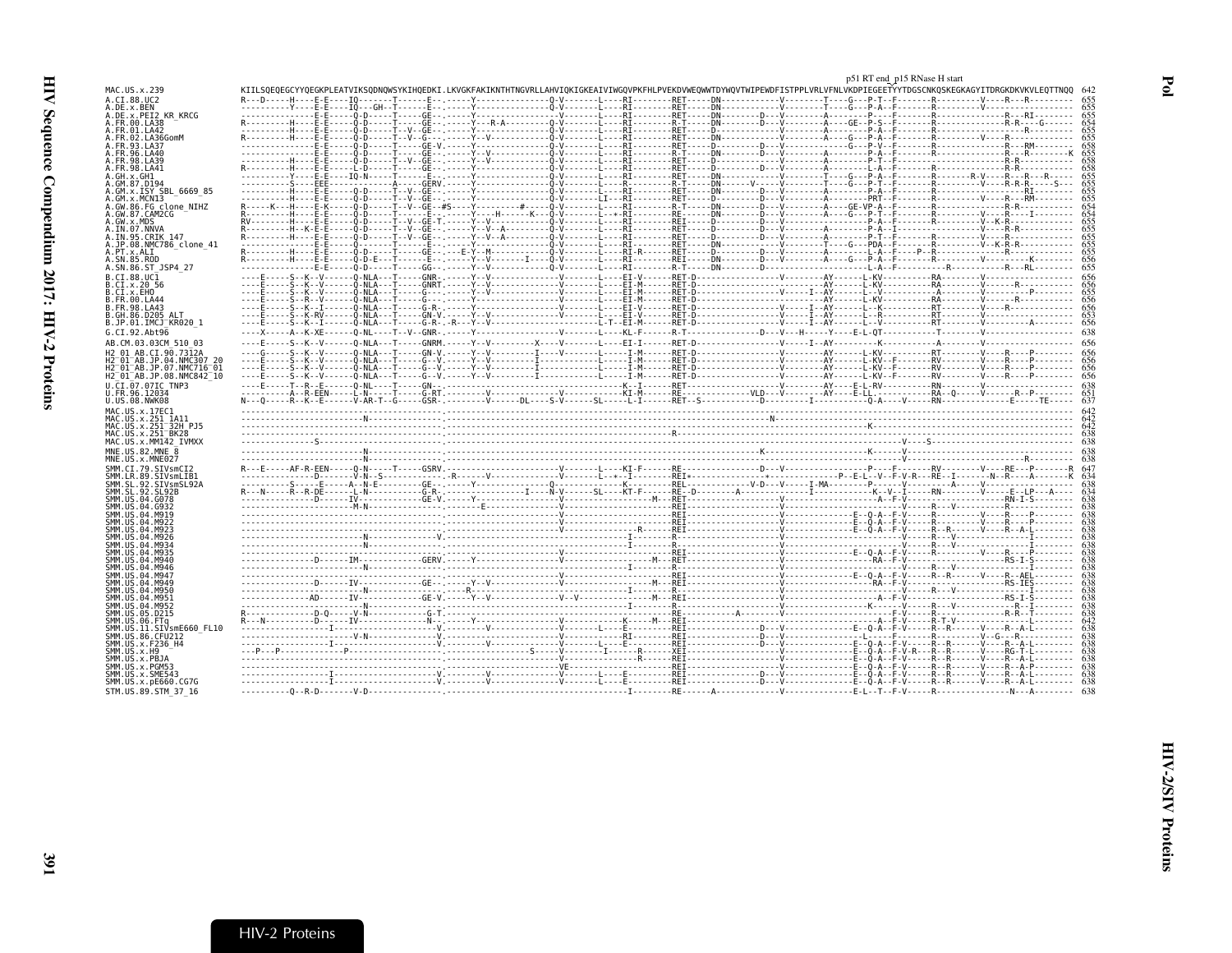<span id="page-14-0"></span>

|                                                                 |                                                                                                                                                                            |  | p51 RT end_p15 RNase H start |  |
|-----------------------------------------------------------------|----------------------------------------------------------------------------------------------------------------------------------------------------------------------------|--|------------------------------|--|
| MAC.US.x.239                                                    | KIILSOEOEGCYYOEGKPLEATVIKSODNOWSYKIHOEDKI.LKVGKFAKIKNTHTNGVRLLAHVIOKIGKEAIVIWGOVPKFHLPVEKDVWEOWWTDYWOVTWIPEWDFISTPPLVRLVFNLVKDPIEGEETYYTDGSCNKOSKEGKAGYITDRGKDKVKVLEOTTNOO |  |                              |  |
| A.CI.88.UC2<br>A.DE.x.BEN                                       |                                                                                                                                                                            |  |                              |  |
| A.DE.x.PEI2 KR KRCG                                             |                                                                                                                                                                            |  |                              |  |
| FR.00.LA38<br>.FR.01.LA42                                       |                                                                                                                                                                            |  |                              |  |
| FR.02.LA36GomM                                                  |                                                                                                                                                                            |  |                              |  |
| . FR . 93 . LA37<br>. FR. 96. LA40                              |                                                                                                                                                                            |  |                              |  |
| <b>FR 98 1439</b>                                               |                                                                                                                                                                            |  |                              |  |
| .FR.98.LA41<br>. GH . x . GH 1                                  |                                                                                                                                                                            |  |                              |  |
|                                                                 |                                                                                                                                                                            |  |                              |  |
| GM.X.ISY SBL 6669 85<br>GM.x.MCNI3                              |                                                                                                                                                                            |  |                              |  |
| A.GW.86.FG clone NIHZ                                           |                                                                                                                                                                            |  |                              |  |
| A.GW.87.CAM2CG<br>A.GW.x.MDS                                    |                                                                                                                                                                            |  |                              |  |
| A.IN.07.NNVA                                                    |                                                                                                                                                                            |  |                              |  |
| A.IN.95.CRIK 147<br>A.JP.08.NMC786 clone 41                     |                                                                                                                                                                            |  |                              |  |
| A.PT.x.ALI                                                      |                                                                                                                                                                            |  |                              |  |
| A.SN.85.ROD<br>A.SN.86.ST JSP4 27                               |                                                                                                                                                                            |  |                              |  |
| B.CT.88.UC1                                                     |                                                                                                                                                                            |  |                              |  |
| B.CI.x.20 56                                                    |                                                                                                                                                                            |  |                              |  |
| B.CI.x.EHO<br>B.FR.00.LA44                                      |                                                                                                                                                                            |  |                              |  |
| . FR. 98. LA43                                                  |                                                                                                                                                                            |  |                              |  |
| B.GH.86.D205 ALT<br>B.JP.01.IMCJ <sup>-</sup> KR020 1           |                                                                                                                                                                            |  |                              |  |
| G.CI.92.Abt96                                                   |                                                                                                                                                                            |  |                              |  |
| AB.CM.03.03CM 510 03                                            |                                                                                                                                                                            |  |                              |  |
| H2 01 AB.CI.90.7312A                                            |                                                                                                                                                                            |  |                              |  |
| H2 <sup>-</sup> 01 <sup>-</sup> AB.JP.07.NMC716 <sup>-</sup> 01 |                                                                                                                                                                            |  |                              |  |
| H2 <sup>-</sup> 01 <sup>-</sup> AB.JP.08.NMC842 <sup>-</sup> 10 |                                                                                                                                                                            |  |                              |  |
| U.CI.07.07IC TNP3<br>U.FR.96.12034                              |                                                                                                                                                                            |  |                              |  |
| U.US.08.NWK08                                                   |                                                                                                                                                                            |  |                              |  |
| MAC.US.x.17EC1<br>MAC.US.x.251 1A11                             | <u> 1999 - Andrea Andrewski, amerikan baratzar zuen ziren ziren ziren ziren ziren ziren ziren ziren ziren ziren</u>                                                        |  |                              |  |
| MAC.US.x.251 <sup>—</sup> 32H PJ5                               |                                                                                                                                                                            |  |                              |  |
| MAC.US.x.251 BK28<br>MAC.US.x.MM142 IVMXX                       |                                                                                                                                                                            |  |                              |  |
| MNE.US.82.MNE 8                                                 |                                                                                                                                                                            |  |                              |  |
| MNE.US.x.MNE027                                                 |                                                                                                                                                                            |  |                              |  |
| SMM.CI.79.SIVsmCI2<br>SMM.LR.89.SIVsmLIB1                       |                                                                                                                                                                            |  |                              |  |
| SMM.SL.92.SIVsmSL92A                                            |                                                                                                                                                                            |  |                              |  |
| SMM.SL.92.SL92B<br>SMM US 04 G078                               |                                                                                                                                                                            |  |                              |  |
|                                                                 |                                                                                                                                                                            |  |                              |  |
|                                                                 |                                                                                                                                                                            |  |                              |  |
|                                                                 |                                                                                                                                                                            |  |                              |  |
|                                                                 |                                                                                                                                                                            |  |                              |  |
|                                                                 |                                                                                                                                                                            |  |                              |  |
|                                                                 |                                                                                                                                                                            |  |                              |  |
| SMM.US.04.M947<br>SMM IIS A4 MQ4C                               |                                                                                                                                                                            |  |                              |  |
| 04 M956                                                         |                                                                                                                                                                            |  |                              |  |
|                                                                 |                                                                                                                                                                            |  |                              |  |
|                                                                 |                                                                                                                                                                            |  |                              |  |
| SMM US.06.FTa<br>SMM.US.11.SIVsmE660 FL10                       |                                                                                                                                                                            |  |                              |  |
| SMM.US.86.CFU212                                                |                                                                                                                                                                            |  |                              |  |
| SMM.US.x.F236 H4<br>SMM.US.x.H9                                 |                                                                                                                                                                            |  |                              |  |
| SMM.US.x.PBJA                                                   |                                                                                                                                                                            |  |                              |  |
| SMM.US.x.PGM53<br>SMM.US.x.SME543                               |                                                                                                                                                                            |  |                              |  |
| SMM.US.x.pE660.CG7G                                             |                                                                                                                                                                            |  |                              |  |
| STM.US.89.STM 37 16                                             |                                                                                                                                                                            |  |                              |  |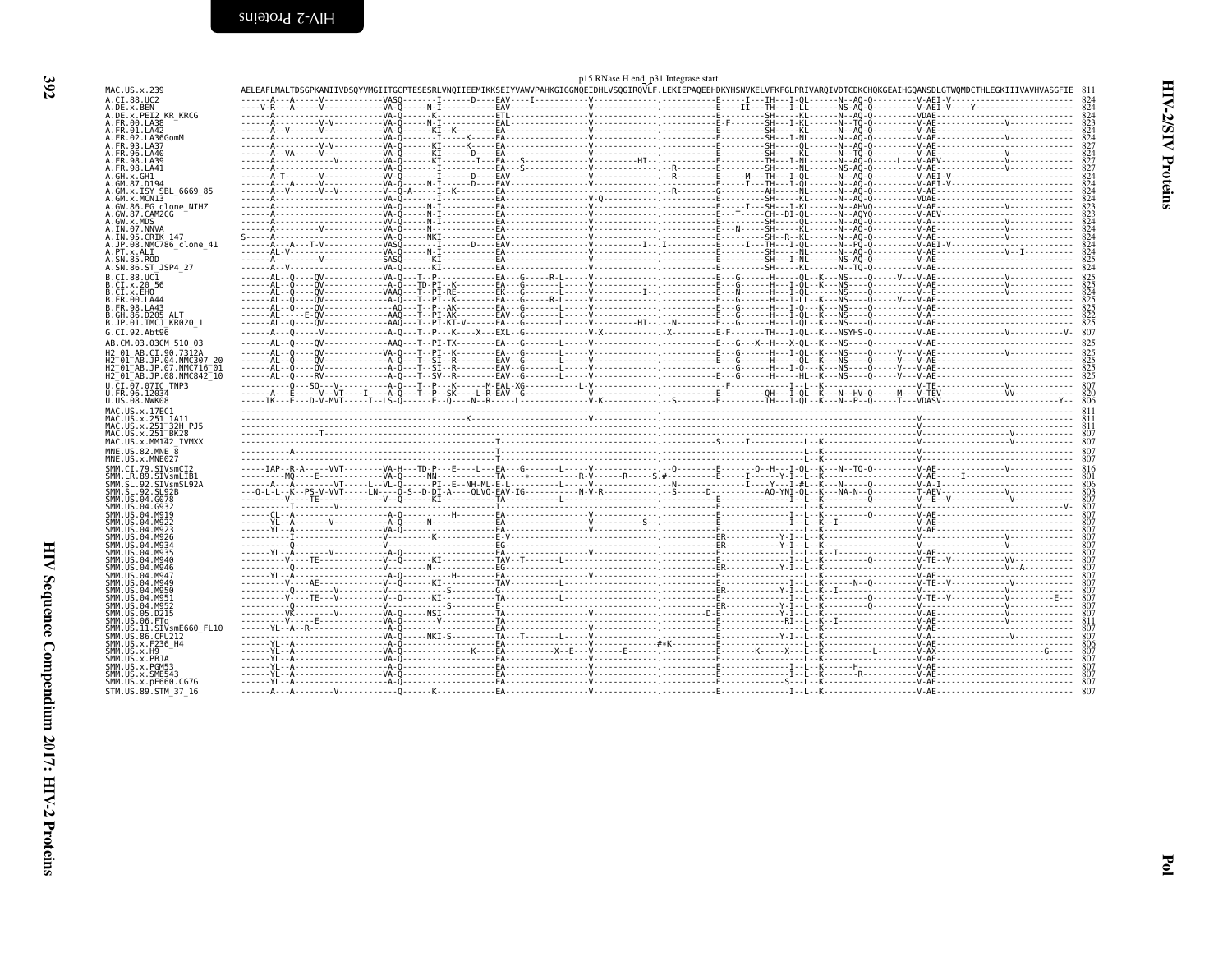<span id="page-15-0"></span>

| p15 RNase H end_p31 Integrase start<br>AELEAFLMALTDSGPKANIIVDSQYVMGIITGCPTESESRLVNQIIEEMIKKSEIYVAWPAHKGIGGNQEIDHLVSQGIRQVLF.LEKIEPAQEEHDKYHSNVKELVFKFGLPRIVARQIVDTCDKCHQKGEAIHGQANSDLGTWQMDCTHLEGKIIIVAVHVASGFIE |  |  |  |  |            |  |  |
|------------------------------------------------------------------------------------------------------------------------------------------------------------------------------------------------------------------|--|--|--|--|------------|--|--|
| MAC.US.x.239                                                                                                                                                                                                     |  |  |  |  |            |  |  |
| A.CI.88.UC2<br>A.DE.x.BEN                                                                                                                                                                                        |  |  |  |  |            |  |  |
| A.DE.x.PEI2 KR KRCG<br>A.FR.00.LA38                                                                                                                                                                              |  |  |  |  |            |  |  |
| A.FR.01.LA42                                                                                                                                                                                                     |  |  |  |  |            |  |  |
| A.FR.02.LA36GomM<br>A.FR.93.LA37                                                                                                                                                                                 |  |  |  |  |            |  |  |
| A.FR.96.LA40<br>A.FR.98.LA39                                                                                                                                                                                     |  |  |  |  |            |  |  |
| A.FR.98.LA41                                                                                                                                                                                                     |  |  |  |  |            |  |  |
| 4.GH.X.GH1<br>A.GM.87.D194                                                                                                                                                                                       |  |  |  |  |            |  |  |
| .GM.x.ISY SBL 6669 85<br>A.GM.x.MCNI3                                                                                                                                                                            |  |  |  |  |            |  |  |
| A.GW.86.FG clone NIHZ<br>A.GW.87.CAM2CG                                                                                                                                                                          |  |  |  |  |            |  |  |
| A.GW.x.MDS                                                                                                                                                                                                       |  |  |  |  | 824        |  |  |
| A.IN.07.NNVA<br>A.IN.95.CRIK 147                                                                                                                                                                                 |  |  |  |  |            |  |  |
| A.JP.08.NMC786 clone 41<br>A.PT.x.ALI                                                                                                                                                                            |  |  |  |  |            |  |  |
| A.SN.85.ROD                                                                                                                                                                                                      |  |  |  |  |            |  |  |
| A.SN.86.ST_JSP4 27<br>B.CI.88.UC1                                                                                                                                                                                |  |  |  |  |            |  |  |
| B.CI.x.20 56                                                                                                                                                                                                     |  |  |  |  |            |  |  |
| B.CI.x.EHO<br>B.FR.00.LA44                                                                                                                                                                                       |  |  |  |  |            |  |  |
| B.FR.98.LA43<br>B.GH.86.D205 ALT                                                                                                                                                                                 |  |  |  |  |            |  |  |
| B.JP.01.IMCJ <sup>-</sup> KR020 1                                                                                                                                                                                |  |  |  |  |            |  |  |
| G.CI.92.Abt96<br>AB.CM.03.03CM 510 03                                                                                                                                                                            |  |  |  |  |            |  |  |
| H2 01 AB.CI.90.7312A                                                                                                                                                                                             |  |  |  |  |            |  |  |
| H2 <sup>-</sup> 01 <sup>-</sup> AB.JP.04.NMC307 20                                                                                                                                                               |  |  |  |  |            |  |  |
| H2 <sup>-</sup> 01 <sup>-</sup> AB.JP.07.NMC716 <sup>-</sup> 01<br>H2 <sup>-</sup> 01 <sup>-</sup> AB.JP.08.NMC842 <sup>-</sup> 10                                                                               |  |  |  |  |            |  |  |
| U.CI.07.07IC TNP3                                                                                                                                                                                                |  |  |  |  |            |  |  |
| U.FR.96.12034<br>U.US.08.NWK08                                                                                                                                                                                   |  |  |  |  |            |  |  |
| MAC.US.x.17EC1<br>MAC.US.x.251 1A11                                                                                                                                                                              |  |  |  |  |            |  |  |
| MAC.US.x.251 <sup>-</sup> 32H PJ5<br>MAC.US.x.251 BK28                                                                                                                                                           |  |  |  |  |            |  |  |
| MAC.US.x.MM142 IVMXX                                                                                                                                                                                             |  |  |  |  |            |  |  |
| MNE.US.82.MNE 8<br>MNE.US.x.MNE027                                                                                                                                                                               |  |  |  |  |            |  |  |
| SMM.CI.79.SIVsmCI2                                                                                                                                                                                               |  |  |  |  |            |  |  |
| SMM.LR.89.SIVsmLIB<br>SMM.SL.92.SIVsmSL92A                                                                                                                                                                       |  |  |  |  |            |  |  |
| SMM.SL.92.SL92B                                                                                                                                                                                                  |  |  |  |  | 803        |  |  |
| SMM.US.04.G078<br>SMM.US.04.G932                                                                                                                                                                                 |  |  |  |  |            |  |  |
| SMM.US.04.M919<br>SMM.US.                                                                                                                                                                                        |  |  |  |  |            |  |  |
| SMM IIS 04 M926                                                                                                                                                                                                  |  |  |  |  |            |  |  |
| SMM IIS 04 M934                                                                                                                                                                                                  |  |  |  |  |            |  |  |
| SMM US 04 M935<br>SMM.US.04.M940                                                                                                                                                                                 |  |  |  |  | 807        |  |  |
| SMM.US.04.M947                                                                                                                                                                                                   |  |  |  |  | 807        |  |  |
| SMM.US.04.M949                                                                                                                                                                                                   |  |  |  |  |            |  |  |
| SMM.US.04.M950<br>SMM.US.04.M951                                                                                                                                                                                 |  |  |  |  |            |  |  |
| SMM.US.04.M952<br>SMM.US.05.D215                                                                                                                                                                                 |  |  |  |  |            |  |  |
| SMM.US.06.FTq<br>SMM.US.11.SIVsmE660 FL10                                                                                                                                                                        |  |  |  |  |            |  |  |
| SMM.US.86.CFU212                                                                                                                                                                                                 |  |  |  |  |            |  |  |
| SMM. US. x. F236 H4<br>SMM.US.x.H9                                                                                                                                                                               |  |  |  |  | 806<br>807 |  |  |
| SMM.US.x.PBJA                                                                                                                                                                                                    |  |  |  |  |            |  |  |
| SMM.US.x.PGM53<br>SMM.US.x.SME543                                                                                                                                                                                |  |  |  |  |            |  |  |
| SMM.US.x.pE660.CG7G<br>STM.US.89.STM 37 16                                                                                                                                                                       |  |  |  |  |            |  |  |
|                                                                                                                                                                                                                  |  |  |  |  |            |  |  |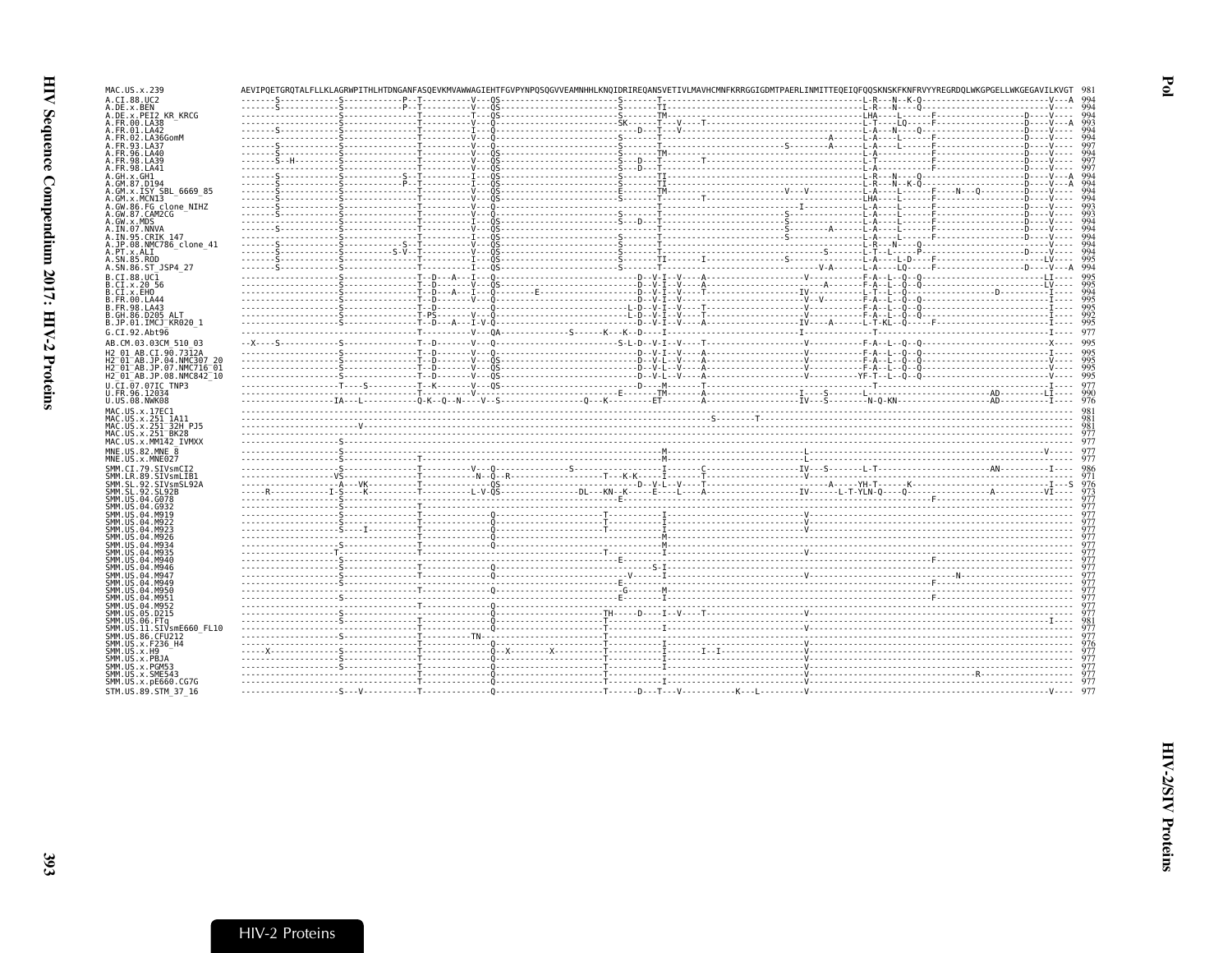| MAC.US.x.239                                                                            |  |  |  |                                                                                                                                                                                                                                                                                                                                                                                                                                                      |     |
|-----------------------------------------------------------------------------------------|--|--|--|------------------------------------------------------------------------------------------------------------------------------------------------------------------------------------------------------------------------------------------------------------------------------------------------------------------------------------------------------------------------------------------------------------------------------------------------------|-----|
| A.CI.88.UC2                                                                             |  |  |  |                                                                                                                                                                                                                                                                                                                                                                                                                                                      |     |
| A.DE.x.BEN<br>A.DE.x.PEI2 KR KRCG                                                       |  |  |  |                                                                                                                                                                                                                                                                                                                                                                                                                                                      |     |
| A.FR.00.LA38                                                                            |  |  |  |                                                                                                                                                                                                                                                                                                                                                                                                                                                      |     |
| A.FR.01.LA42                                                                            |  |  |  |                                                                                                                                                                                                                                                                                                                                                                                                                                                      |     |
| A. FR. 02. LA36GomM<br>A.FR.93.LA37                                                     |  |  |  |                                                                                                                                                                                                                                                                                                                                                                                                                                                      |     |
| A. FR. 96. LA40                                                                         |  |  |  |                                                                                                                                                                                                                                                                                                                                                                                                                                                      |     |
| A.FR.98.LA39                                                                            |  |  |  |                                                                                                                                                                                                                                                                                                                                                                                                                                                      |     |
| A.FR.98.LA41                                                                            |  |  |  |                                                                                                                                                                                                                                                                                                                                                                                                                                                      |     |
| A.GH.x.GH1<br>A.GM.87.D194                                                              |  |  |  |                                                                                                                                                                                                                                                                                                                                                                                                                                                      |     |
| A.GM.x.ISY SBL 6669 85                                                                  |  |  |  |                                                                                                                                                                                                                                                                                                                                                                                                                                                      |     |
| A.GM.x.MCNI3                                                                            |  |  |  |                                                                                                                                                                                                                                                                                                                                                                                                                                                      |     |
| A.GW.86.FG clone NIHZ<br>A.GW.87.CAM2CG                                                 |  |  |  |                                                                                                                                                                                                                                                                                                                                                                                                                                                      |     |
| A.GW.x.MDS                                                                              |  |  |  |                                                                                                                                                                                                                                                                                                                                                                                                                                                      |     |
| A.IN.07.NNVA                                                                            |  |  |  |                                                                                                                                                                                                                                                                                                                                                                                                                                                      |     |
| A.IN.95.CRIK 147<br>A.JP.08.NMC786 clone 41                                             |  |  |  |                                                                                                                                                                                                                                                                                                                                                                                                                                                      |     |
| A.PT.x.ALI                                                                              |  |  |  |                                                                                                                                                                                                                                                                                                                                                                                                                                                      | 99  |
| A.SN.85.ROD                                                                             |  |  |  |                                                                                                                                                                                                                                                                                                                                                                                                                                                      |     |
| A.SN.86.ST JSP4 27                                                                      |  |  |  |                                                                                                                                                                                                                                                                                                                                                                                                                                                      | 994 |
| B.CI.88.UC1<br>B.CI.x.20 56                                                             |  |  |  |                                                                                                                                                                                                                                                                                                                                                                                                                                                      |     |
| B.CI.X.EHO                                                                              |  |  |  |                                                                                                                                                                                                                                                                                                                                                                                                                                                      |     |
| B. FR. 00. LA44                                                                         |  |  |  |                                                                                                                                                                                                                                                                                                                                                                                                                                                      |     |
| B. FR. 98. LA43<br>B.GH.86.D205 ALT                                                     |  |  |  |                                                                                                                                                                                                                                                                                                                                                                                                                                                      |     |
| B.JP.01.IMCJ KR020 1                                                                    |  |  |  |                                                                                                                                                                                                                                                                                                                                                                                                                                                      |     |
| G.CI.92.Abt96                                                                           |  |  |  |                                                                                                                                                                                                                                                                                                                                                                                                                                                      |     |
| AB.CM.03.03CM 510 03                                                                    |  |  |  |                                                                                                                                                                                                                                                                                                                                                                                                                                                      |     |
| H2 01 AB.CI.90.7312A                                                                    |  |  |  | $\begin{minipage}{0.03\textwidth} \begin{tabular}{ c c c c c c } \hline \textbf{0.03\textwidth} & \textbf{0.04\textwidth} & \textbf{0.05\textwidth} & \textbf{0.06\textwidth} & \textbf{0.07\textwidth} & \textbf{0.07\textwidth} & \textbf{0.07\textwidth} & \textbf{0.07\textwidth} & \textbf{0.07\textwidth} & \textbf{0.07\textwidth} & \textbf{0.07\textwidth} & \textbf{0.07\textwidth} & \textbf{0.07\textwidth} & \textbf{0.07\textwidth} &$ |     |
| H2 01 AB.JP.04.NMC307 20                                                                |  |  |  |                                                                                                                                                                                                                                                                                                                                                                                                                                                      |     |
| H2 <sup>-01-AB.JP.07.NMC716-01</sup><br>H2 <sup>-01-AB.JP.08.NMC842<sup>-10</sup></sup> |  |  |  |                                                                                                                                                                                                                                                                                                                                                                                                                                                      |     |
| U.CI.07.07IC TNP3                                                                       |  |  |  |                                                                                                                                                                                                                                                                                                                                                                                                                                                      |     |
| U.FR.96.12034                                                                           |  |  |  |                                                                                                                                                                                                                                                                                                                                                                                                                                                      |     |
| U.US.08.NWK08                                                                           |  |  |  |                                                                                                                                                                                                                                                                                                                                                                                                                                                      |     |
| MAC.US.x.17EC1<br>MAC.US.x.251 1A11                                                     |  |  |  |                                                                                                                                                                                                                                                                                                                                                                                                                                                      |     |
| MAC.US.x.251 <sup>-32H</sup> PJ5                                                        |  |  |  |                                                                                                                                                                                                                                                                                                                                                                                                                                                      |     |
| MAC.US.x.251 <sup>-</sup> BK28                                                          |  |  |  |                                                                                                                                                                                                                                                                                                                                                                                                                                                      |     |
| MAC. US. x. MM142 IVMXX                                                                 |  |  |  |                                                                                                                                                                                                                                                                                                                                                                                                                                                      |     |
| MNE.US.82.MNE 8<br>MNE.US.x.MNE027                                                      |  |  |  |                                                                                                                                                                                                                                                                                                                                                                                                                                                      |     |
| SMM.CI.79.SIVsmCI2                                                                      |  |  |  |                                                                                                                                                                                                                                                                                                                                                                                                                                                      |     |
| SMM.LR.89.SIVsmLIB1                                                                     |  |  |  |                                                                                                                                                                                                                                                                                                                                                                                                                                                      |     |
| SMM.SL.92.SIVsmSL92A                                                                    |  |  |  |                                                                                                                                                                                                                                                                                                                                                                                                                                                      |     |
| SMM.SL.92.SL92B<br>SMM. U.S. 04. G078                                                   |  |  |  |                                                                                                                                                                                                                                                                                                                                                                                                                                                      |     |
| SMM.US.04.G932                                                                          |  |  |  |                                                                                                                                                                                                                                                                                                                                                                                                                                                      |     |
| SMM.US.04.M919                                                                          |  |  |  |                                                                                                                                                                                                                                                                                                                                                                                                                                                      |     |
|                                                                                         |  |  |  |                                                                                                                                                                                                                                                                                                                                                                                                                                                      |     |
|                                                                                         |  |  |  |                                                                                                                                                                                                                                                                                                                                                                                                                                                      |     |
| SMM, US                                                                                 |  |  |  |                                                                                                                                                                                                                                                                                                                                                                                                                                                      |     |
| SMM.US.<br>.04 M946                                                                     |  |  |  |                                                                                                                                                                                                                                                                                                                                                                                                                                                      |     |
| SMM.US.04.M946                                                                          |  |  |  |                                                                                                                                                                                                                                                                                                                                                                                                                                                      |     |
| SMM. U.S. 04. M947                                                                      |  |  |  |                                                                                                                                                                                                                                                                                                                                                                                                                                                      |     |
| SMM.US.04.M949<br>SMM.US.04.M950                                                        |  |  |  |                                                                                                                                                                                                                                                                                                                                                                                                                                                      |     |
| SMM.US.04.M951                                                                          |  |  |  |                                                                                                                                                                                                                                                                                                                                                                                                                                                      |     |
| SMM.US.04.M952                                                                          |  |  |  |                                                                                                                                                                                                                                                                                                                                                                                                                                                      |     |
| SMM.US.05.D215                                                                          |  |  |  |                                                                                                                                                                                                                                                                                                                                                                                                                                                      |     |
| SMM.US.11<br>SIVsmE660 FL10                                                             |  |  |  |                                                                                                                                                                                                                                                                                                                                                                                                                                                      |     |
| SMM.US.86.CFU212                                                                        |  |  |  |                                                                                                                                                                                                                                                                                                                                                                                                                                                      |     |
| SMM.US.x.F236 H4<br>SMM.US.x.H9                                                         |  |  |  |                                                                                                                                                                                                                                                                                                                                                                                                                                                      |     |
| SMM.US.x.PBJA                                                                           |  |  |  |                                                                                                                                                                                                                                                                                                                                                                                                                                                      |     |
| SMM.US.x.PGM53<br>SMM.US.x.SME543                                                       |  |  |  |                                                                                                                                                                                                                                                                                                                                                                                                                                                      |     |
|                                                                                         |  |  |  |                                                                                                                                                                                                                                                                                                                                                                                                                                                      |     |
|                                                                                         |  |  |  |                                                                                                                                                                                                                                                                                                                                                                                                                                                      |     |
| SMM. US. x. pE660. CG7G<br>STM.US.89.STM 37 16                                          |  |  |  |                                                                                                                                                                                                                                                                                                                                                                                                                                                      |     |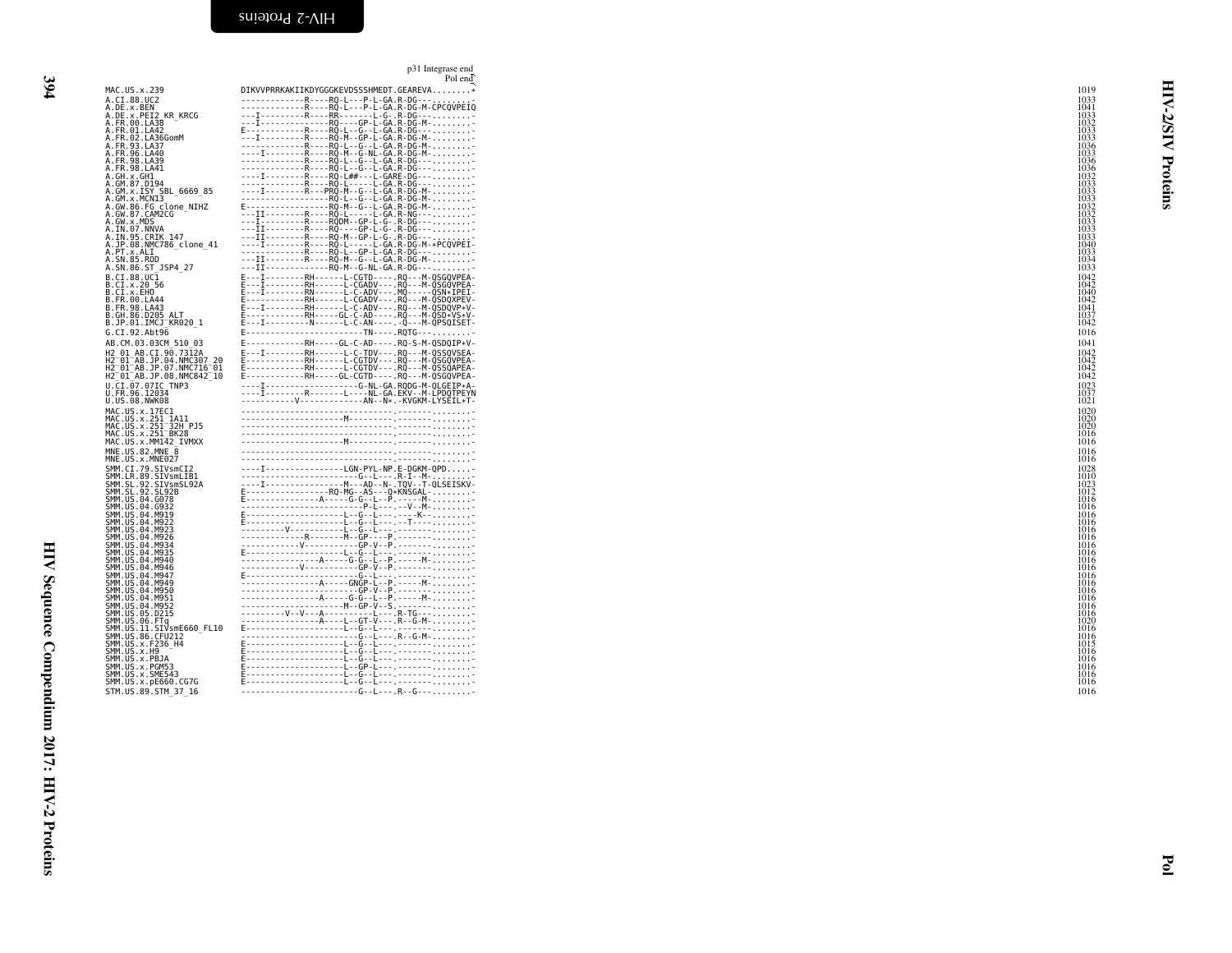<span id="page-17-0"></span>p31 Integrase endPol end

| ٦       |  |
|---------|--|
| ×<br>۰. |  |
| v       |  |

|                                                                 | Pol end                                                                                                                                                                                                                                                                                                                                                                                                                                                    |              |
|-----------------------------------------------------------------|------------------------------------------------------------------------------------------------------------------------------------------------------------------------------------------------------------------------------------------------------------------------------------------------------------------------------------------------------------------------------------------------------------------------------------------------------------|--------------|
| MAC.US.x.239                                                    | DIKVVPRRKAKIIKDYGGGKEVDSSSHMEDT.GEAREVA*                                                                                                                                                                                                                                                                                                                                                                                                                   | 1019         |
| A.CI.88.UC2                                                     |                                                                                                                                                                                                                                                                                                                                                                                                                                                            | 1033         |
| A.DE.x.BEN                                                      |                                                                                                                                                                                                                                                                                                                                                                                                                                                            | 1041         |
| A.DE.x.PEI2 KR KRCG                                             |                                                                                                                                                                                                                                                                                                                                                                                                                                                            | 1033         |
| A. FR. 00. LA38<br>A.FR.01.LA42                                 |                                                                                                                                                                                                                                                                                                                                                                                                                                                            | 1032<br>1033 |
|                                                                 |                                                                                                                                                                                                                                                                                                                                                                                                                                                            | 1033         |
| A.FR.02.LA36GomM<br>A.FR.93.LA37                                |                                                                                                                                                                                                                                                                                                                                                                                                                                                            | 1036         |
| A.FR.96.LA40                                                    |                                                                                                                                                                                                                                                                                                                                                                                                                                                            | 1033         |
| A. FR. 98. LA39                                                 |                                                                                                                                                                                                                                                                                                                                                                                                                                                            | 1036         |
| A.FR.98.LA41<br>A.GH.x.GH1                                      |                                                                                                                                                                                                                                                                                                                                                                                                                                                            | 1036<br>1032 |
| A.GM.87.D194                                                    |                                                                                                                                                                                                                                                                                                                                                                                                                                                            | 1033         |
| A.GM.x.ISY SBL 6669 85                                          |                                                                                                                                                                                                                                                                                                                                                                                                                                                            | 1033         |
| A.GM.x.MCNI3                                                    |                                                                                                                                                                                                                                                                                                                                                                                                                                                            | 1033         |
| A.GW.86.FG_clone NIHZ<br>A.GW.87.CAM2CG                         | ---II---------R----RO-L-----L-GA.R-NG---                                                                                                                                                                                                                                                                                                                                                                                                                   | 1032<br>1032 |
| A.GW.x.MDS                                                      |                                                                                                                                                                                                                                                                                                                                                                                                                                                            | 1033         |
| A.IN.07.NNVA                                                    |                                                                                                                                                                                                                                                                                                                                                                                                                                                            | 1033         |
| A.IN.95.CRIK 147                                                |                                                                                                                                                                                                                                                                                                                                                                                                                                                            | 1033         |
| A.JP.08.NMC786 clone 41<br>A.PT.x.ALI                           |                                                                                                                                                                                                                                                                                                                                                                                                                                                            | 1040<br>1033 |
| A.SN.85.ROD                                                     |                                                                                                                                                                                                                                                                                                                                                                                                                                                            | 1034         |
| A.SN.86.ST_JSP4_27                                              | $---\overline{11}$ - - - - - - - - - - - - - RQ - M - - G - NL - GA . R - DG - - - -                                                                                                                                                                                                                                                                                                                                                                       | 1033         |
| B.CI.88.UC1                                                     | E---I--------RH------L-CGTD----.RO---M-OSGOVPEA-                                                                                                                                                                                                                                                                                                                                                                                                           | 1042         |
| B.CI.x.20 56                                                    | E - - - I - - - - - - - - RH - - - - - - L - CGADV - - - . RQ - - - M - QSGQVPEA -                                                                                                                                                                                                                                                                                                                                                                         | 1042         |
| B.CI.x.EHO                                                      | E---I--------RN------L-C-ADV---.MQ-----QSN*IPEI-                                                                                                                                                                                                                                                                                                                                                                                                           | 1040         |
| B. FR. 00. LA44                                                 | F - - - - - - - - - - - RH - - - - - - L - CGADV - - - . RQ - - - M - QSDQXPEV -                                                                                                                                                                                                                                                                                                                                                                           | 1042         |
| B.FR.98.LA43<br>B.GH.86.D205 ALT                                | E---I--------RH------L-C-ADV---.RQ---M-QSDQVP*V-                                                                                                                                                                                                                                                                                                                                                                                                           | 1041<br>1037 |
| B.JP.01.IMCJ KR020 1                                            | E------------RH-----GL-C-AD----- RQ---M-QSD*VS*V-<br>E---I---------N------L-C-AN------Q---M-QPSQISET-                                                                                                                                                                                                                                                                                                                                                      | 1042         |
| G.CI.92.Abt96                                                   | F------------------------TN----.RQTG---                                                                                                                                                                                                                                                                                                                                                                                                                    | 1016         |
| AB.CM.03.03CM 510 03                                            | E------------RH-----GL-C-AD----. RQ-S-M-QSDQIP*V-                                                                                                                                                                                                                                                                                                                                                                                                          | 1041         |
| H2 01 AB.CI.90.7312A                                            | E---I--------RH------L-C-TDV---.RQ---M-QSSQVSEA-                                                                                                                                                                                                                                                                                                                                                                                                           | 1042         |
| H2 <sup>-</sup> 01 <sup>-</sup> AB.JP.04.NMC307 20              |                                                                                                                                                                                                                                                                                                                                                                                                                                                            | 1042         |
| H2 <sup>-</sup> 01 <sup>-</sup> AB.JP.07.NMC716 <sup>-</sup> 01 | E------------RH------L-CGTDV--- RQ---M-QSGQVPEA-<br>E------------RH------L-CGTDV--- RQ---M-QSSQAPEA-                                                                                                                                                                                                                                                                                                                                                       | 1042         |
| H2 <sup>-</sup> 01 <sup>-</sup> AB.JP.08.NMC842 <sup>-</sup> 10 | E------------RH-----GL-CGTD----.RQ---M-QSGQVPEA-                                                                                                                                                                                                                                                                                                                                                                                                           | 1042         |
| U.CI.07.07IC TNP3                                               |                                                                                                                                                                                                                                                                                                                                                                                                                                                            | 1023         |
| U.FR.96.12034<br>U.US.08.NWK08                                  |                                                                                                                                                                                                                                                                                                                                                                                                                                                            | 1037<br>1021 |
|                                                                 |                                                                                                                                                                                                                                                                                                                                                                                                                                                            |              |
| MAC.US.x.17EC1<br>MAC.US.x.251_1A11                             |                                                                                                                                                                                                                                                                                                                                                                                                                                                            | 1020<br>1020 |
| MAC. US. x. 251 32H PJ5                                         |                                                                                                                                                                                                                                                                                                                                                                                                                                                            | 1020         |
| MAC.US.x.251 <sup>-</sup> BK28                                  |                                                                                                                                                                                                                                                                                                                                                                                                                                                            | 1016         |
| MAC.US.x.MM142 IVMXX                                            |                                                                                                                                                                                                                                                                                                                                                                                                                                                            | 1016         |
| MNE.US.82.MNE 8                                                 |                                                                                                                                                                                                                                                                                                                                                                                                                                                            | 1016         |
| MNE.US.x.MNE027                                                 |                                                                                                                                                                                                                                                                                                                                                                                                                                                            | 1016         |
| SMM.CI.79.SIVsmCI2                                              | -----------<br>----I----------------LGN-PYL-NP.E-DGKM-QPD                                                                                                                                                                                                                                                                                                                                                                                                  | 1028         |
| SMM.LR.89.SIVsmLIB1<br>SMM.SL.92.SIVsmSL92A                     |                                                                                                                                                                                                                                                                                                                                                                                                                                                            | 101C<br>1023 |
| SMM. SL. 92. SL92B                                              |                                                                                                                                                                                                                                                                                                                                                                                                                                                            | 1012         |
| SMM.US.04.G078                                                  |                                                                                                                                                                                                                                                                                                                                                                                                                                                            | 1016         |
| SMM. US. 04. G932                                               |                                                                                                                                                                                                                                                                                                                                                                                                                                                            | 1016         |
| SMM.US.04.M919<br>SMM. US.04. M922                              |                                                                                                                                                                                                                                                                                                                                                                                                                                                            | 1016<br>1016 |
| SMM. US. 04. M923                                               |                                                                                                                                                                                                                                                                                                                                                                                                                                                            | 1016         |
| SMM.US.04.M926                                                  |                                                                                                                                                                                                                                                                                                                                                                                                                                                            | 1016         |
| SMM.US.04.M934                                                  |                                                                                                                                                                                                                                                                                                                                                                                                                                                            | 1016         |
| SMM.US.04.M935<br>SMM. US.04.M940                               |                                                                                                                                                                                                                                                                                                                                                                                                                                                            | 1016<br>1016 |
| SMM.US.04.M946                                                  | $\begin{tabular}{ c c } \hline \multicolumn{3}{ c }{\hline \multicolumn{3}{ c }{\hline \multicolumn{3}{ c }{\hline \multicolumn{3}{ c }{\hline \multicolumn{3}{ c }{\hline \multicolumn{3}{ c }{\hline \multicolumn{3}{ c }{\hline \multicolumn{3}{ c }{\hline \multicolumn{3}{ c }{\hline \multicolumn{3}{ c }{\hline \multicolumn{3}{ c }{\hline \multicolumn{3}{ c }{\hline \multicolumn{3}{ c }{\hline \multicolumn{3}{ c }{\hline \multicolumn{3}{ c$ | 1016         |
| SMM.US.04.M947                                                  |                                                                                                                                                                                                                                                                                                                                                                                                                                                            | 1016         |
| SMM.US.04.M949                                                  |                                                                                                                                                                                                                                                                                                                                                                                                                                                            | 1016         |
| SMM.US.04.M950                                                  |                                                                                                                                                                                                                                                                                                                                                                                                                                                            | 1016         |
| SMM.US.04.M951<br>SMM. US.04.M952                               |                                                                                                                                                                                                                                                                                                                                                                                                                                                            | 1016<br>1016 |
| SMM.US.05.D215                                                  |                                                                                                                                                                                                                                                                                                                                                                                                                                                            | 1016         |
| SMM.US.06.FTq                                                   |                                                                                                                                                                                                                                                                                                                                                                                                                                                            | 1020         |
| SMM.US.11.SIVsmE660 FL10                                        |                                                                                                                                                                                                                                                                                                                                                                                                                                                            | 1016         |
| SMM. US.86. CFU212<br>SMM. US. x. F236_H4                       |                                                                                                                                                                                                                                                                                                                                                                                                                                                            | 1016<br>1015 |
| SMM.US.x.H9                                                     |                                                                                                                                                                                                                                                                                                                                                                                                                                                            | 1016         |
| SMM.US.x.PBJA                                                   |                                                                                                                                                                                                                                                                                                                                                                                                                                                            | 1016         |
| SMM.US.x.PGM53                                                  |                                                                                                                                                                                                                                                                                                                                                                                                                                                            | 1016         |
| SMM. U.S. x. SME543                                             | $\begin{bmatrix} \textbf{0} & \textbf{0} & \textbf{0} & \textbf{0} & \textbf{0} & \textbf{0} & \textbf{0} & \textbf{0} & \textbf{0} & \textbf{0} & \textbf{0} & \textbf{0} & \textbf{0} & \textbf{0} & \textbf{0} & \textbf{0} & \textbf{0} & \textbf{0} & \textbf{0} & \textbf{0} & \textbf{0} & \textbf{0} & \textbf{0} & \textbf{0} & \textbf{0} & \textbf{0} & \textbf{0} & \textbf{0} & \textbf{0} & \textbf{0} & \textbf{$                           | 1016         |
| SMM.US.x.pE660.CG7G                                             |                                                                                                                                                                                                                                                                                                                                                                                                                                                            | 1016         |
| STM.US.89.STM 37 16                                             |                                                                                                                                                                                                                                                                                                                                                                                                                                                            | 1016         |
|                                                                 |                                                                                                                                                                                                                                                                                                                                                                                                                                                            |              |

HIV-2/SIV Proteins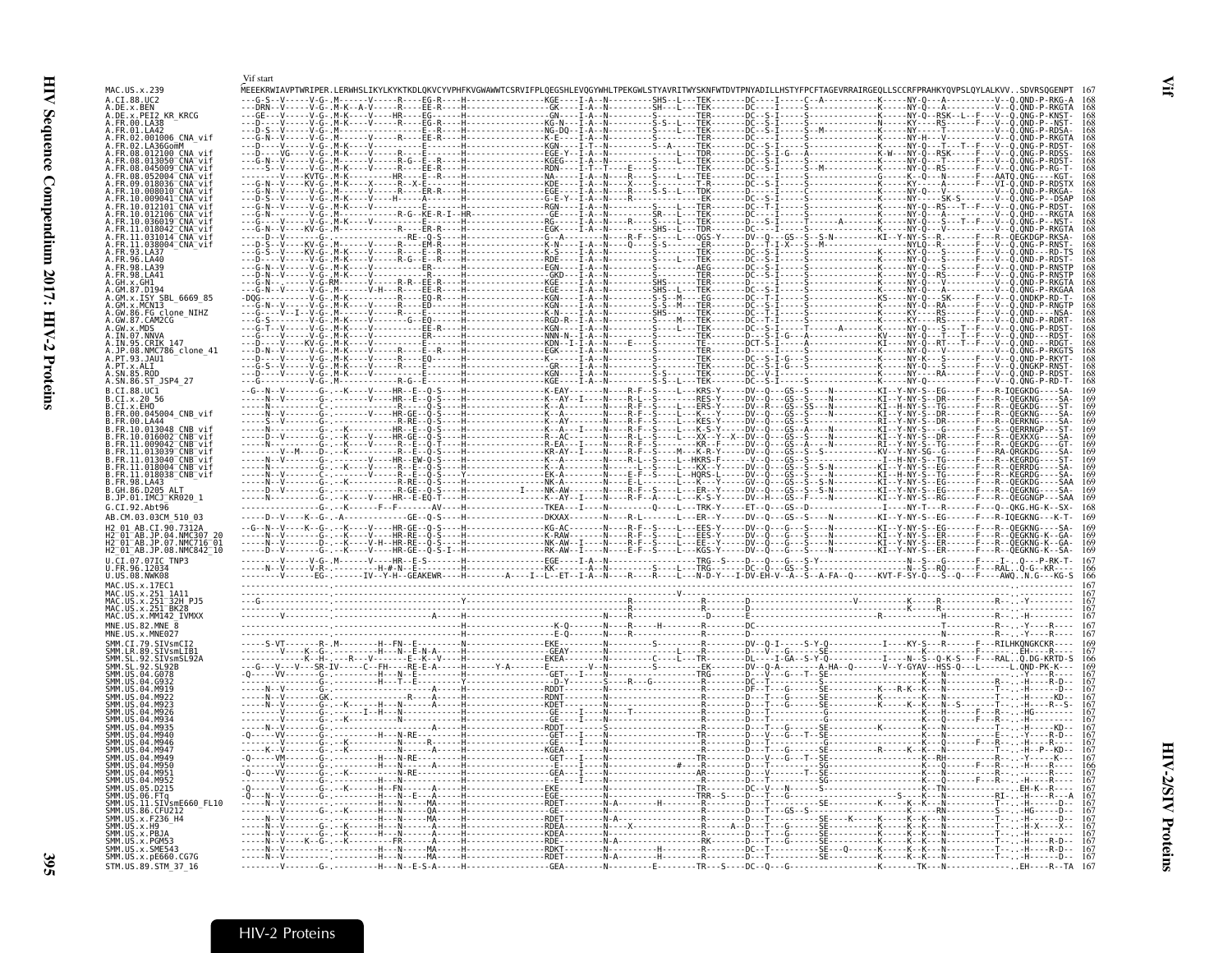<span id="page-18-1"></span><span id="page-18-0"></span>

|                                                                                                 | Vif start |                                                                                                                                                                                                                                                                                                                                                                                |                                                                                                                       |                                                 |                                                                          |                                          |
|-------------------------------------------------------------------------------------------------|-----------|--------------------------------------------------------------------------------------------------------------------------------------------------------------------------------------------------------------------------------------------------------------------------------------------------------------------------------------------------------------------------------|-----------------------------------------------------------------------------------------------------------------------|-------------------------------------------------|--------------------------------------------------------------------------|------------------------------------------|
| MAC.US.x.239<br>A.CI.88.UC2                                                                     |           | MEEEKRWIAVPTWRIPER.LERWHSLIKYLKYKTKDLOKVCYVPHFKVGWAWWTCSRVIFPLOEGSHLEVOGYWHLTPEKGWLSTYAVRITWYSKNFWTDVTPNYADILLHST                                                                                                                                                                                                                                                              |                                                                                                                       |                                                 |                                                                          |                                          |
| A.DE.x.BEN<br>A.DE.x.PEI2_KR_KRCG                                                               |           |                                                                                                                                                                                                                                                                                                                                                                                |                                                                                                                       |                                                 |                                                                          |                                          |
| A.FR.00.LA38<br>A.FR.01.LA42                                                                    |           |                                                                                                                                                                                                                                                                                                                                                                                |                                                                                                                       |                                                 |                                                                          |                                          |
| A.FR.02.001006 CNA vif<br>A.FR.02.LA36GomM                                                      |           |                                                                                                                                                                                                                                                                                                                                                                                |                                                                                                                       |                                                 |                                                                          |                                          |
| 08.012100 CNA vi<br>.08.013050 <sup>-</sup> CNA <sup>-</sup> vif                                |           |                                                                                                                                                                                                                                                                                                                                                                                |                                                                                                                       |                                                 |                                                                          |                                          |
| 08.045009 CNA vif<br>.08.052004 CNA vif                                                         |           |                                                                                                                                                                                                                                                                                                                                                                                |                                                                                                                       |                                                 |                                                                          |                                          |
|                                                                                                 |           |                                                                                                                                                                                                                                                                                                                                                                                |                                                                                                                       |                                                 | --------------------<br>---------------K-----                            |                                          |
|                                                                                                 |           |                                                                                                                                                                                                                                                                                                                                                                                |                                                                                                                       |                                                 |                                                                          |                                          |
| .10.012106 <sup>-</sup> CNA <sup>-</sup> vi                                                     |           |                                                                                                                                                                                                                                                                                                                                                                                |                                                                                                                       |                                                 |                                                                          |                                          |
| R.10.036019 <sup>-</sup> CNA <sup>-</sup> vi′<br>FR.11.018042 <sup>-</sup> CNA <sup>-</sup> vii |           |                                                                                                                                                                                                                                                                                                                                                                                |                                                                                                                       |                                                 |                                                                          |                                          |
| .031014 <sup>-</sup> CNA <sup>-</sup> vi<br>11.038004 <sup>-</sup> CNA <sup>-</sup> vif         |           |                                                                                                                                                                                                                                                                                                                                                                                |                                                                                                                       |                                                 |                                                                          |                                          |
| FR.93.LA37.<br>.96.LA40                                                                         |           |                                                                                                                                                                                                                                                                                                                                                                                |                                                                                                                       |                                                 |                                                                          |                                          |
| A. FR. 98. LA39<br>4.FR.98.LA41                                                                 |           |                                                                                                                                                                                                                                                                                                                                                                                |                                                                                                                       |                                                 |                                                                          |                                          |
| GM.87.D194                                                                                      |           |                                                                                                                                                                                                                                                                                                                                                                                |                                                                                                                       | ---TER-------D----<br>---TEK-------DC--S        |                                                                          |                                          |
| GM.x.ISY SBL 6669 85<br>.GM.x.MCN13                                                             |           |                                                                                                                                                                                                                                                                                                                                                                                |                                                                                                                       | - TER - - - - - - - DC - - S                    |                                                                          |                                          |
| A.GW.86.FG_clone_NIHZ<br>A.GW.87.CAM2CG                                                         |           |                                                                                                                                                                                                                                                                                                                                                                                |                                                                                                                       | - TEK - - - - - - - DC -                        |                                                                          |                                          |
| .IN.07.NNVA                                                                                     |           | .M-K----V----------                                                                                                                                                                                                                                                                                                                                                            | . H - - - - - - - - - - - - - - - KGN - - - - I - A - - N - - - - - - - - - 5 - - - - L - - - TEK - - - - - - DC - -S |                                                 |                                                                          |                                          |
| A.IN.95.CRIK 147                                                                                |           | ----KV-Ğ- M-K----V----------<br>-----V-G- M-K----V-----R---                                                                                                                                                                                                                                                                                                                    |                                                                                                                       | - TFR - - - - - - - D - - - - - T - - - - - S - |                                                                          | $-0.0N$ G-P                              |
| A.JP.08.NMC786_clone_41<br>A.PT.93.JAU1                                                         |           |                                                                                                                                                                                                                                                                                                                                                                                |                                                                                                                       |                                                 |                                                                          | OND-P                                    |
| A.PT.x.ALT<br>A.SN.85.ROD<br>A.SN.86.ST_JSP4_27                                                 |           |                                                                                                                                                                                                                                                                                                                                                                                |                                                                                                                       |                                                 |                                                                          | ONGKE                                    |
| B.CI.88.UC1                                                                                     |           |                                                                                                                                                                                                                                                                                                                                                                                |                                                                                                                       |                                                 |                                                                          |                                          |
| B.CI.x.20 56<br>B.CI.x.EHO                                                                      |           |                                                                                                                                                                                                                                                                                                                                                                                |                                                                                                                       |                                                 | - TG- - - - -<br>- DR - - - - -                                          | 0EGKDG - - - - ST -                      |
| FR.00.LA44                                                                                      |           |                                                                                                                                                                                                                                                                                                                                                                                |                                                                                                                       |                                                 |                                                                          |                                          |
| B.FR.10.013048 CNB vi                                                                           |           | . R - R = . - 0<br>. - HR - - E - - 0                                                                                                                                                                                                                                                                                                                                          |                                                                                                                       | - XX - - Y - - X - - DV - - Q - - - GS          | - - - - - - - KI - - Y - NY ·<br>- S - - - G -<br>---N---------KT--Y-NY- | $OERRNGP - - ST$<br>- ÓEXKXG- - - - - SA |
| .FR.10.016002=CNB=vif<br>.FR.11.009042=CNB=vif<br>.FR.11.013039=CNB=vif                         |           | -K----V----HR-GE--Q<br>-K----V-----R--E--Q<br>-K-----------R--E--Q-                                                                                                                                                                                                                                                                                                            |                                                                                                                       | -KR--F-----DV--0---GS                           |                                                                          | RGKDG-                                   |
| FR.11.013040 <sup>-</sup> CNB <sup>-</sup> vif<br>FR.11.018004 CNB vif                          |           | $- -\dot{V} - - - -R - -E - 0$                                                                                                                                                                                                                                                                                                                                                 |                                                                                                                       | $-KX - Y - - - - DV - - ($                      |                                                                          |                                          |
| .FR.11.018038_CNB_vif                                                                           |           |                                                                                                                                                                                                                                                                                                                                                                                |                                                                                                                       |                                                 |                                                                          | KEGRDG ו<br>- OEGKDG                     |
| B.FR.98.LA43<br>B.GH.86.D205                                                                    |           |                                                                                                                                                                                                                                                                                                                                                                                |                                                                                                                       |                                                 |                                                                          |                                          |
| B.JP.01.IMCJ KR020 1<br>G.CI.92.Abt96                                                           |           |                                                                                                                                                                                                                                                                                                                                                                                |                                                                                                                       |                                                 |                                                                          | $-OKG$ . $HG - K -$                      |
| AB.CM.03.03CM 510                                                                               |           |                                                                                                                                                                                                                                                                                                                                                                                |                                                                                                                       |                                                 |                                                                          |                                          |
| H2 01 AR CT 90 7312A<br>AB.JP.04.NMC307 26                                                      |           |                                                                                                                                                                                                                                                                                                                                                                                |                                                                                                                       |                                                 |                                                                          |                                          |
| H2 01 AB.JP.07.NMC716 01<br>H2 <sup>-01-AB.JP.08.NMC842<sup>-10</sup></sup>                     |           |                                                                                                                                                                                                                                                                                                                                                                                |                                                                                                                       |                                                 |                                                                          |                                          |
| $U.\overline{C}I.\overline{0}7.07IC$ TNP3                                                       |           |                                                                                                                                                                                                                                                                                                                                                                                |                                                                                                                       |                                                 |                                                                          |                                          |
| U.FR.96.12034<br>U.US.08.NWK08<br>MAC.US.x.17EC1                                                |           | $\begin{array}{cccccccccccc} \textbf{1.001} & \textbf{2.02} & \textbf{3.03} & \textbf{4.04} & \textbf{4.05} & \textbf{5.06} & \textbf{6.06} & \textbf{6.06} & \textbf{6.06} & \textbf{6.06} & \textbf{6.06} & \textbf{6.06} & \textbf{6.06} & \textbf{6.06} & \textbf{6.06} & \textbf{6.06} & \textbf{6.06} & \textbf{6.06} & \textbf{6.06} & \textbf{6.06} & \textbf{6.06} &$ |                                                                                                                       |                                                 |                                                                          |                                          |
| MAC.US.x.251 1A11                                                                               |           |                                                                                                                                                                                                                                                                                                                                                                                |                                                                                                                       |                                                 |                                                                          |                                          |
| MAC.US.x.251 <sup>-</sup> 32H PJ5<br>MAC.US.x.251 <sup>-</sup> BK28<br>MAC.US.x.MM142 IVMXX     |           |                                                                                                                                                                                                                                                                                                                                                                                |                                                                                                                       |                                                 |                                                                          |                                          |
| MNE.US.82.MNE 8                                                                                 |           |                                                                                                                                                                                                                                                                                                                                                                                |                                                                                                                       |                                                 |                                                                          |                                          |
| MNE.US.x.MNE027                                                                                 |           |                                                                                                                                                                                                                                                                                                                                                                                |                                                                                                                       |                                                 |                                                                          |                                          |
|                                                                                                 |           |                                                                                                                                                                                                                                                                                                                                                                                |                                                                                                                       |                                                 |                                                                          |                                          |
| .ŠIVsmSL92A<br>.SL92B<br>04.6078                                                                |           |                                                                                                                                                                                                                                                                                                                                                                                |                                                                                                                       |                                                 |                                                                          |                                          |
|                                                                                                 |           |                                                                                                                                                                                                                                                                                                                                                                                |                                                                                                                       |                                                 |                                                                          |                                          |
| M922                                                                                            |           |                                                                                                                                                                                                                                                                                                                                                                                |                                                                                                                       |                                                 |                                                                          |                                          |
|                                                                                                 |           |                                                                                                                                                                                                                                                                                                                                                                                |                                                                                                                       |                                                 |                                                                          |                                          |
|                                                                                                 |           |                                                                                                                                                                                                                                                                                                                                                                                |                                                                                                                       |                                                 |                                                                          |                                          |
|                                                                                                 |           |                                                                                                                                                                                                                                                                                                                                                                                |                                                                                                                       |                                                 |                                                                          |                                          |
|                                                                                                 |           |                                                                                                                                                                                                                                                                                                                                                                                |                                                                                                                       |                                                 |                                                                          |                                          |
| SMM IIS<br>M951                                                                                 |           |                                                                                                                                                                                                                                                                                                                                                                                |                                                                                                                       |                                                 |                                                                          |                                          |
| <b>SMM IIS</b><br><b>MQ52</b><br>D <sub>215</sub>                                               |           |                                                                                                                                                                                                                                                                                                                                                                                |                                                                                                                       |                                                 |                                                                          |                                          |
| SMM.US.06.FTq<br>SMM.US.11.SIVsmE660 FL10                                                       |           |                                                                                                                                                                                                                                                                                                                                                                                |                                                                                                                       |                                                 |                                                                          |                                          |
| SMM.US.86.CFU212<br>SMM. US. x. F236 H4                                                         |           |                                                                                                                                                                                                                                                                                                                                                                                |                                                                                                                       |                                                 |                                                                          |                                          |
| SMM.US.x.H9<br>SMM.ŪŠ.x.PBJA                                                                    |           |                                                                                                                                                                                                                                                                                                                                                                                |                                                                                                                       |                                                 |                                                                          |                                          |
| MM.US.x.PGM53<br>SMM.US.x.SME543                                                                |           |                                                                                                                                                                                                                                                                                                                                                                                |                                                                                                                       |                                                 |                                                                          |                                          |
| SMM. US.x. pE660. CG7G                                                                          |           | H----------------RDET-                                                                                                                                                                                                                                                                                                                                                         |                                                                                                                       |                                                 |                                                                          |                                          |
| STM.US.89.STM 37 16                                                                             |           | - G - . - - - - - - - - - H - - - N - - E - S - A - - - -                                                                                                                                                                                                                                                                                                                      | . GEA -                                                                                                               | E--------TR---S----DC--Q---G----                | -------K-------TK---N--------------EH----R--TA                           |                                          |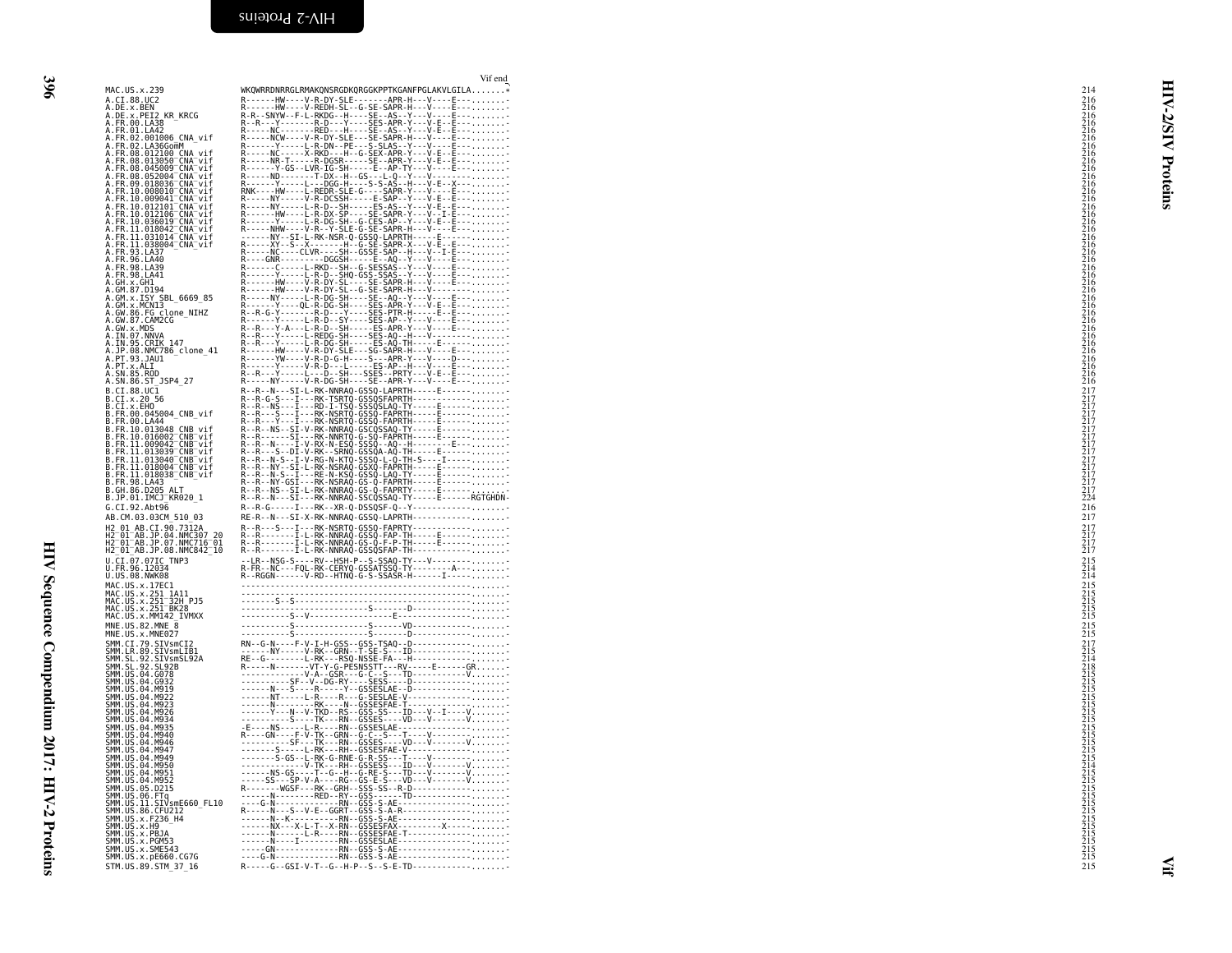<span id="page-19-0"></span>

|                                                                                                                                                                                                                                     | Vif end                                                                                                                                                                                                                                                                                                            |                                                                                                      |              |
|-------------------------------------------------------------------------------------------------------------------------------------------------------------------------------------------------------------------------------------|--------------------------------------------------------------------------------------------------------------------------------------------------------------------------------------------------------------------------------------------------------------------------------------------------------------------|------------------------------------------------------------------------------------------------------|--------------|
| MAC.US.x.239                                                                                                                                                                                                                        | WKQWRRDNRRGLRMAKQNSRGDKQRGGKPPTKGANFPGLAKVLGILA*                                                                                                                                                                                                                                                                   | 214                                                                                                  |              |
| A.CI.88.UC2                                                                                                                                                                                                                         |                                                                                                                                                                                                                                                                                                                    |                                                                                                      | ⋖            |
| A.CI.88.8EX<br>A.DE.x.BEN<br>A.DE.x.PEI2 KR_KRCG<br>A.FR.00.LA38                                                                                                                                                                    |                                                                                                                                                                                                                                                                                                                    |                                                                                                      |              |
|                                                                                                                                                                                                                                     |                                                                                                                                                                                                                                                                                                                    |                                                                                                      |              |
|                                                                                                                                                                                                                                     |                                                                                                                                                                                                                                                                                                                    |                                                                                                      |              |
|                                                                                                                                                                                                                                     |                                                                                                                                                                                                                                                                                                                    |                                                                                                      | <b>Z/SIV</b> |
| A.FR.00.LA42<br>A.FR.02.001006 CNA_vif<br>A.FR.02.001006 CNA_vif<br>A.FR.08.012100 CNA_vif<br>A.FR.08.013050 CNA_vif<br>A.FR.08.013050 CNA_vif                                                                                      |                                                                                                                                                                                                                                                                                                                    |                                                                                                      |              |
| A.FR.08.045009 <sup>-</sup> CNA <sup>-</sup> vif                                                                                                                                                                                    |                                                                                                                                                                                                                                                                                                                    |                                                                                                      |              |
|                                                                                                                                                                                                                                     |                                                                                                                                                                                                                                                                                                                    |                                                                                                      |              |
| A.FR.08.052004_CNA_vif<br>A.FR.09.018036_CNA_vif<br>A.FR.10.008010_CNA_vif<br>A.FR.10.009041_CNA_vif                                                                                                                                |                                                                                                                                                                                                                                                                                                                    |                                                                                                      | Proteins     |
|                                                                                                                                                                                                                                     |                                                                                                                                                                                                                                                                                                                    |                                                                                                      |              |
| A.FR.10.012101 <sup>-</sup> CNA <sup>-</sup> vif                                                                                                                                                                                    | R-----NY-----L-R-D--SH-----ES-AS--Y---V-E--E------------<br>R------HW----L-R-DX-SP----SE-SAPR-Y---V--I-E-------------                                                                                                                                                                                              |                                                                                                      |              |
| A.FR.10.012106 CNA Vif<br>A.FR.10.012106 CNA Vif<br>A.FR.10.036019 CNA Vif<br>A.FR.11.031014 CNA Vif<br>A.FR.11.038004 CNA Vif<br>A.FR.11.038004 CNA Vif                                                                            |                                                                                                                                                                                                                                                                                                                    |                                                                                                      |              |
|                                                                                                                                                                                                                                     |                                                                                                                                                                                                                                                                                                                    |                                                                                                      |              |
|                                                                                                                                                                                                                                     |                                                                                                                                                                                                                                                                                                                    |                                                                                                      |              |
|                                                                                                                                                                                                                                     |                                                                                                                                                                                                                                                                                                                    |                                                                                                      |              |
|                                                                                                                                                                                                                                     |                                                                                                                                                                                                                                                                                                                    |                                                                                                      |              |
|                                                                                                                                                                                                                                     |                                                                                                                                                                                                                                                                                                                    |                                                                                                      |              |
| A.GH.x.GHI<br>A.GM.87.D194                                                                                                                                                                                                          |                                                                                                                                                                                                                                                                                                                    |                                                                                                      |              |
| A.GM.x.ISY SBL 6669 85                                                                                                                                                                                                              |                                                                                                                                                                                                                                                                                                                    |                                                                                                      |              |
| A.GM.x.MCN13                                                                                                                                                                                                                        |                                                                                                                                                                                                                                                                                                                    |                                                                                                      |              |
| A.GW.86.FG clone_NIHZ<br>A.GW.87.CAM2CG                                                                                                                                                                                             |                                                                                                                                                                                                                                                                                                                    |                                                                                                      |              |
| A.GW.x.MDS<br>A.IN.07.NNVA                                                                                                                                                                                                          |                                                                                                                                                                                                                                                                                                                    |                                                                                                      |              |
| A.IN.95.CRIK 147                                                                                                                                                                                                                    |                                                                                                                                                                                                                                                                                                                    |                                                                                                      |              |
| A.JP.08.NMC786_clone_41<br>A.PT.93.JAU1                                                                                                                                                                                             |                                                                                                                                                                                                                                                                                                                    |                                                                                                      |              |
| A.PT.x.ALI                                                                                                                                                                                                                          |                                                                                                                                                                                                                                                                                                                    |                                                                                                      |              |
|                                                                                                                                                                                                                                     |                                                                                                                                                                                                                                                                                                                    | 2162216666216662166621666216662166622166622166622166622166622166622166622166622166622166622166622166 |              |
| $B.CI.88.UC\bar{1}$                                                                                                                                                                                                                 |                                                                                                                                                                                                                                                                                                                    |                                                                                                      |              |
| B.CI.X.20 56<br>B.CI.X.EHO                                                                                                                                                                                                          |                                                                                                                                                                                                                                                                                                                    |                                                                                                      |              |
|                                                                                                                                                                                                                                     |                                                                                                                                                                                                                                                                                                                    |                                                                                                      |              |
|                                                                                                                                                                                                                                     |                                                                                                                                                                                                                                                                                                                    |                                                                                                      |              |
| B.FR.10.013048 CNB vif<br>B.FR.10.016002 CNB vif                                                                                                                                                                                    |                                                                                                                                                                                                                                                                                                                    |                                                                                                      |              |
|                                                                                                                                                                                                                                     |                                                                                                                                                                                                                                                                                                                    |                                                                                                      |              |
| B.FR.11.009042"CNB"vif<br>B.FR.11.013039"CNB"vif<br>B.FR.11.013030"CNB"vif<br>B.FR.11.018004"CNB"vif<br>B.FR.11.018038"CNB"vif<br>B.FR.11.018038"CNB"vif                                                                            |                                                                                                                                                                                                                                                                                                                    |                                                                                                      |              |
|                                                                                                                                                                                                                                     |                                                                                                                                                                                                                                                                                                                    |                                                                                                      |              |
|                                                                                                                                                                                                                                     |                                                                                                                                                                                                                                                                                                                    |                                                                                                      |              |
| B.FR.98.LA43<br>B.GH.86.D205 ALT                                                                                                                                                                                                    |                                                                                                                                                                                                                                                                                                                    |                                                                                                      |              |
| B.JP.01.IMCJ_KR020_1                                                                                                                                                                                                                |                                                                                                                                                                                                                                                                                                                    |                                                                                                      |              |
| G.CI.92.Abt96                                                                                                                                                                                                                       | R--R-G-----I---RK--XR-Q-DSSQSF-Q--Y-------------                                                                                                                                                                                                                                                                   | 216                                                                                                  |              |
| AB.CM.03.03CM 510 03                                                                                                                                                                                                                | RE-R--N---SI-X-RK-NNRAQ-GSSQ-LAPRTH------------                                                                                                                                                                                                                                                                    | 217                                                                                                  |              |
| H2 01 AB.CI.90 7312A<br>H2 01 AB.CI.90 7312A<br>H2 01 AB.JP.04.NMC307 20<br>H2 01 AB.JP.07.NMC716 01<br>H2 01 AB.JP.08.NMC842 10                                                                                                    |                                                                                                                                                                                                                                                                                                                    | $\frac{217}{217}$<br>$\frac{217}{217}$                                                               |              |
|                                                                                                                                                                                                                                     |                                                                                                                                                                                                                                                                                                                    |                                                                                                      |              |
|                                                                                                                                                                                                                                     |                                                                                                                                                                                                                                                                                                                    |                                                                                                      |              |
| U.CI.07.07IC TNP3<br>U.FR.96.12034                                                                                                                                                                                                  |                                                                                                                                                                                                                                                                                                                    | $\frac{215}{214}$                                                                                    |              |
| U.US.08.NWK08                                                                                                                                                                                                                       |                                                                                                                                                                                                                                                                                                                    |                                                                                                      |              |
|                                                                                                                                                                                                                                     |                                                                                                                                                                                                                                                                                                                    |                                                                                                      |              |
| MAC.US.x.17EC1<br>MAC.US.x.17EC1<br>MAC.US.x.251 1A11<br>MAC.US.x.251 BK28<br>MAC.US.x.251 BK28                                                                                                                                     |                                                                                                                                                                                                                                                                                                                    | $\begin{array}{c} 215 \\ 215 \\ 215 \\ 215 \\ 215 \\ 215 \\ \end{array}$                             |              |
|                                                                                                                                                                                                                                     |                                                                                                                                                                                                                                                                                                                    |                                                                                                      |              |
| MAČ.ŪŠ.x.MM142 IVMXX<br>$MNE. US.82.MNE \overline{8}$                                                                                                                                                                               |                                                                                                                                                                                                                                                                                                                    |                                                                                                      |              |
| MNE.US.x.MNE027                                                                                                                                                                                                                     |                                                                                                                                                                                                                                                                                                                    | $^{215}_{215}$                                                                                       |              |
|                                                                                                                                                                                                                                     |                                                                                                                                                                                                                                                                                                                    |                                                                                                      |              |
|                                                                                                                                                                                                                                     |                                                                                                                                                                                                                                                                                                                    |                                                                                                      |              |
|                                                                                                                                                                                                                                     |                                                                                                                                                                                                                                                                                                                    |                                                                                                      |              |
|                                                                                                                                                                                                                                     |                                                                                                                                                                                                                                                                                                                    |                                                                                                      |              |
| MWE. US. X. MWEM27<br>SMM. C. I. 79. SIVSMCI2<br>SMM. C. R. 99. SIVSMCI31<br>SMM. SL. 92. SIVSMCI32A<br>SMM. SL. 92. SL928<br>SMM. US. 04. 0932<br>SMM. US. 04. M919<br>SMM. US. 04. M922<br>SMM. US. 04. M922<br>SMM. US. 04. M922 |                                                                                                                                                                                                                                                                                                                    |                                                                                                      |              |
| SMM.US.04.M923                                                                                                                                                                                                                      |                                                                                                                                                                                                                                                                                                                    |                                                                                                      |              |
| SMM.US.04.M926                                                                                                                                                                                                                      |                                                                                                                                                                                                                                                                                                                    |                                                                                                      |              |
|                                                                                                                                                                                                                                     |                                                                                                                                                                                                                                                                                                                    |                                                                                                      |              |
| SMM.US.04.M934<br>SMM.US.04.M935<br>SMM.US.04.M940<br>SMM.US.04.M946                                                                                                                                                                |                                                                                                                                                                                                                                                                                                                    |                                                                                                      |              |
| SMM.US.04.M947                                                                                                                                                                                                                      |                                                                                                                                                                                                                                                                                                                    |                                                                                                      |              |
| SMM.US.04.M949                                                                                                                                                                                                                      |                                                                                                                                                                                                                                                                                                                    |                                                                                                      |              |
| SMM.US.04.M950<br>SMM.US.04.M951<br>SMM.US.04.M952                                                                                                                                                                                  |                                                                                                                                                                                                                                                                                                                    |                                                                                                      |              |
|                                                                                                                                                                                                                                     |                                                                                                                                                                                                                                                                                                                    |                                                                                                      |              |
| SMM. US. 05. D215<br>SMM.US.06.FTq                                                                                                                                                                                                  |                                                                                                                                                                                                                                                                                                                    |                                                                                                      |              |
| SMM.US.11.SIVsmE660 FL10                                                                                                                                                                                                            |                                                                                                                                                                                                                                                                                                                    |                                                                                                      |              |
|                                                                                                                                                                                                                                     |                                                                                                                                                                                                                                                                                                                    |                                                                                                      |              |
|                                                                                                                                                                                                                                     |                                                                                                                                                                                                                                                                                                                    |                                                                                                      |              |
|                                                                                                                                                                                                                                     |                                                                                                                                                                                                                                                                                                                    |                                                                                                      |              |
| SMM . US . 11 . S1 VSME<br>SMM . US . 86 . CFU212<br>SMM . US . x . F236 _ H4<br>SMM . US . x . PBJA<br>SMM . US . x . PGM53<br>SMM . US . x . SME543<br>SMM . US . x . SME543                                                      | $R = R = 0$<br>$R = 0$<br>$R = 0$<br>$R = 0$<br>$R = 0$<br>$R = 0$<br>$R = 0$<br>$R = 0$<br>$R = 0$<br>$R = 0$<br>$R = 0$<br>$R = 0$<br>$R = 0$<br>$R = 0$<br>$R = 0$<br>$R = 0$<br>$R = 0$<br>$R = 0$<br>$R = 0$<br>$R = 0$<br>$R = 0$<br>$R = 0$<br>$R = 0$<br>$R = 0$<br>$R = 0$<br>$R = 0$<br>$R = 0$<br>$R =$ |                                                                                                      |              |
| SMM.US.x.pE660.CG7G                                                                                                                                                                                                                 | ----G-N-------------RN--GSS-S-AE-----------------                                                                                                                                                                                                                                                                  |                                                                                                      |              |
| STM.US.89.STM_37_16                                                                                                                                                                                                                 | R-----G--GSI-V-T--G--H-P--S--S-E-TD-------------                                                                                                                                                                                                                                                                   | 215                                                                                                  |              |
|                                                                                                                                                                                                                                     |                                                                                                                                                                                                                                                                                                                    |                                                                                                      |              |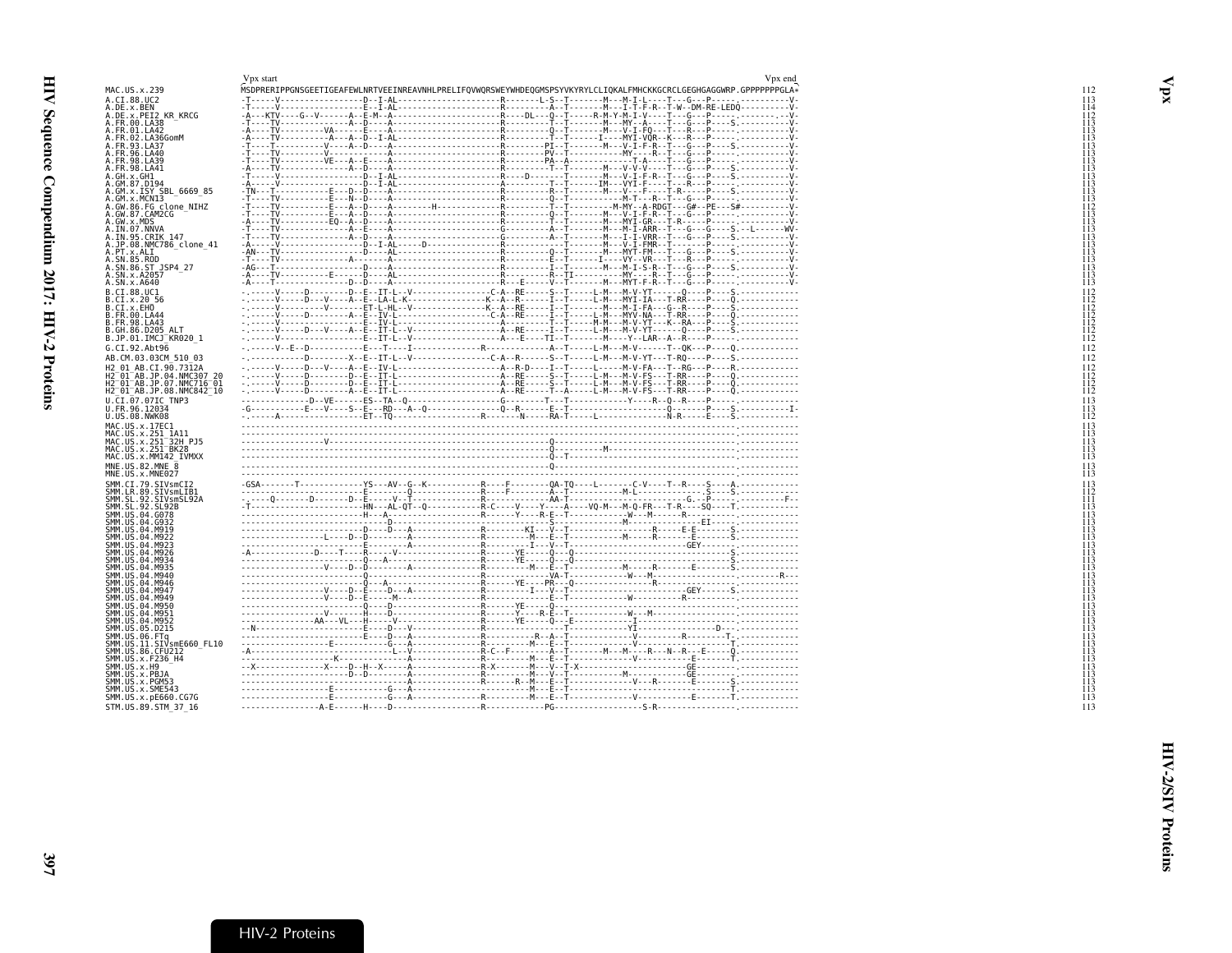<span id="page-20-1"></span><span id="page-20-0"></span>

|                                                                                                                                                                                     | Vpx start | Vpx end                                                                                                           |
|-------------------------------------------------------------------------------------------------------------------------------------------------------------------------------------|-----------|-------------------------------------------------------------------------------------------------------------------|
| 1AC.US.x.239                                                                                                                                                                        |           | MSDPRERIPPGNSGEETIGEAFEWLNRTVEEINREAVNHLPRELIFQVWQRSWEYWHDEQGMSPSYVKYRYLCLIQKALFMHCKKGCRCLGEGHGAGGWRP.GPPPPPPGLA* |
| A.CI.88.UC2<br>A.DE.x.BEN                                                                                                                                                           |           |                                                                                                                   |
|                                                                                                                                                                                     |           |                                                                                                                   |
| DE.x.PEI2 KR_KRCG<br>A.FR.00.LA38                                                                                                                                                   |           |                                                                                                                   |
| A.FR.01.LA42                                                                                                                                                                        |           |                                                                                                                   |
| A.FR.02.LA36GomM<br>A.FR.93.LA37                                                                                                                                                    |           |                                                                                                                   |
| 1. FR. 96. LA40                                                                                                                                                                     |           |                                                                                                                   |
| A.FR.98.LA39                                                                                                                                                                        |           |                                                                                                                   |
| \.FR.98.LA41                                                                                                                                                                        |           |                                                                                                                   |
| A.GH.x.GH1                                                                                                                                                                          |           |                                                                                                                   |
| A.GM.87.D194                                                                                                                                                                        |           |                                                                                                                   |
| A.GM.x.ISY_SBL_6669_85<br>.GM.x.MCNI3                                                                                                                                               |           |                                                                                                                   |
| .GW.86.FG clone_NIHZ<br>.GW.87.CAM2CG                                                                                                                                               |           |                                                                                                                   |
|                                                                                                                                                                                     |           |                                                                                                                   |
| A.GW.x.MDS                                                                                                                                                                          |           |                                                                                                                   |
| .IN.07.NNVA<br>A.IN.95.CRIK 147                                                                                                                                                     |           |                                                                                                                   |
| A.JP.08.NMC786 clone 41                                                                                                                                                             |           |                                                                                                                   |
| A.PT.x.ALI                                                                                                                                                                          |           |                                                                                                                   |
| \.SN.85.ROD                                                                                                                                                                         |           |                                                                                                                   |
| \.SN.86.ST_JSP4_27<br>\.SN.x.A2057                                                                                                                                                  |           |                                                                                                                   |
| A.SN.x.A640                                                                                                                                                                         |           |                                                                                                                   |
| 3.CI.88.UC1                                                                                                                                                                         |           |                                                                                                                   |
| 3.CI.x.20 56                                                                                                                                                                        |           |                                                                                                                   |
| 3.CI.x.EHO                                                                                                                                                                          |           |                                                                                                                   |
| 3.FR.00.LA44                                                                                                                                                                        |           |                                                                                                                   |
| 3.FR.98.LA43                                                                                                                                                                        |           |                                                                                                                   |
| 3.GH.86.D205 ALT                                                                                                                                                                    |           |                                                                                                                   |
| 3.JP.01.IMCJ <sup>-</sup> KR020 1                                                                                                                                                   |           |                                                                                                                   |
| 5.CI.92.Abt96                                                                                                                                                                       |           |                                                                                                                   |
| AB.CM.03.03CM 510 03                                                                                                                                                                |           |                                                                                                                   |
| 12 01 AB.CI.90.7312A                                                                                                                                                                |           |                                                                                                                   |
| i2-01-AB.JP.04.NMC307_20<br>i2-01-AB.JP.07.NMC716-01                                                                                                                                |           |                                                                                                                   |
| H2 <sup>-</sup> 01 <sup>-</sup> AB.JP.08.NMC842 <sup>-</sup> 10                                                                                                                     |           |                                                                                                                   |
| J.CI.07.07IC TNP3                                                                                                                                                                   |           |                                                                                                                   |
| J.FR.96.12034                                                                                                                                                                       |           |                                                                                                                   |
| J.US.08.NWK08                                                                                                                                                                       |           |                                                                                                                   |
| 4AC.US.x.17EC1                                                                                                                                                                      |           |                                                                                                                   |
| MAC.US.x.251_1A11                                                                                                                                                                   |           |                                                                                                                   |
| 4AC.US.x.251 <sup>—</sup> 32H PJ5                                                                                                                                                   |           |                                                                                                                   |
| 4AC.US.x.251 <sup>-</sup> BK28<br>4AC.US.x.MM142 IVMXX                                                                                                                              |           |                                                                                                                   |
|                                                                                                                                                                                     |           |                                                                                                                   |
| NE.US.82.MNE 8<br>INE.US.x.MNE027                                                                                                                                                   |           |                                                                                                                   |
|                                                                                                                                                                                     |           |                                                                                                                   |
| SMM.CI.79.SIVsmCI2<br>SMM.LR.89.SIVsmLIB1<br>SMM.SL.92.SIVsmSL92A                                                                                                                   |           |                                                                                                                   |
|                                                                                                                                                                                     |           |                                                                                                                   |
| SMM.SL.92.SL92B                                                                                                                                                                     |           |                                                                                                                   |
| SMM.US.04.G078                                                                                                                                                                      |           |                                                                                                                   |
| SMM.US.04.G932<br>SMM.US.04.M919                                                                                                                                                    |           |                                                                                                                   |
| SMM.US.04.M922                                                                                                                                                                      |           |                                                                                                                   |
| SMM.US.04.M923                                                                                                                                                                      |           |                                                                                                                   |
| SMM.US.04.M926                                                                                                                                                                      |           |                                                                                                                   |
| SMM.US.04.M934                                                                                                                                                                      |           |                                                                                                                   |
| SMM.US.04.M935<br>SMM.US.04.M940                                                                                                                                                    |           |                                                                                                                   |
| SMM.US.04.M946                                                                                                                                                                      |           |                                                                                                                   |
| SMM.US.04.M947                                                                                                                                                                      |           |                                                                                                                   |
| SMM.US.04.M949                                                                                                                                                                      |           |                                                                                                                   |
| MM.US.04.M950                                                                                                                                                                       |           |                                                                                                                   |
| SMM.US.04.M951<br>SMM.US.04.M952                                                                                                                                                    |           |                                                                                                                   |
| SMM.US.05.D215                                                                                                                                                                      |           |                                                                                                                   |
| SMM.US.06.FTq                                                                                                                                                                       |           |                                                                                                                   |
|                                                                                                                                                                                     |           |                                                                                                                   |
|                                                                                                                                                                                     |           |                                                                                                                   |
|                                                                                                                                                                                     |           |                                                                                                                   |
|                                                                                                                                                                                     |           |                                                                                                                   |
|                                                                                                                                                                                     |           |                                                                                                                   |
|                                                                                                                                                                                     |           |                                                                                                                   |
|                                                                                                                                                                                     |           |                                                                                                                   |
| SMM.US.11.SIVsmE660_FL10<br>SMM.US.86.CFU212<br>SMM.US.x.F236 H4<br>SMM.US.x.H9<br>SMM.US.x.PBJA<br>SMM.US.x.PGM53<br>SMM.US.x.SME543<br>SMM.US.x.pE660.CG7G<br>STM.US.89.STM 37 16 |           |                                                                                                                   |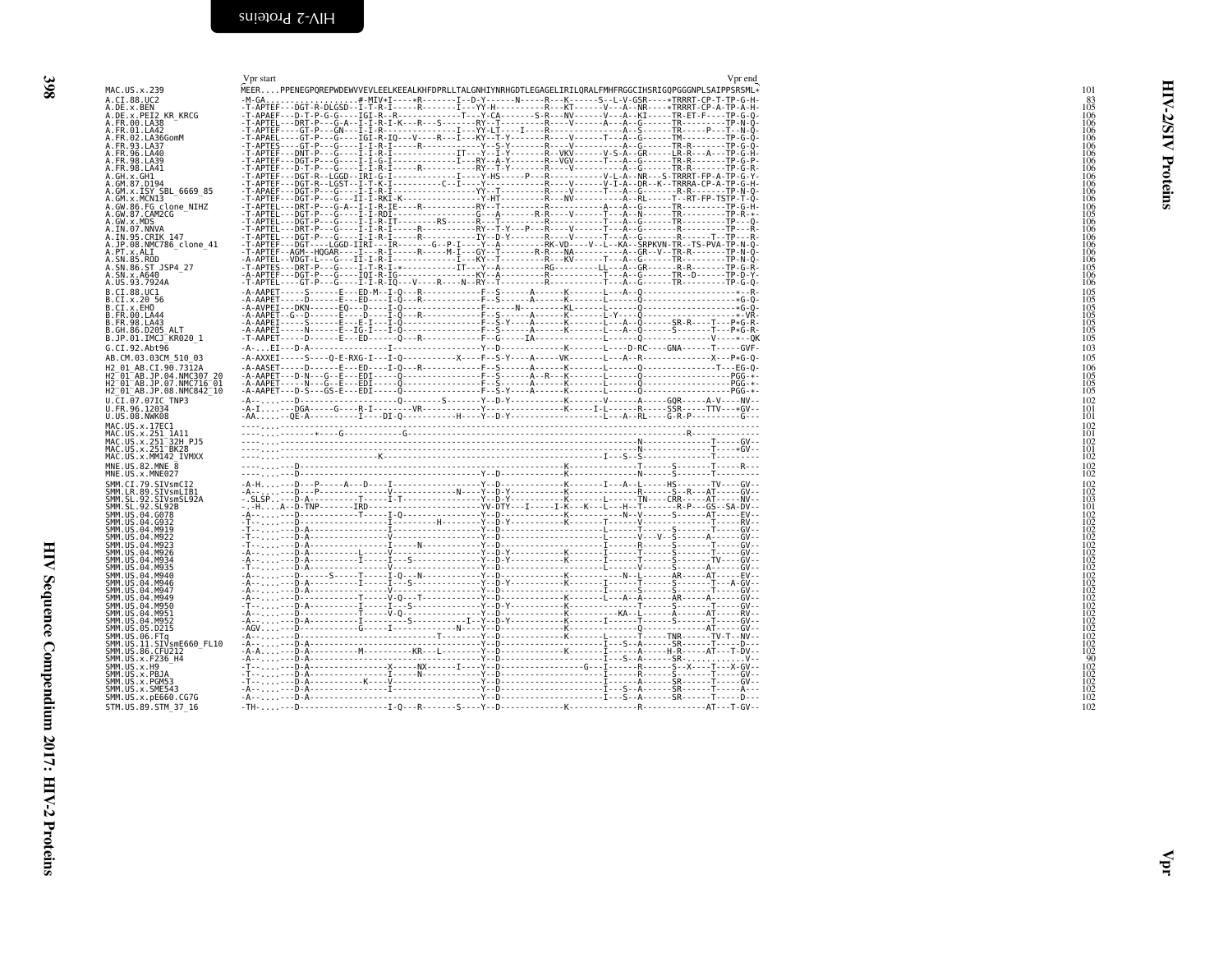<span id="page-21-0"></span>

| 398                            |  |
|--------------------------------|--|
|                                |  |
|                                |  |
|                                |  |
|                                |  |
|                                |  |
|                                |  |
|                                |  |
|                                |  |
|                                |  |
|                                |  |
|                                |  |
|                                |  |
|                                |  |
|                                |  |
|                                |  |
|                                |  |
| $\frac{1}{2}$<br>$\frac{1}{2}$ |  |
|                                |  |
|                                |  |
|                                |  |
| <b>CONTRACTORS</b>             |  |
|                                |  |
|                                |  |
|                                |  |
| $\ddot{\phantom{a}}$           |  |
|                                |  |
|                                |  |
|                                |  |

<span id="page-21-1"></span>

| MAC.US.x.239<br>A.CI.88.UC2<br>A.FR.00.LA38<br>A.FR.00.LA38<br>A.FR.01.LA42<br>A.FR.02.LA36GomM<br>A.FR.93.LA37 |                                                                                                       | MEERPPENEGPQREPWDEWVVEVLEELKEEALKHFDPRLLTALGNHIYNRHGDTLEGAGELIRILQRALFMHFRGGCIHSRIGQPGGGNPLSAIPPSRSML*<br>101 |          |
|-----------------------------------------------------------------------------------------------------------------|-------------------------------------------------------------------------------------------------------|---------------------------------------------------------------------------------------------------------------|----------|
|                                                                                                                 |                                                                                                       |                                                                                                               |          |
|                                                                                                                 |                                                                                                       | $\begin{array}{c} 83 \\ 105 \\ 106 \end{array}$                                                               |          |
|                                                                                                                 |                                                                                                       | $\frac{106}{106}$<br>$\frac{106}{106}$                                                                        | Ø        |
|                                                                                                                 |                                                                                                       |                                                                                                               | ₹        |
|                                                                                                                 |                                                                                                       | $\frac{106}{106}$                                                                                             |          |
| A.FR.98.LA41                                                                                                    |                                                                                                       | $\frac{106}{106}$<br>$\frac{106}{106}$                                                                        |          |
|                                                                                                                 |                                                                                                       |                                                                                                               | Proteins |
|                                                                                                                 | A.GM.x.MCNI3                                                                                          | $\frac{106}{106}$                                                                                             |          |
|                                                                                                                 |                                                                                                       | $\frac{105}{106}$<br>$\frac{106}{106}$                                                                        |          |
|                                                                                                                 | A.GW.x.MDS<br>A.IN.07.NNVA<br>A.IN.95.CRIK.147                                                        |                                                                                                               |          |
| .PT.x.ALI                                                                                                       | .JP.08.NMC786 clone 41                                                                                |                                                                                                               |          |
|                                                                                                                 | A.: N. 85. Rob<br>A. SN. 85. ROD<br>A. SN. 86. ST_JSP4_27<br>A. US. 93. 7924A                         | 106<br>106<br>106<br>105<br>106<br>106<br>106                                                                 |          |
|                                                                                                                 |                                                                                                       |                                                                                                               |          |
| B.CI.88.UC1<br>B.CI.x.20 56<br>B.CI.x.EHO                                                                       |                                                                                                       | 105                                                                                                           |          |
|                                                                                                                 |                                                                                                       | $\begin{array}{l} 105 \\ 105 \\ 105 \\ 105 \\ 105 \\ 105 \\ 105 \end{array}$                                  |          |
|                                                                                                                 | B.FR.00.LA44<br>B.FR.98.LA43<br>B.GH.86.D205 ALT                                                      |                                                                                                               |          |
|                                                                                                                 | B.JP.01.IMCJ <sup>-</sup> KR020 1<br>G.CI.92.Abt96                                                    | 103                                                                                                           |          |
|                                                                                                                 | AB.CM.03.03CM 510 03                                                                                  | 105                                                                                                           |          |
|                                                                                                                 | H2 01 AB.CI.90.7312A<br>H2-01-AB.JP.04.NMC307-20<br>H2-01-AB.JP.07.NMC716-01                          | 106<br>105                                                                                                    |          |
|                                                                                                                 | H2 <sup>-</sup> 01 <sup>-</sup> AB.JP.08.NMC842 <sup>-</sup> 10                                       | $\frac{105}{105}$                                                                                             |          |
|                                                                                                                 | U.ČI.07.07IC TNP3<br>U.FR.96.12034                                                                    | 102<br>$10\overline{1}$                                                                                       |          |
|                                                                                                                 | U.US.08.NWK08                                                                                         | 101<br>102                                                                                                    |          |
|                                                                                                                 |                                                                                                       | $^{101}_{102}$                                                                                                |          |
|                                                                                                                 | MAC.US.x.MM142_IVMXX                                                                                  | $^{101}_{102}$                                                                                                |          |
|                                                                                                                 | $MNE. US.82.MNE \overline{8}$                                                                         | $^{102}_{102}$                                                                                                |          |
|                                                                                                                 | MNE.US.x.MNE027                                                                                       |                                                                                                               |          |
|                                                                                                                 |                                                                                                       | $\frac{102}{102}$                                                                                             |          |
|                                                                                                                 | SMM.US.04.G078                                                                                        |                                                                                                               |          |
|                                                                                                                 | SMM. US. 04. 0073<br>SMM. US. 04. 0932<br>SMM. US. 04. M919<br>SMM. US. 04. M922                      |                                                                                                               |          |
|                                                                                                                 |                                                                                                       |                                                                                                               |          |
|                                                                                                                 | SMM.US.04.M926<br>SMM.US.04.M934                                                                      |                                                                                                               |          |
|                                                                                                                 | SMM. US. 04. M935<br>SMM. US. 04. M935<br>SMM. US. 04. M940<br>SMM. US. 04. M947<br>SMM. US. 04. M947 |                                                                                                               |          |
|                                                                                                                 |                                                                                                       |                                                                                                               |          |
|                                                                                                                 | SMM.US.04.M950                                                                                        |                                                                                                               |          |
|                                                                                                                 | SMM.US.04.M951                                                                                        |                                                                                                               |          |
|                                                                                                                 | 31111.03.04.11932<br>SMM.US.04.M952<br>SMM.US.06.FTq<br>SMM.US.11.SIVsmE660_FL10                      |                                                                                                               |          |
|                                                                                                                 | SMM.US.86.CFU212<br>SMM.US.x.F236_H4                                                                  |                                                                                                               |          |
|                                                                                                                 |                                                                                                       |                                                                                                               |          |
|                                                                                                                 | SMM.US.x.H9<br>SMM.US.x.PBJA<br>SMM.US.x.PGM53<br>SMM.US.x.PGM53                                      |                                                                                                               |          |
|                                                                                                                 | ŠMM. UŠ. X. SME543<br>SMM.US.x.pE660.CG7G                                                             |                                                                                                               |          |
|                                                                                                                 |                                                                                                       |                                                                                                               |          |
|                                                                                                                 | STM.US.89.STM 37 16                                                                                   | 102                                                                                                           |          |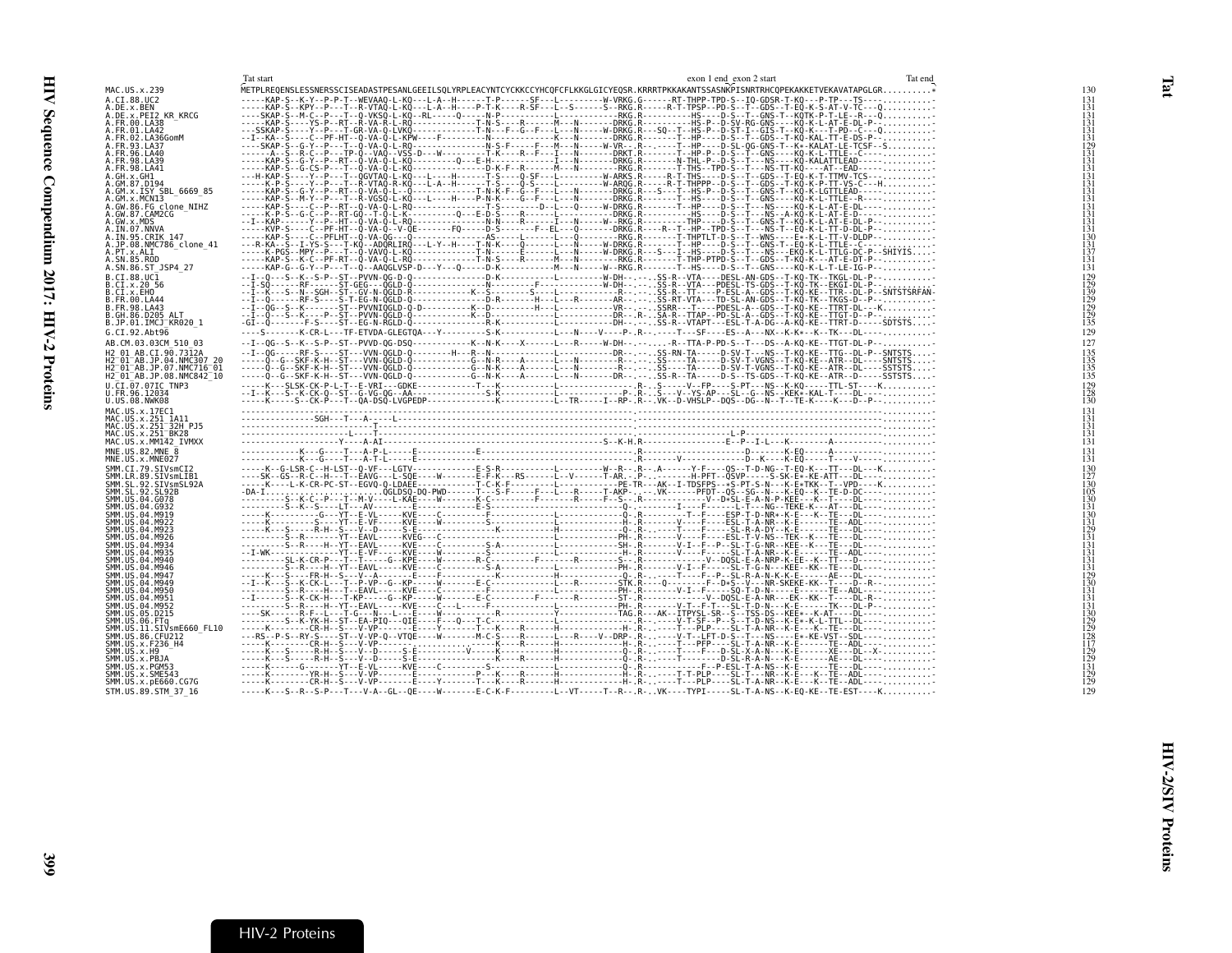<span id="page-22-1"></span>

|                                                                 | Tat start<br>Tat end<br>exon 1 end exon 2 start                                                                                                                                                                                                                                                                                                                                                                                            |                   |
|-----------------------------------------------------------------|--------------------------------------------------------------------------------------------------------------------------------------------------------------------------------------------------------------------------------------------------------------------------------------------------------------------------------------------------------------------------------------------------------------------------------------------|-------------------|
| MAC.US.x.239                                                    |                                                                                                                                                                                                                                                                                                                                                                                                                                            | 130               |
| A.CI.88.UC2                                                     |                                                                                                                                                                                                                                                                                                                                                                                                                                            | $\frac{131}{131}$ |
| A.DE.x.BEN                                                      |                                                                                                                                                                                                                                                                                                                                                                                                                                            |                   |
| A.DE.X.PEI2 KR KRCG<br>A.FR.00.LA38                             |                                                                                                                                                                                                                                                                                                                                                                                                                                            | $\frac{131}{131}$ |
| A.FR.01.LA42                                                    |                                                                                                                                                                                                                                                                                                                                                                                                                                            | 131               |
| A.FR.02.LA36GomM                                                |                                                                                                                                                                                                                                                                                                                                                                                                                                            | 131               |
| A.FR.93.LA37                                                    |                                                                                                                                                                                                                                                                                                                                                                                                                                            |                   |
| A.FR.96.LA40<br>A. FR. 98. LA39                                 |                                                                                                                                                                                                                                                                                                                                                                                                                                            |                   |
| A.FR.98.LA41                                                    |                                                                                                                                                                                                                                                                                                                                                                                                                                            |                   |
| A.GH.x.GH1                                                      |                                                                                                                                                                                                                                                                                                                                                                                                                                            |                   |
| A.GM.87.D194                                                    |                                                                                                                                                                                                                                                                                                                                                                                                                                            | 131               |
| A.GM.x.ISY SBL 6669 85<br>A.GM.x.MCN13                          |                                                                                                                                                                                                                                                                                                                                                                                                                                            | 131               |
|                                                                 |                                                                                                                                                                                                                                                                                                                                                                                                                                            | $\frac{131}{131}$ |
| A.GW.86.FG clone_NIHZ<br>A.GW.87.CAM2CG                         |                                                                                                                                                                                                                                                                                                                                                                                                                                            |                   |
| A.GW.x.MDS<br>A.IN.07.NNVA                                      |                                                                                                                                                                                                                                                                                                                                                                                                                                            | $\frac{131}{131}$ |
| A.IN.95.CRIK 147                                                |                                                                                                                                                                                                                                                                                                                                                                                                                                            | 130               |
| A.JP.08.NMC786 clone 41                                         |                                                                                                                                                                                                                                                                                                                                                                                                                                            | 131               |
| A.PT.x.ALI                                                      |                                                                                                                                                                                                                                                                                                                                                                                                                                            |                   |
| A.SN.85.ROD<br>A.SN.86.ST_JSP4_27                               |                                                                                                                                                                                                                                                                                                                                                                                                                                            | 131<br>131        |
| B.CI.88.UC1                                                     |                                                                                                                                                                                                                                                                                                                                                                                                                                            |                   |
| B.CI.x.20 56                                                    |                                                                                                                                                                                                                                                                                                                                                                                                                                            |                   |
| B.CI.x.EHO                                                      |                                                                                                                                                                                                                                                                                                                                                                                                                                            | 139               |
| B.FR.00.LA44                                                    |                                                                                                                                                                                                                                                                                                                                                                                                                                            |                   |
| B. FR. 98. LA43<br>B.GH.86.D205 ALT                             |                                                                                                                                                                                                                                                                                                                                                                                                                                            |                   |
| B.JP.01.IMCJ KR020 1                                            |                                                                                                                                                                                                                                                                                                                                                                                                                                            | 135               |
| G.CI.92.Abt96                                                   |                                                                                                                                                                                                                                                                                                                                                                                                                                            | 129               |
| AB.CM.03.03CM 510 03                                            | --I--0G--S--K--S-P--ST--PVVD-0G-DSQ------------K--N-K----X------L---R-----W-DH-- ----R--TTA-P-PD-S--T---DS--A-KQ-KE--TTGT-DL-P--                                                                                                                                                                                                                                                                                                           | 127               |
| H2 01 AB.CI.90.7312A                                            |                                                                                                                                                                                                                                                                                                                                                                                                                                            | 135               |
| H2 <sup>-01-AB.JP.04.NMC307 20</sup>                            |                                                                                                                                                                                                                                                                                                                                                                                                                                            | 135               |
| H2 <sup>-01-AB.JP.07.NMC716-01</sup>                            |                                                                                                                                                                                                                                                                                                                                                                                                                                            | 135               |
|                                                                 |                                                                                                                                                                                                                                                                                                                                                                                                                                            |                   |
| H2 <sup>-</sup> 01 <sup>-</sup> AB.JP.08.NMC842 <sup>-</sup> 10 |                                                                                                                                                                                                                                                                                                                                                                                                                                            | 135               |
| U.CI.07.07IC TNP3                                               |                                                                                                                                                                                                                                                                                                                                                                                                                                            | 129               |
| U.FR.96.12034<br>U.US.08.NWK08                                  |                                                                                                                                                                                                                                                                                                                                                                                                                                            | $\frac{128}{130}$ |
|                                                                 |                                                                                                                                                                                                                                                                                                                                                                                                                                            |                   |
| MAC.US.x.17EC1                                                  |                                                                                                                                                                                                                                                                                                                                                                                                                                            | $\frac{131}{131}$ |
| MAC.US.x.251 1A11<br>MAC.US.x.251 32H PJ5                       |                                                                                                                                                                                                                                                                                                                                                                                                                                            | 131               |
| MAC.US.x.251 BK28                                               |                                                                                                                                                                                                                                                                                                                                                                                                                                            | 131               |
| MAC.US.x.MM142 IVMXX                                            |                                                                                                                                                                                                                                                                                                                                                                                                                                            | 131               |
| MNE.US.82.MNE 8<br>MNE.US.x.MNE027                              |                                                                                                                                                                                                                                                                                                                                                                                                                                            | $\frac{131}{131}$ |
| SMM.CI.79.SIVsmCI2                                              | $\xbrace{\mathbf{0}}_{\mathbf{0}}\mathbf{0}}_{\mathbf{1}}\mathbf{1}}\mathbf{1}_{\mathbf{1}}\mathbf{1}_{\mathbf{2}}\mathbf{1}_{\mathbf{3}}\mathbf{1}_{\mathbf{4}}\mathbf{1}_{\mathbf{5}}\mathbf{1}_{\mathbf{6}}\mathbf{1}_{\mathbf{5}}\mathbf{1}_{\mathbf{6}}\mathbf{1}_{\mathbf{6}}\mathbf{1}_{\mathbf{7}}\mathbf{1}_{\mathbf{8}}\mathbf{1}_{\mathbf{9}}\mathbf{1}_{\mathbf{1}}\mathbf{1}_{\mathbf{1}}\mathbf{1}_{\mathbf{1}}\mathbf{1}_{$ |                   |
|                                                                 |                                                                                                                                                                                                                                                                                                                                                                                                                                            | $^{130}_{127}$    |
| SMM.LR.89.SIVsmLIB1<br>SMM.SL.92.SIVsmSL92A                     |                                                                                                                                                                                                                                                                                                                                                                                                                                            | $1\overline{3}0$  |
| SMM. SL. 92. SL92B<br>SMM. US.04.G078                           |                                                                                                                                                                                                                                                                                                                                                                                                                                            |                   |
| SMM.US.04.G932                                                  |                                                                                                                                                                                                                                                                                                                                                                                                                                            |                   |
| SMM. US.04.M919                                                 |                                                                                                                                                                                                                                                                                                                                                                                                                                            |                   |
| SMM. US.04.M922                                                 |                                                                                                                                                                                                                                                                                                                                                                                                                                            |                   |
| SMM.US.04.M923<br>SMM. US.04.M926                               |                                                                                                                                                                                                                                                                                                                                                                                                                                            |                   |
| SMM.US.04.M934                                                  |                                                                                                                                                                                                                                                                                                                                                                                                                                            |                   |
| SMM.US.04.M935                                                  |                                                                                                                                                                                                                                                                                                                                                                                                                                            | 131               |
| SMM. US.04.M940<br>SMM.US.04.M946                               |                                                                                                                                                                                                                                                                                                                                                                                                                                            | 131               |
| SMM. US.04.M947                                                 |                                                                                                                                                                                                                                                                                                                                                                                                                                            | $\frac{131}{129}$ |
| SMM. U.S. 04. M949                                              |                                                                                                                                                                                                                                                                                                                                                                                                                                            | 130               |
| SMM.US.04.M950                                                  |                                                                                                                                                                                                                                                                                                                                                                                                                                            | 131<br>131        |
| SMM. US. 04. M951<br>SMM. US. 04. M952                          |                                                                                                                                                                                                                                                                                                                                                                                                                                            |                   |
| SMM.US.05.D215                                                  |                                                                                                                                                                                                                                                                                                                                                                                                                                            |                   |
| SMM.US.06.FTq                                                   |                                                                                                                                                                                                                                                                                                                                                                                                                                            |                   |
| SMM.US.11.SIVsmE660 FL10<br>SMM. US.86.CFU212                   |                                                                                                                                                                                                                                                                                                                                                                                                                                            |                   |
| SMM.US.x.F236 H4                                                |                                                                                                                                                                                                                                                                                                                                                                                                                                            |                   |
| SMM. US. x. H9                                                  |                                                                                                                                                                                                                                                                                                                                                                                                                                            |                   |
| SMM.US.x.PBJA<br>SMM.US.x.PGM53                                 |                                                                                                                                                                                                                                                                                                                                                                                                                                            |                   |
| SMM.US.x.SME543<br>SMM. US. x. pE660. CG7G                      |                                                                                                                                                                                                                                                                                                                                                                                                                                            |                   |

-----K---S--R--S-P---T---V-A--GL--QE----W-------E-C-K-F---------L--VT-----T--R--.R-..VK----TYPI-----SL-T-A-NS--K-EQ-KE--TE-EST----K..........- <sup>129</sup>

<span id="page-22-0"></span>STM.US.89.STM\_37\_16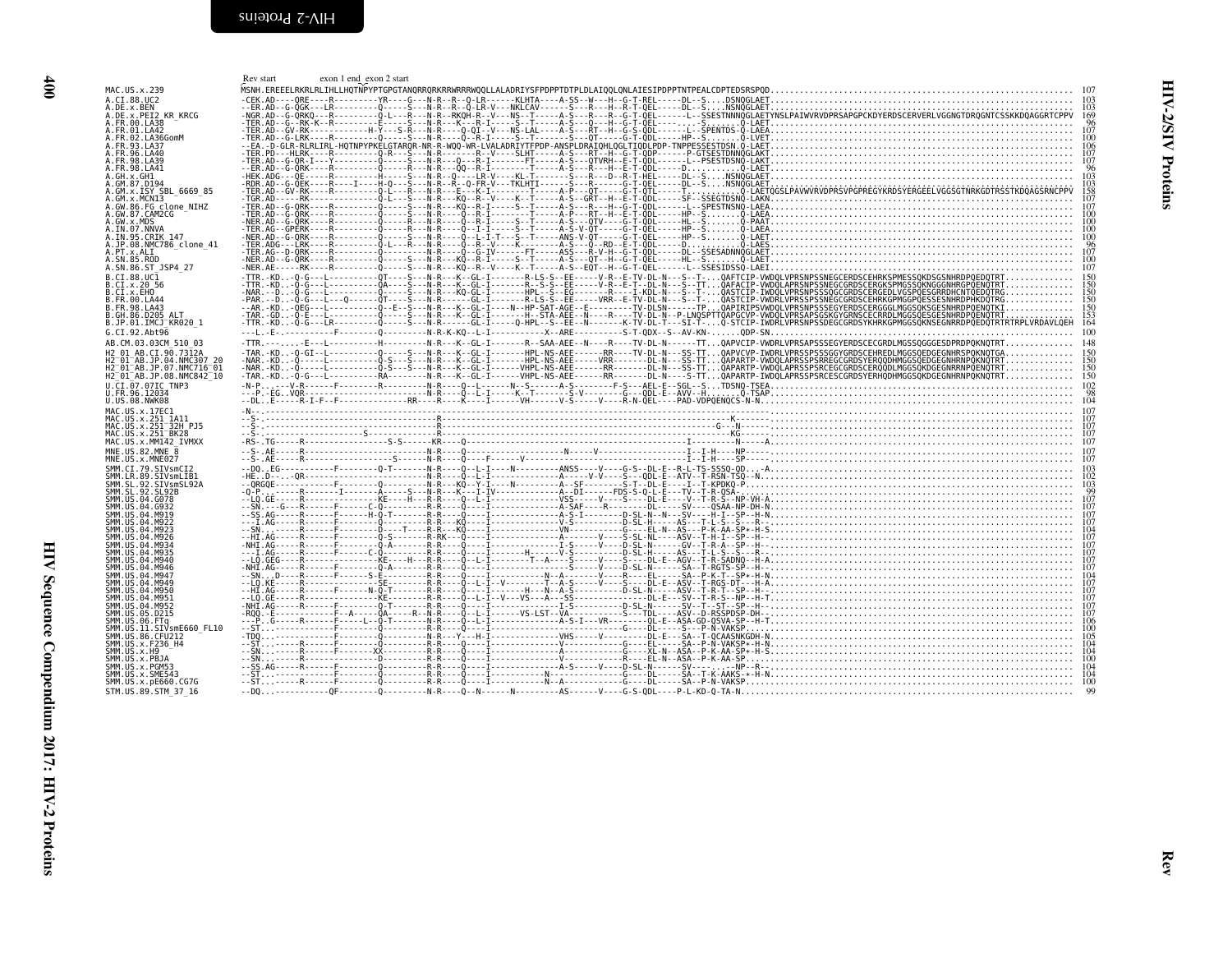<span id="page-23-0"></span>HIV Sequence Compendium 2017: HIV-2 Proteins

<span id="page-23-1"></span>

| A.CI.88.UC2<br>A.DE.x.BEN<br>A.DE.X.PEI2 KR KRCG<br>A.FR.00.LA38<br>A.FR.01.LA42<br>A.FR.02.LA36GomM     |  |  | $\begin{smallmatrix} \mathbf{r}_1 & \mathbf{r}_2 & \mathbf{r}_3 & \mathbf{r}_4 & \mathbf{r}_5 & \mathbf{r}_6 & \mathbf{r}_7 & \mathbf{r}_8 & \mathbf{r}_7 & \mathbf{r}_8 & \mathbf{r}_9 & \mathbf{r}_9 & \mathbf{r}_9 & \mathbf{r}_9 & \mathbf{r}_9 & \mathbf{r}_9 & \mathbf{r}_9 & \mathbf{r}_9 & \mathbf{r}_9 & \mathbf{r}_9 & \mathbf{r}_9 & \mathbf{r}_9 & \mathbf{r}_9 & \mathbf{r}_9 & \mathbf{r}_9 & \mathbf{r}_9 & \mathbf{r}_$ |
|----------------------------------------------------------------------------------------------------------|--|--|-----------------------------------------------------------------------------------------------------------------------------------------------------------------------------------------------------------------------------------------------------------------------------------------------------------------------------------------------------------------------------------------------------------------------------------------|
| A.FR.93.LA37<br>A.FR.96.LA40<br>A.FR.98.LA39<br>A.FR.98.LA41                                             |  |  |                                                                                                                                                                                                                                                                                                                                                                                                                                         |
| .GH.x.GH1                                                                                                |  |  |                                                                                                                                                                                                                                                                                                                                                                                                                                         |
| A.GW.86.FG_clone_NIHZ<br>A.GW.86.FG_clone_NIHZ                                                           |  |  |                                                                                                                                                                                                                                                                                                                                                                                                                                         |
| A.GW.X.CARTZCO<br>A.GW.X.MDS<br>A.IN.95.CRIK 147<br>A.JP.08.NMC786_clone_41<br>A.PT.x.ALI<br>A.SN.85.ROD |  |  |                                                                                                                                                                                                                                                                                                                                                                                                                                         |
| A.SN.86.ST JSP4 27<br>B.CI.88.UC1<br>B.CI.x.20 56<br>B.CI.x.EHO                                          |  |  |                                                                                                                                                                                                                                                                                                                                                                                                                                         |
| B.FR.00.LA44<br>B.FR.98.LA43<br>B.GH.86.D205 ALT<br>B.JP.01.IMCJ <sup>-</sup> KR020 1                    |  |  |                                                                                                                                                                                                                                                                                                                                                                                                                                         |
| G.CI.92.Abt96<br>AB.CM.03.03CM 510 03<br>H2 01 AB.CI.90.7312A                                            |  |  |                                                                                                                                                                                                                                                                                                                                                                                                                                         |
| H2-01-AB.JP.04.NMC307-20<br>H2-01-AB.JP.07.NMC716-01<br>H2_01_AB.JP.08.NMC842_10<br>U.CI.07.07IC TNP3    |  |  |                                                                                                                                                                                                                                                                                                                                                                                                                                         |
| U.FR.96.12034<br>U.US.08.NWK08<br>MAC.US.x.17EC1                                                         |  |  |                                                                                                                                                                                                                                                                                                                                                                                                                                         |
| MAC.US.x.251 1A11<br>MAC.US.x.251 1A11<br>MAC.US.x.251 BK28<br>MAC.US.x.MM142_IVMXX                      |  |  |                                                                                                                                                                                                                                                                                                                                                                                                                                         |
| MNE.US.82.MNE 8<br>MNE.US.x.MNE027                                                                       |  |  |                                                                                                                                                                                                                                                                                                                                                                                                                                         |
| SMM.US.04.G078                                                                                           |  |  |                                                                                                                                                                                                                                                                                                                                                                                                                                         |
| SMM.US.04.G932<br>SMM.US.04.M919<br>SMM.US.04.M922<br>SMM. US. 04. M923<br>SMM.US.04.M926                |  |  |                                                                                                                                                                                                                                                                                                                                                                                                                                         |
| SMM.US.04.M934<br>ŠMM.US.04.M935<br>SMM.US.04.M940<br>SMM.US.04.M946<br>SMM.US.04.M947                   |  |  |                                                                                                                                                                                                                                                                                                                                                                                                                                         |
| SMM.US.04.M949<br>SMM.US.04.M950<br>SMM.US.04.M951<br>SMM.US.04.M952                                     |  |  |                                                                                                                                                                                                                                                                                                                                                                                                                                         |
| SMM.US.05.D215<br>SMM.ŬŠ.ÕÕ.FTq<br>SMM.US.11.SIVsm5660_FL10                                              |  |  |                                                                                                                                                                                                                                                                                                                                                                                                                                         |
| SMM.US.86.CFU212<br>SMM.US.x.F236 H4<br>SMM.US.x.H9<br>ŠMM.ŬŠ.X.PBJA<br>SMM.US.x.PGM53                   |  |  |                                                                                                                                                                                                                                                                                                                                                                                                                                         |
| SMM.US.x.SME543<br>SMM.US.x.pE660.CG7G<br>STM.US.89.STM 37 16                                            |  |  |                                                                                                                                                                                                                                                                                                                                                                                                                                         |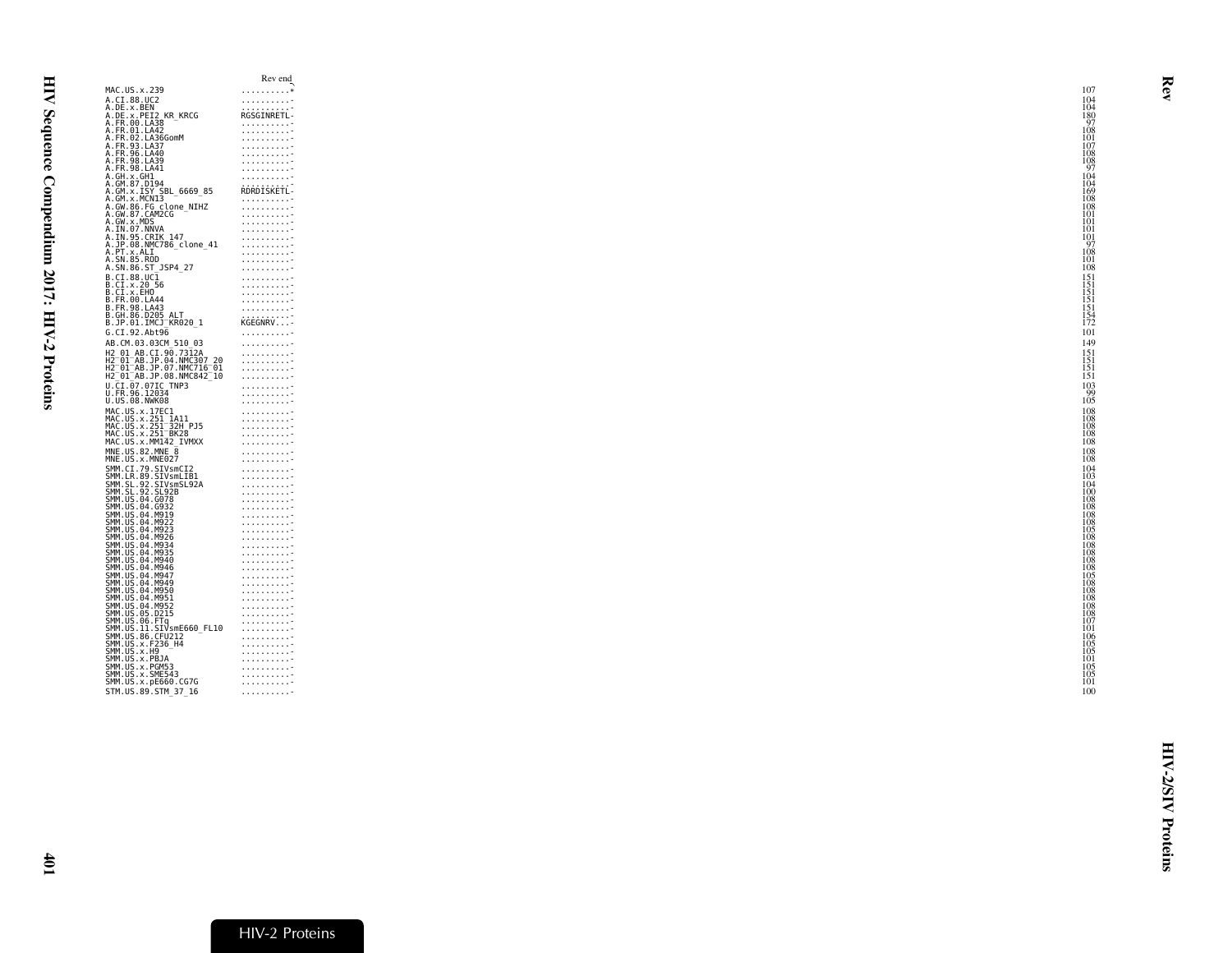<span id="page-24-0"></span>

|                                                                                                      | Rev end                                                                                                           |
|------------------------------------------------------------------------------------------------------|-------------------------------------------------------------------------------------------------------------------|
| MAC.US.x.239                                                                                         | . *                                                                                                               |
| A.CI.88.UC2                                                                                          | .                                                                                                                 |
| A.DE.x.BEN                                                                                           | RGSGINRETL-                                                                                                       |
| A.DE.x.PEI2_KR_KRCG<br>A.FR.00.LA38                                                                  |                                                                                                                   |
|                                                                                                      |                                                                                                                   |
|                                                                                                      |                                                                                                                   |
| A.FR.93.LA37                                                                                         |                                                                                                                   |
| A.FR.96.LA40                                                                                         | .                                                                                                                 |
| A.FR.98.LA39                                                                                         |                                                                                                                   |
| A.FR.98.LA41                                                                                         |                                                                                                                   |
| A.GH.x.GH1<br>A.GM.87.D194                                                                           |                                                                                                                   |
|                                                                                                      | RDRDISKETL-                                                                                                       |
| .<br>A.GM.x.ISY SBL_6669_85<br>A.GM.x.MCN13                                                          | .                                                                                                                 |
| A.GW.86.FG clone_NIHZ<br>A.GW.87.CAM2CG                                                              | .                                                                                                                 |
|                                                                                                      | $\begin{array}{ccccccccc} . & . & . & . & . & . & . & . & . & . \\ . & . & . & . & . & . & . & . & . \end{array}$ |
| A.GW.x.MDS                                                                                           |                                                                                                                   |
| A.IN.07.NNVA                                                                                         | .                                                                                                                 |
| A.IN.95.CRIK 147                                                                                     |                                                                                                                   |
| A.JP.08.NMC786_clone_41                                                                              | .                                                                                                                 |
| A.PT.x.ALI<br>A.SN.85.ROD                                                                            | .                                                                                                                 |
| A.SN.86.ST_JSP4_27                                                                                   | .                                                                                                                 |
| B.CI.88.UC1                                                                                          | .                                                                                                                 |
|                                                                                                      | .                                                                                                                 |
| B.CI.x.20 56<br>B.CI.x.20 56<br>B.CI.x.EHO                                                           | .                                                                                                                 |
| B.FR.00.LA44                                                                                         | .                                                                                                                 |
| B.FR.98.LA43                                                                                         | .                                                                                                                 |
| B.GH.86.D205 ALT<br>B.JP.01.IMCJ_KR020_1                                                             | KĠĖĠŇŔV                                                                                                           |
|                                                                                                      |                                                                                                                   |
| G.CI.92.Abt96                                                                                        | .                                                                                                                 |
| AB.CM.03.03CM_510_03                                                                                 | .                                                                                                                 |
| H2 01 AB.CI.90.7312A                                                                                 | 1.1.1.1.1.1.1.1.7                                                                                                 |
| H2-01-AB.JP.04.NMC307-20<br>H2-01-AB.JP.07.NMC716-01                                                 | .                                                                                                                 |
|                                                                                                      | .                                                                                                                 |
| H2 01 AB.JP.08.NMC842 10                                                                             | .                                                                                                                 |
|                                                                                                      | .                                                                                                                 |
| U.CI.07.07IC TNP3<br>U.FR.96.12034                                                                   | .                                                                                                                 |
| U.US.08.NWK08                                                                                        | .                                                                                                                 |
|                                                                                                      | .                                                                                                                 |
| MAC.US.x.17EC1<br>MAC.US.x.251_1A11<br>MAC.US.x.251_32H_PJ5                                          | .                                                                                                                 |
|                                                                                                      |                                                                                                                   |
| MAC.US.x.251-BK28<br>MAC.US.x.MM142_IVMXX                                                            |                                                                                                                   |
|                                                                                                      | .                                                                                                                 |
| MNE.US.82.MNE 8<br>MNE.US.x.MNE027                                                                   |                                                                                                                   |
|                                                                                                      | .                                                                                                                 |
| SMM.CI.79.SIVsmCI2                                                                                   |                                                                                                                   |
| SMM.LR.89.SIVSML1B1<br>SMM.SL.92.SIVsmL1B1<br>SMM.SL.92.SL92B                                        | $\frac{1}{2}$                                                                                                     |
|                                                                                                      |                                                                                                                   |
|                                                                                                      |                                                                                                                   |
| SMM. US.04.G078                                                                                      | .                                                                                                                 |
| SMM. US. 04. 0078<br>SMM. US. 04. 0932<br>SMM. US. 04. M919                                          |                                                                                                                   |
|                                                                                                      |                                                                                                                   |
| SMM.US.04.M923                                                                                       |                                                                                                                   |
| SMM.US.04.M926                                                                                       | .                                                                                                                 |
| SMM. US. 04. M934                                                                                    |                                                                                                                   |
| SMM.US.04.M935<br>SMM.US.04.M940                                                                     |                                                                                                                   |
|                                                                                                      | $\begin{array}{cccccccccc} . & . & . & . & . & . & . & . & . & . \end{array}$                                     |
| SMM.US.04.M946                                                                                       | 1.1.1.1.1.1.1.1.7                                                                                                 |
| SMM.US.04.M947                                                                                       |                                                                                                                   |
| SMM.US.04.M949                                                                                       | $\begin{array}{cccccccccccccc} . & . & . & . & . & . & . & . & . & . \end{array}$                                 |
|                                                                                                      | $\begin{array}{ccccccccc} . & . & . & . & . & . & . & . \\ . & . & . & . & . & . & . & . \end{array}$             |
|                                                                                                      | 1.1.1.1.1.1.1.1.7                                                                                                 |
|                                                                                                      | .                                                                                                                 |
| SMM. US. 04. M959<br>SMM. US. 04. M950<br>SMM. US. 04. M951<br>SMM. US. 05. D215<br>SMM. US. 06. FTQ | .                                                                                                                 |
| 3MM.US. 11. SIVSME660_FL10<br>SMM.US. 86. CFU212<br>SMM.US. 86. CFU212<br>SMM.US. x. F236_H4         | .                                                                                                                 |
|                                                                                                      | .                                                                                                                 |
|                                                                                                      | $\begin{array}{cccccccccccccc} . & . & . & . & . & . & . & . & . & . & . & . & . & . & \end{array}$               |
| SMM.US.x.H9<br>SMM.US.x.PBJA                                                                         | .                                                                                                                 |
|                                                                                                      |                                                                                                                   |
| SMM.US.x.PGM53<br>SMM.US.x.SME543                                                                    |                                                                                                                   |
| SMM.US.x.pE660.CG7G                                                                                  | .                                                                                                                 |
| STM.US.89.STM 37 16                                                                                  | .                                                                                                                 |
|                                                                                                      |                                                                                                                   |
|                                                                                                      |                                                                                                                   |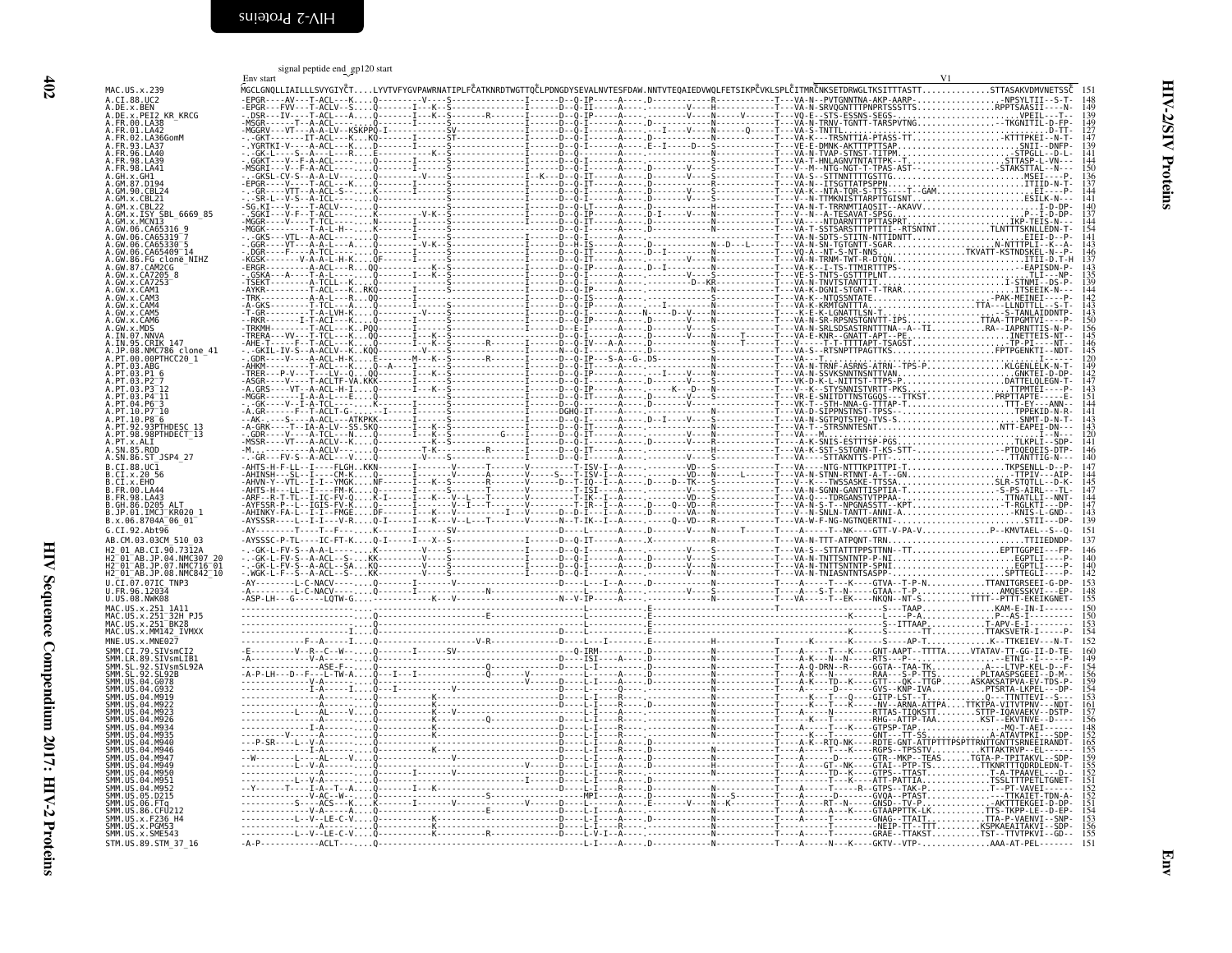<span id="page-25-0"></span>

| 402                                          |                                                                                                                                                                                                                                                                    |
|----------------------------------------------|--------------------------------------------------------------------------------------------------------------------------------------------------------------------------------------------------------------------------------------------------------------------|
|                                              |                                                                                                                                                                                                                                                                    |
|                                              |                                                                                                                                                                                                                                                                    |
|                                              |                                                                                                                                                                                                                                                                    |
|                                              | MAC. US. x, 239<br>A. C.I. 88. UC2<br>A. C.I. 88. UC2<br>A. D.E. 8. B. UC2<br>A. D.E. 8. B. UC2<br>A. D.E. 8. B. UC2<br>A. D.E. 8. B. UC2<br>A. F.R. 00. LA32<br>C. R. R. R. 90. LA32<br>A. F.R. 00. LA32<br>A. F.R. 00. LA32<br>A. F.R. 00. LA32<br>A. F.R. 00. L |
| HIV Sequence Compendium 2017: HIV-2 Proteins |                                                                                                                                                                                                                                                                    |
|                                              |                                                                                                                                                                                                                                                                    |

<span id="page-25-1"></span>

| MAC.US.x.239<br>A.CI.88.UC2                                                                                                                                                                                                       |  |  | .<br>MGCLGNQLLIAILLLSVYGIYČTLYVTVFYGVPAWRNATIPLFČATKNRDTWGTTQČLPDNGDYSEVALNVTESFDAW.NNTVTEQAIEDVWQLFETSIKPČVKLSPLČITMRČNKSETDRWGLTKSITTTASTTSTTASAKVDMVNETSSČ l51 | 148<br>149                                                                       |
|-----------------------------------------------------------------------------------------------------------------------------------------------------------------------------------------------------------------------------------|--|--|-------------------------------------------------------------------------------------------------------------------------------------------------------------------|----------------------------------------------------------------------------------|
| A.DE.x.BEN<br>A.DE.x.PEI2 KR_KRCG<br>A.FR.00.LA38                                                                                                                                                                                 |  |  |                                                                                                                                                                   | i39                                                                              |
| A.FR.01.LA42                                                                                                                                                                                                                      |  |  |                                                                                                                                                                   |                                                                                  |
| A.FR.02.LA36GomM                                                                                                                                                                                                                  |  |  |                                                                                                                                                                   | 147<br>139                                                                       |
| A. FR. 93. LA37<br>A. FR. 96. LA40                                                                                                                                                                                                |  |  |                                                                                                                                                                   | 141                                                                              |
| A. FR. 98. LA39<br>A.FR.98.LA41                                                                                                                                                                                                   |  |  |                                                                                                                                                                   |                                                                                  |
|                                                                                                                                                                                                                                   |  |  |                                                                                                                                                                   |                                                                                  |
| A.GM.87.D194<br>A.GM.90.CBL24                                                                                                                                                                                                     |  |  |                                                                                                                                                                   | 144<br>141                                                                       |
| A.GM.x.CBL21<br>A.GM.x.CBL22                                                                                                                                                                                                      |  |  |                                                                                                                                                                   |                                                                                  |
| A.GM.x.ISY SBL 6669 85                                                                                                                                                                                                            |  |  |                                                                                                                                                                   | 140<br>140<br>137<br>144<br>154                                                  |
| A.GM.x.MCN13<br>A.GW.06.CA65316_9<br>A.GW.06.CA65319-7                                                                                                                                                                            |  |  |                                                                                                                                                                   |                                                                                  |
|                                                                                                                                                                                                                                   |  |  |                                                                                                                                                                   |                                                                                  |
| A.GW.06.CA65330-5<br>A.GW.06.CA65409-14                                                                                                                                                                                           |  |  |                                                                                                                                                                   |                                                                                  |
| A.GW.86.FG clone_NIHZ<br>A.GW.87.CAM2CG<br>A.GW.x.CA7205_8                                                                                                                                                                        |  |  |                                                                                                                                                                   | 143<br>146<br>137<br>135<br>135<br>139<br>144<br>142                             |
| A. GW. x. CA7253                                                                                                                                                                                                                  |  |  |                                                                                                                                                                   |                                                                                  |
|                                                                                                                                                                                                                                   |  |  |                                                                                                                                                                   |                                                                                  |
|                                                                                                                                                                                                                                   |  |  |                                                                                                                                                                   | i 43<br>143                                                                      |
|                                                                                                                                                                                                                                   |  |  |                                                                                                                                                                   |                                                                                  |
| A.IN.07.NNVA                                                                                                                                                                                                                      |  |  |                                                                                                                                                                   | 145                                                                              |
| A. IN. 95. CRIK_147                                                                                                                                                                                                               |  |  |                                                                                                                                                                   | 146<br>145<br>120                                                                |
| A.JP.08.NMC786 clone_41<br>A.PT.00.00PTHCC20_1                                                                                                                                                                                    |  |  |                                                                                                                                                                   |                                                                                  |
| A.PT.03.ABG<br>A.PT.03.P1 6<br>A.PT.03.P2 7                                                                                                                                                                                       |  |  |                                                                                                                                                                   |                                                                                  |
| A.PT.03.P3 <sup>-</sup> 12                                                                                                                                                                                                        |  |  |                                                                                                                                                                   | 142<br>147<br>143                                                                |
| A.PT.03.P4-11<br>A.PT.04.P6-3                                                                                                                                                                                                     |  |  |                                                                                                                                                                   | 151<br>144                                                                       |
| A.PT.10.P7 10                                                                                                                                                                                                                     |  |  |                                                                                                                                                                   |                                                                                  |
| A.PT.10.P8 <sup>-6</sup>                                                                                                                                                                                                          |  |  |                                                                                                                                                                   |                                                                                  |
| A.PT.92.93PTHDESC 13<br>A.PT.98.98PTHDECT 13                                                                                                                                                                                      |  |  |                                                                                                                                                                   | 143<br>120<br>i4ĭ                                                                |
|                                                                                                                                                                                                                                   |  |  |                                                                                                                                                                   | 146<br>140                                                                       |
| A.SN.86.ST JSP4 27                                                                                                                                                                                                                |  |  |                                                                                                                                                                   |                                                                                  |
| B.CI.88.UC1<br>B.CI.x.20 56                                                                                                                                                                                                       |  |  |                                                                                                                                                                   | 147<br>144                                                                       |
| B.FR.00.LA44                                                                                                                                                                                                                      |  |  |                                                                                                                                                                   | i45<br>147                                                                       |
| B.FR.98.LA43                                                                                                                                                                                                                      |  |  |                                                                                                                                                                   | 144                                                                              |
| B.GH.86.D205 ALT<br>B.JP.01.IMCJ KR020 1<br>B.x.06.8704A 06 01                                                                                                                                                                    |  |  |                                                                                                                                                                   | 147<br>143<br>139                                                                |
| G.CI.92.Abt96                                                                                                                                                                                                                     |  |  |                                                                                                                                                                   | 151                                                                              |
| AB.CM.03.03CM 510 03                                                                                                                                                                                                              |  |  |                                                                                                                                                                   |                                                                                  |
| H2_01_AB.CI.90.7312A<br>H2 <sup>-</sup> 01 <sup>-</sup> AB.JP.04.NMC307_20                                                                                                                                                        |  |  |                                                                                                                                                                   | 146                                                                              |
| H2 01 AB.JP.07.NMC716 01<br>H2 <sup>-01-AB.JP.08.NMC842<sup>-10</sup></sup>                                                                                                                                                       |  |  |                                                                                                                                                                   | 142                                                                              |
| U.CI.07.07IC TNP3                                                                                                                                                                                                                 |  |  |                                                                                                                                                                   |                                                                                  |
| U.FR.96.12034<br>U.US.08.NWK08                                                                                                                                                                                                    |  |  |                                                                                                                                                                   | 153<br>148<br>155                                                                |
|                                                                                                                                                                                                                                   |  |  |                                                                                                                                                                   | 150<br>150                                                                       |
| MAC.US.x.251_1A11<br>MAC.US.x.251 <sup>-</sup> 32H_PJ5<br>MAC.US.x.251-8828                                                                                                                                                       |  |  |                                                                                                                                                                   |                                                                                  |
| MAC.US.x.MM142 IVMXX                                                                                                                                                                                                              |  |  |                                                                                                                                                                   | 153<br>154                                                                       |
| MNE.US.x.MNE027                                                                                                                                                                                                                   |  |  |                                                                                                                                                                   | 152                                                                              |
| MNE. US. S. MNE027<br>SMM. LR. 89. STATE STATE STATE STATE STATE STATE STATE STATE STATE STATE STATE STATE STATE STATE STATE STATE STATE STATE STATE STATE STATE STATE STATE STATE STATE STATE STATE STATE STATE STATE STATE STAT |  |  |                                                                                                                                                                   | 160                                                                              |
|                                                                                                                                                                                                                                   |  |  |                                                                                                                                                                   | 149<br>154<br>156                                                                |
|                                                                                                                                                                                                                                   |  |  |                                                                                                                                                                   | 159<br>154<br>153                                                                |
|                                                                                                                                                                                                                                   |  |  |                                                                                                                                                                   |                                                                                  |
|                                                                                                                                                                                                                                   |  |  |                                                                                                                                                                   | 161<br>157                                                                       |
|                                                                                                                                                                                                                                   |  |  |                                                                                                                                                                   |                                                                                  |
|                                                                                                                                                                                                                                   |  |  |                                                                                                                                                                   | 156<br>148<br>152<br>155<br>155<br>155<br>152<br>152<br>151<br>153<br>153<br>155 |
|                                                                                                                                                                                                                                   |  |  |                                                                                                                                                                   |                                                                                  |
|                                                                                                                                                                                                                                   |  |  |                                                                                                                                                                   |                                                                                  |
| SMM. US. 04. M947<br>SMM. US. 04. M949<br>SMM. US. 04. M950<br>SMM. US. 04. M951<br>SMM. US. 04. M952                                                                                                                             |  |  |                                                                                                                                                                   |                                                                                  |
|                                                                                                                                                                                                                                   |  |  |                                                                                                                                                                   |                                                                                  |
| SMM.US.05.D215<br>SMM.US.06.FTq                                                                                                                                                                                                   |  |  |                                                                                                                                                                   |                                                                                  |
| SMM. US. 86. CFU212<br>SMM. US. x. F236_H4                                                                                                                                                                                        |  |  |                                                                                                                                                                   |                                                                                  |
| SMM. US. x. PGM53<br>SMM. US. x. SME543                                                                                                                                                                                           |  |  |                                                                                                                                                                   |                                                                                  |
|                                                                                                                                                                                                                                   |  |  |                                                                                                                                                                   | 151                                                                              |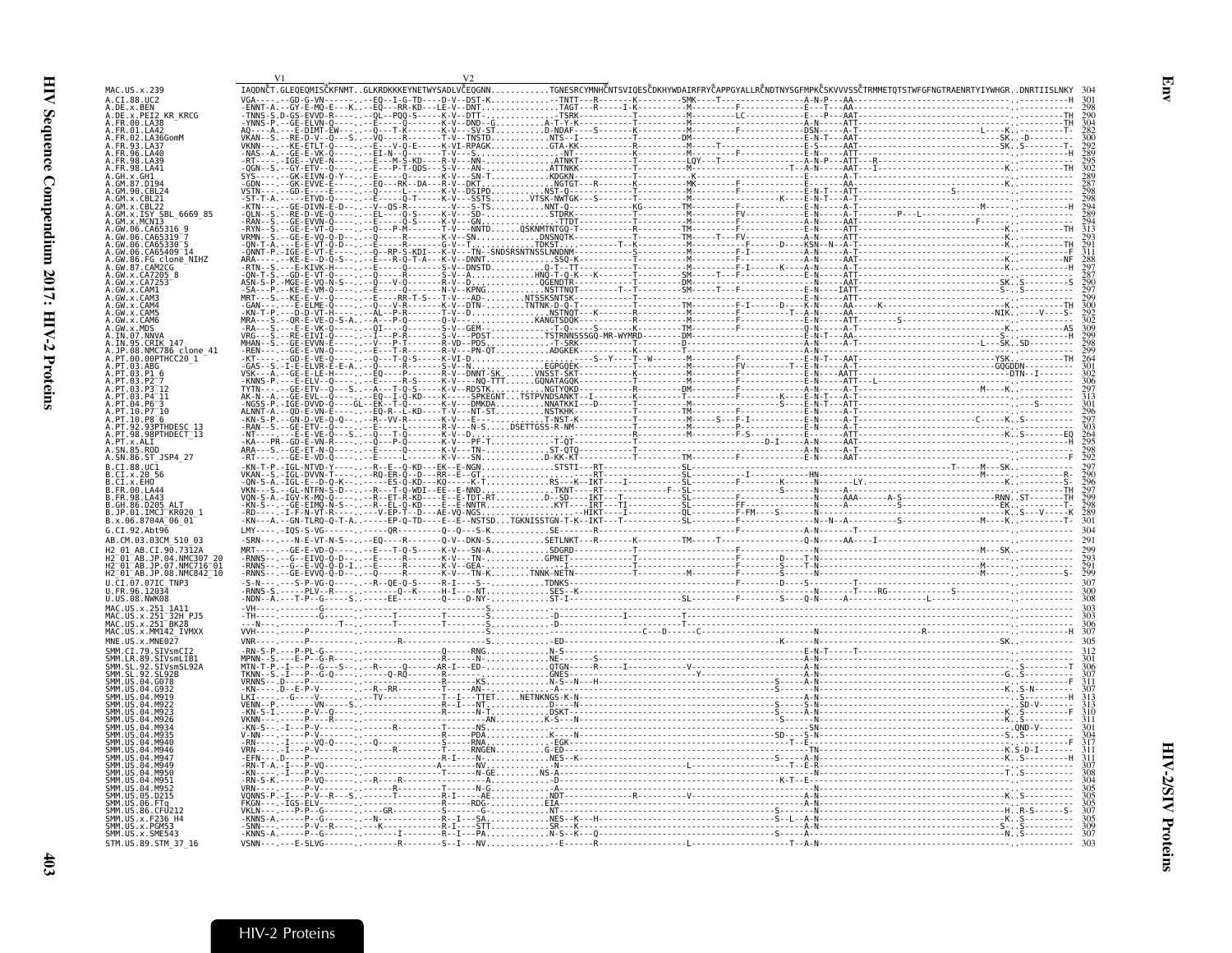<span id="page-26-0"></span>

| MAC.US.x.239<br>A.CI.88.UC2                                                                                                        |  |  |  |  | IAODNČT.GLEOEOMISČKFNMTGLKRDKKKEYNETWYSADLVČEOGNNTGNESRCYMNHČNTSVIOESČDKHYWDAIRFRYČAPPGYALLRČNDTNYSGFMPKČSKVVVSSČTRMMETOTSTWFGFNGTRAENRTYIYWHGRDNRTIISLNKY |  |  |
|------------------------------------------------------------------------------------------------------------------------------------|--|--|--|--|------------------------------------------------------------------------------------------------------------------------------------------------------------|--|--|
| A.DE.x.BEN<br>A.DE.x.PEI2<br><b>KR KRCG</b>                                                                                        |  |  |  |  |                                                                                                                                                            |  |  |
| A.FR.00.LA38<br>A.FR.01.LA42                                                                                                       |  |  |  |  |                                                                                                                                                            |  |  |
| A.FR.02.LA36GomM                                                                                                                   |  |  |  |  |                                                                                                                                                            |  |  |
| <b>FR 93 1 437</b><br>96.1440                                                                                                      |  |  |  |  |                                                                                                                                                            |  |  |
| 98.IA41                                                                                                                            |  |  |  |  |                                                                                                                                                            |  |  |
|                                                                                                                                    |  |  |  |  |                                                                                                                                                            |  |  |
|                                                                                                                                    |  |  |  |  |                                                                                                                                                            |  |  |
| 6669 85                                                                                                                            |  |  |  |  |                                                                                                                                                            |  |  |
| GM x MCNT3<br>.GW.06.CA65316                                                                                                       |  |  |  |  |                                                                                                                                                            |  |  |
| CA65319                                                                                                                            |  |  |  |  |                                                                                                                                                            |  |  |
| GW.06.CA65409 14<br>GW.86.FG clone NIHZ                                                                                            |  |  |  |  |                                                                                                                                                            |  |  |
| GW.87.CAM2CG<br>.x.CA7205                                                                                                          |  |  |  |  |                                                                                                                                                            |  |  |
|                                                                                                                                    |  |  |  |  |                                                                                                                                                            |  |  |
|                                                                                                                                    |  |  |  |  |                                                                                                                                                            |  |  |
| CAM4<br><b>CAME</b>                                                                                                                |  |  |  |  |                                                                                                                                                            |  |  |
| <b>CAMA</b>                                                                                                                        |  |  |  |  |                                                                                                                                                            |  |  |
| . IN . 07 . NNVA<br>A.IN.95.CRIK 147                                                                                               |  |  |  |  |                                                                                                                                                            |  |  |
| NMC786 clone 41<br>00PTHCC20 1                                                                                                     |  |  |  |  |                                                                                                                                                            |  |  |
| . ABG                                                                                                                              |  |  |  |  |                                                                                                                                                            |  |  |
|                                                                                                                                    |  |  |  |  |                                                                                                                                                            |  |  |
|                                                                                                                                    |  |  |  |  |                                                                                                                                                            |  |  |
|                                                                                                                                    |  |  |  |  |                                                                                                                                                            |  |  |
| . pt.92.93PŤHDESC 13<br>.PT.98.98PTHDECT 13                                                                                        |  |  |  |  |                                                                                                                                                            |  |  |
| PT x AIT<br>4. SN.85. ROD                                                                                                          |  |  |  |  |                                                                                                                                                            |  |  |
| A.SN.86.ST JSP4 27                                                                                                                 |  |  |  |  |                                                                                                                                                            |  |  |
|                                                                                                                                    |  |  |  |  |                                                                                                                                                            |  |  |
|                                                                                                                                    |  |  |  |  |                                                                                                                                                            |  |  |
| .CI.x.EHO<br>3. FR.00. LA44                                                                                                        |  |  |  |  |                                                                                                                                                            |  |  |
| . FR . 98 . LA43<br>GH.86.D205.                                                                                                    |  |  |  |  |                                                                                                                                                            |  |  |
| .JP.01.IMČJ <sup>–</sup> KR020 1<br>B.x.06.8704A 06 01                                                                             |  |  |  |  |                                                                                                                                                            |  |  |
|                                                                                                                                    |  |  |  |  |                                                                                                                                                            |  |  |
| AB.CM.03.03CM 510 03<br>AB.CI.90.7312A                                                                                             |  |  |  |  |                                                                                                                                                            |  |  |
|                                                                                                                                    |  |  |  |  |                                                                                                                                                            |  |  |
| H2 <sup>-</sup> 01 <sup>-</sup> AB.JP.07.NMC716 <sup>-</sup> 01<br>H2 <sup>-</sup> 01 <sup>-</sup> AB.JP.08.NMC842 <sup>-</sup> 10 |  |  |  |  |                                                                                                                                                            |  |  |
| U.CI.07.07IC TNP3<br>II FR 96 12034                                                                                                |  |  |  |  |                                                                                                                                                            |  |  |
| U.US.08.NWK08<br>MAC.US.x.251 1A11                                                                                                 |  |  |  |  |                                                                                                                                                            |  |  |
| JS.x.251 <sup>-</sup> 32H PJ5<br>MAC.US.x.251 BK28                                                                                 |  |  |  |  |                                                                                                                                                            |  |  |
| MAC.US.x.MM142 IVMXX                                                                                                               |  |  |  |  |                                                                                                                                                            |  |  |
| MNE.US.x.MNE027<br>SMM.CI.79.SIVsmCI2                                                                                              |  |  |  |  |                                                                                                                                                            |  |  |
| SMM.LR.89.SIVsmLIB1<br>SMM.SL.92.SIVsmSL92<br>.SL.92<br>SIVsmSL92A                                                                 |  |  |  |  |                                                                                                                                                            |  |  |
| $-92$<br>SI 92R                                                                                                                    |  |  |  |  |                                                                                                                                                            |  |  |
|                                                                                                                                    |  |  |  |  |                                                                                                                                                            |  |  |
|                                                                                                                                    |  |  |  |  |                                                                                                                                                            |  |  |
|                                                                                                                                    |  |  |  |  |                                                                                                                                                            |  |  |
|                                                                                                                                    |  |  |  |  |                                                                                                                                                            |  |  |
|                                                                                                                                    |  |  |  |  |                                                                                                                                                            |  |  |
|                                                                                                                                    |  |  |  |  |                                                                                                                                                            |  |  |
|                                                                                                                                    |  |  |  |  |                                                                                                                                                            |  |  |
|                                                                                                                                    |  |  |  |  |                                                                                                                                                            |  |  |
| SMM IIS 86 CEID12<br>SMM.US.x.F236 H4                                                                                              |  |  |  |  |                                                                                                                                                            |  |  |
| SMM.US.x.PGM53<br>SMM.US.x.SME543                                                                                                  |  |  |  |  |                                                                                                                                                            |  |  |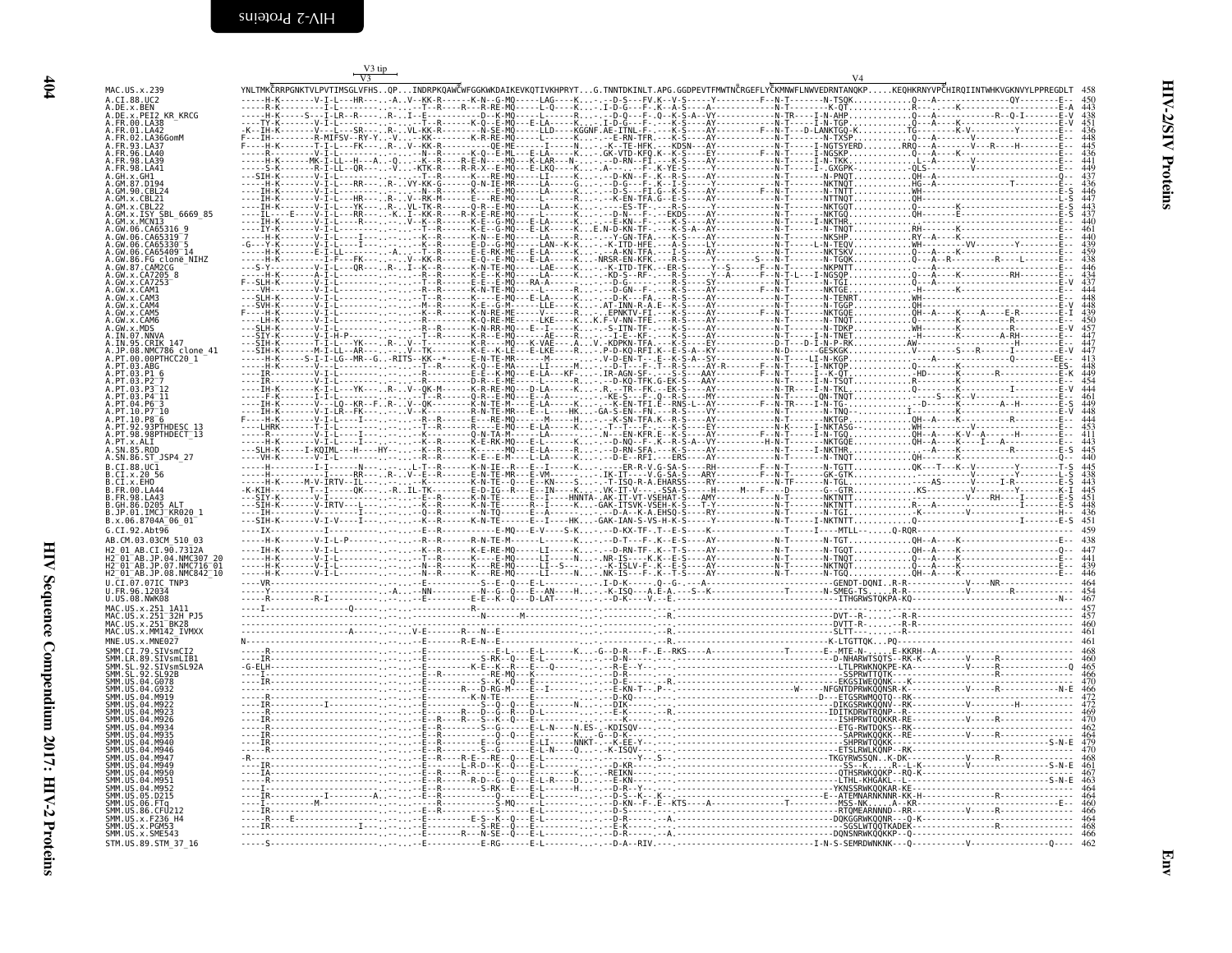| I<br>×<br>۰. |  |
|--------------|--|
|              |  |

<span id="page-27-0"></span>

| MAC. US. x. 239<br>A.CI.88.UC2                                                            |  | YNLTMKČRRPGNKTVLPVTIMSGLVFHSQPINDRPKQAWČWFGGKWKDAIKEVKQTIVKHPRYTG.TNNTDKINLT.APG.GGDPEVTFMWTNČRGEFLYČKMNWFLNWVEDRNTANQKPKEQHKRNYVPČHIRQIINTWHKVGKNVYLPPREGDLT 458 |                                                    |
|-------------------------------------------------------------------------------------------|--|-------------------------------------------------------------------------------------------------------------------------------------------------------------------|----------------------------------------------------|
| A.DE.x.BEN<br>x.PEI2 KR KRCG                                                              |  |                                                                                                                                                                   |                                                    |
| A.FR.00.LA38<br>4.FR.01.LA42<br>02.LA36GomM                                               |  |                                                                                                                                                                   |                                                    |
| 4. FR. 93. LA37<br>FR 96 LA46                                                             |  |                                                                                                                                                                   |                                                    |
| 98.1439<br>98   441                                                                       |  |                                                                                                                                                                   |                                                    |
|                                                                                           |  |                                                                                                                                                                   | $437$<br>$436$<br>$447$<br>$443$<br>$437$<br>$440$ |
|                                                                                           |  |                                                                                                                                                                   |                                                    |
| x.ISY SBL 6669 85<br>x.MCN13<br>.06.CA65316 9                                             |  |                                                                                                                                                                   |                                                    |
|                                                                                           |  |                                                                                                                                                                   |                                                    |
| 06.CA65409 <sup>-</sup> 14                                                                |  |                                                                                                                                                                   |                                                    |
| .GW.87.CAM2CG<br>.GW.x.CA7205 8<br>.GW.x.GA7253                                           |  |                                                                                                                                                                   |                                                    |
|                                                                                           |  |                                                                                                                                                                   |                                                    |
| CAM4<br>. CAM5<br>. CAM6                                                                  |  |                                                                                                                                                                   |                                                    |
| MDS<br>A.IN.07.NNVA                                                                       |  |                                                                                                                                                                   |                                                    |
| 95.CRIK 147<br>.08.NMC786 clone 41                                                        |  |                                                                                                                                                                   |                                                    |
| PT.00.00PTHCC20 1                                                                         |  |                                                                                                                                                                   |                                                    |
|                                                                                           |  |                                                                                                                                                                   |                                                    |
|                                                                                           |  |                                                                                                                                                                   |                                                    |
|                                                                                           |  |                                                                                                                                                                   |                                                    |
| PT.98.98PTHDECT 13<br>PT.X.ALI<br>SN.85.ROD                                               |  |                                                                                                                                                                   |                                                    |
| A.SN.86.ST_JSP4_27<br>R. CT. 88. HC1                                                      |  |                                                                                                                                                                   |                                                    |
| B.CI.x.20 56<br>B.CI.x.EHO                                                                |  |                                                                                                                                                                   |                                                    |
| B.FR.00.LA44<br>B. FR. 98. LA43<br>B.GH.86.D205 ALT                                       |  |                                                                                                                                                                   |                                                    |
| B.JP.01.IMCJ KR020 1<br>B.x.06.8704A <sup>-</sup> 06 01                                   |  |                                                                                                                                                                   |                                                    |
| G.CI.92.Ah <sub>t</sub> 96<br>AB.CM.03.03CM 510 03                                        |  |                                                                                                                                                                   |                                                    |
| 01 AB.CI.90.7312A<br>' 01 AB.JP.04.NMC307 20                                              |  |                                                                                                                                                                   |                                                    |
| "01"AR 1P 07 NMC716"01<br>H2 <sup>-</sup> 01 <sup>-</sup> AB.JP.08.NMC842 <sup>-</sup> 10 |  |                                                                                                                                                                   |                                                    |
| U.CI.07.07IC TNP3<br>FR.96.12034.<br>.US.08.NWK08                                         |  |                                                                                                                                                                   |                                                    |
| MAC.US.x.251_1A11<br>MAC.US.x.251-32H_PJ5<br>MAC.US.x.251-BK28                            |  |                                                                                                                                                                   |                                                    |
| MAC.US.x.MM142 IVMXX                                                                      |  |                                                                                                                                                                   |                                                    |
| MNE.US.x.MNE027<br>SMM.CI.79.SIVsmCI2                                                     |  |                                                                                                                                                                   |                                                    |
| .STVsmLTB1<br>SIVsmSL92/<br>-92                                                           |  |                                                                                                                                                                   |                                                    |
|                                                                                           |  |                                                                                                                                                                   |                                                    |
|                                                                                           |  |                                                                                                                                                                   |                                                    |
|                                                                                           |  |                                                                                                                                                                   |                                                    |
|                                                                                           |  |                                                                                                                                                                   |                                                    |
|                                                                                           |  |                                                                                                                                                                   |                                                    |
|                                                                                           |  |                                                                                                                                                                   |                                                    |
|                                                                                           |  |                                                                                                                                                                   |                                                    |
| JS. x. F236 H4                                                                            |  |                                                                                                                                                                   |                                                    |
| SMM.US.x.SME543                                                                           |  |                                                                                                                                                                   |                                                    |
| STM.US.89.STM 37 16                                                                       |  |                                                                                                                                                                   |                                                    |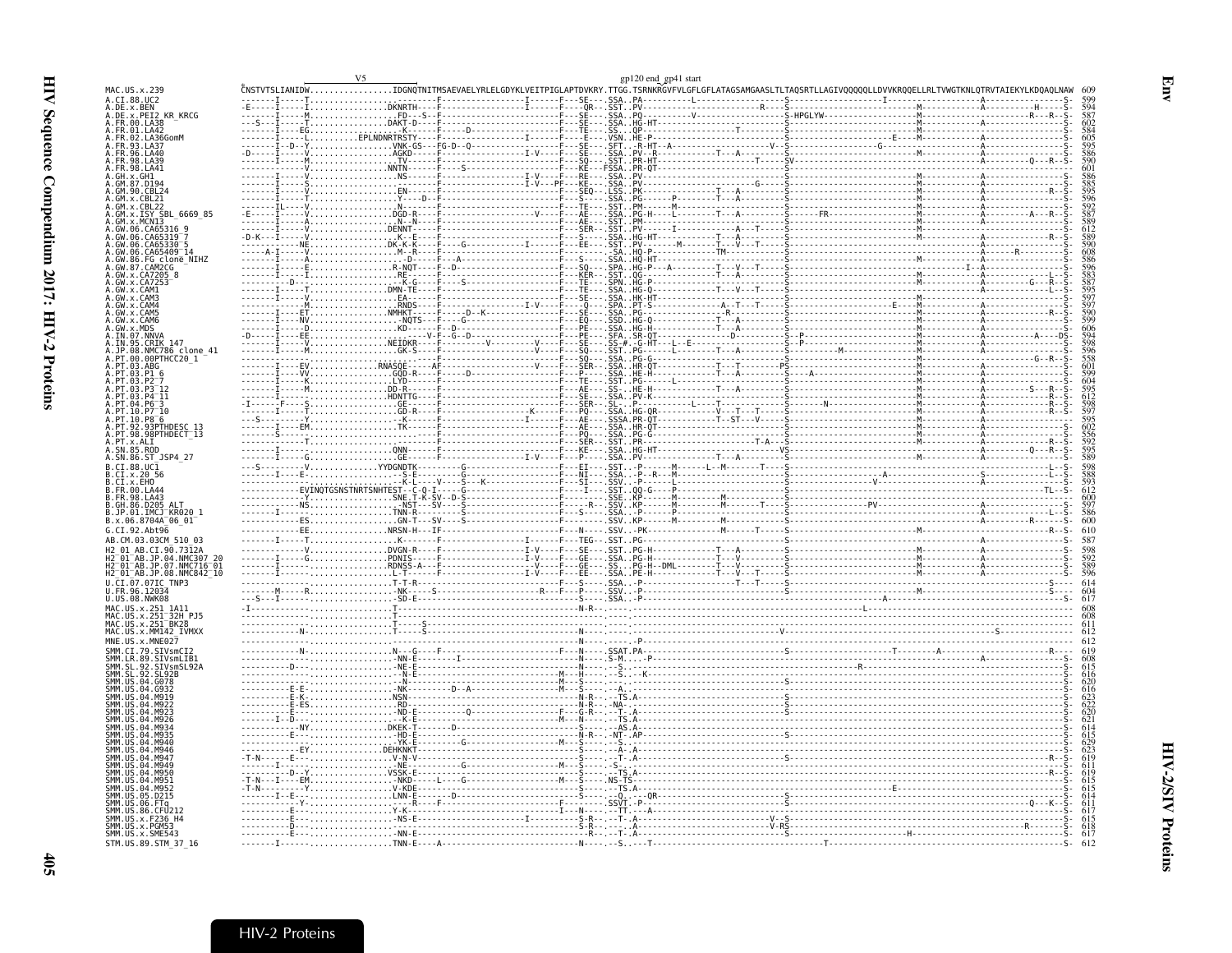<span id="page-28-0"></span>

| .CI.88.UC2                                                                               | .<br>ČNSTVTSLIANID <mark>WIDGNO</mark> TNITMSAEVAELYRLELGDYKLVEITPIGLAPTDVKRY.TTGG.TSRNKRGVFVLGFLGFLATAGSAMGAASLTLTAQSRTLLAGIVQQQQQLLDVVKRQQELLRLTVWGTKNLQTRVTAIEKYLKDQAQLNAW |  |  |  |
|------------------------------------------------------------------------------------------|-------------------------------------------------------------------------------------------------------------------------------------------------------------------------------|--|--|--|
| .DE.x.BEN<br>.DE.x.PEI2_KR_KRCG                                                          |                                                                                                                                                                               |  |  |  |
| .FR.00.LA38<br>FR.01.LA42                                                                |                                                                                                                                                                               |  |  |  |
| <br>.FR.02.LA36GomM                                                                      |                                                                                                                                                                               |  |  |  |
|                                                                                          |                                                                                                                                                                               |  |  |  |
|                                                                                          |                                                                                                                                                                               |  |  |  |
|                                                                                          |                                                                                                                                                                               |  |  |  |
|                                                                                          |                                                                                                                                                                               |  |  |  |
|                                                                                          |                                                                                                                                                                               |  |  |  |
| GM.x.ISY SBL 6669 85                                                                     |                                                                                                                                                                               |  |  |  |
|                                                                                          |                                                                                                                                                                               |  |  |  |
|                                                                                          |                                                                                                                                                                               |  |  |  |
| GW.06.CA65409 <sup>-</sup> 14                                                            |                                                                                                                                                                               |  |  |  |
| GW.86.FG_clone_NIHZ<br>$GW.87.$ $CM2CG$                                                  |                                                                                                                                                                               |  |  |  |
| GW.x.CA7253                                                                              |                                                                                                                                                                               |  |  |  |
|                                                                                          |                                                                                                                                                                               |  |  |  |
|                                                                                          |                                                                                                                                                                               |  |  |  |
| CAM5<br>GW.x.CAM6                                                                        |                                                                                                                                                                               |  |  |  |
| MDS                                                                                      |                                                                                                                                                                               |  |  |  |
| IN.95.CRIK 147                                                                           |                                                                                                                                                                               |  |  |  |
| NMC786 clone 41                                                                          |                                                                                                                                                                               |  |  |  |
| 00PTHCC20 1<br>PT.03.ABG                                                                 |                                                                                                                                                                               |  |  |  |
|                                                                                          |                                                                                                                                                                               |  |  |  |
|                                                                                          |                                                                                                                                                                               |  |  |  |
|                                                                                          |                                                                                                                                                                               |  |  |  |
| PT 10 P8 <sup>-6</sup>                                                                   |                                                                                                                                                                               |  |  |  |
| .93PTHDESC 13                                                                            |                                                                                                                                                                               |  |  |  |
| PT.98.98PTHDECT 13<br>PT.x.ALI                                                           |                                                                                                                                                                               |  |  |  |
| SN.85.ROD                                                                                |                                                                                                                                                                               |  |  |  |
| .SN.86.ST JSP4 27<br>$CT.88.UC\bar{1}$                                                   |                                                                                                                                                                               |  |  |  |
| CI.X.20 56                                                                               |                                                                                                                                                                               |  |  |  |
| FR.00.LA4                                                                                |                                                                                                                                                                               |  |  |  |
| FR.98.LA43<br>GH 86 D205                                                                 |                                                                                                                                                                               |  |  |  |
| .JP.01.IMCJ <sup>-</sup> KR020 1                                                         |                                                                                                                                                                               |  |  |  |
| B.x.06.8704A<br>G.CI.92.Abt96                                                            |                                                                                                                                                                               |  |  |  |
| AB.CM.03.03CM 510 03                                                                     |                                                                                                                                                                               |  |  |  |
| AB.CT.90.7312A                                                                           |                                                                                                                                                                               |  |  |  |
| 01 AB.JP.04.NMC307<br>$01^-$ AB.JP.07.NMC716 $^-$ 01 $^-$                                |                                                                                                                                                                               |  |  |  |
| H2_01_AB.JP.08.NMC842_10                                                                 |                                                                                                                                                                               |  |  |  |
| CI.07.07IC TNP3<br>96.12034                                                              |                                                                                                                                                                               |  |  |  |
| U.US.08.NWK08                                                                            |                                                                                                                                                                               |  |  |  |
| MAC.US.x.251_1A11<br>MAC.US.x.251 <sup>-</sup> 32H_PJ5<br>MAC.US.x.251 <sup>-</sup> BK28 |                                                                                                                                                                               |  |  |  |
|                                                                                          |                                                                                                                                                                               |  |  |  |
| MAC.US.x.MM142 IVMXX<br>MNE.US.x.MNE027                                                  |                                                                                                                                                                               |  |  |  |
|                                                                                          |                                                                                                                                                                               |  |  |  |
| SMM.LR.89.SIVsmLIB1<br>SMM.SL.92.SIVsmSL92A                                              |                                                                                                                                                                               |  |  |  |
|                                                                                          |                                                                                                                                                                               |  |  |  |
|                                                                                          |                                                                                                                                                                               |  |  |  |
|                                                                                          |                                                                                                                                                                               |  |  |  |
|                                                                                          |                                                                                                                                                                               |  |  |  |
|                                                                                          |                                                                                                                                                                               |  |  |  |
|                                                                                          |                                                                                                                                                                               |  |  |  |
|                                                                                          |                                                                                                                                                                               |  |  |  |
|                                                                                          |                                                                                                                                                                               |  |  |  |
|                                                                                          |                                                                                                                                                                               |  |  |  |
|                                                                                          |                                                                                                                                                                               |  |  |  |
|                                                                                          |                                                                                                                                                                               |  |  |  |
|                                                                                          |                                                                                                                                                                               |  |  |  |
| .x.F236 H4<br>MM.US.x.PGM53                                                              |                                                                                                                                                                               |  |  |  |
|                                                                                          |                                                                                                                                                                               |  |  |  |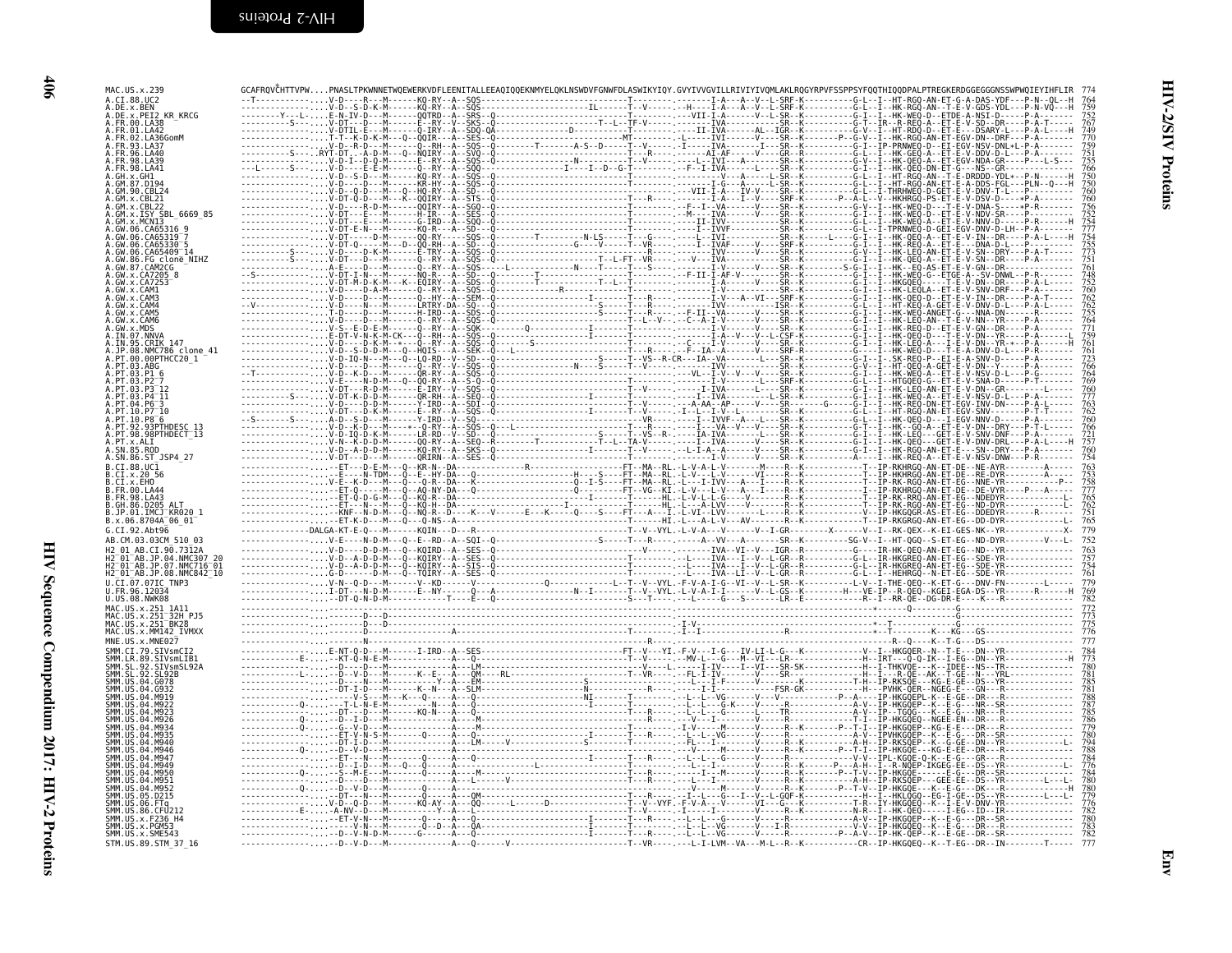| A.CI.88.UC2<br>A.DE.x.BEN<br>A.DE.X.PEI2 KR KRCG                                        |  |  |  |
|-----------------------------------------------------------------------------------------|--|--|--|
| A.FR.00.LA38<br>A.FR.01.LA42                                                            |  |  |  |
| A.FR.02.LA36GomM<br>4.FR.93.LA37                                                        |  |  |  |
| FR.96.LA40<br>.FR.98.LA39<br>A.FR.98.LA41                                               |  |  |  |
| A.GH.x.GH1<br>A.GM.87.D194                                                              |  |  |  |
| GM.90.CBL24                                                                             |  |  |  |
| .GM.x.CBL22<br>GM.X.ISY SBL_6669_85<br>A.GM.x.MCN13<br>A.GW.06.CA65316_9                |  |  |  |
| A.GW.06.CA65319 <sup>-</sup> 7                                                          |  |  |  |
| 4.GW.06.CA65330 <sup>-</sup><br>4.GW.06.CA65409 <sup>-</sup> 14                         |  |  |  |
| A. GW. 86. FG clone_NIHZ<br>A. GW. 87. CAM2CG<br>A. GW. x. CA7205_8<br>A. GW. x. CA7253 |  |  |  |
| A.GW.x.CAM1                                                                             |  |  |  |
| .GW.x.CAM3<br>A.GW.x.CAM4                                                               |  |  |  |
| A.GW.x.CAM5<br>4. GW. x. CAM6<br>A.GW.x.MDS                                             |  |  |  |
| A.IN.07.NNVA<br>A.IN.95.CRIK 147                                                        |  |  |  |
| A.JP.08.NMC786 clone 41<br>.PT.00.00PTHCC20 1                                           |  |  |  |
| .PT.03.ABG<br>∖.PT.03.P1 6                                                              |  |  |  |
| PT 03 P2<br>$1.9T.03.93^{-12}$<br>$.PT.03.P4^-11$                                       |  |  |  |
| PT.04.P6 <sup>-</sup> 3<br>PT.10.P7 <sup>-10</sup>                                      |  |  |  |
| .PT.10.P8 <sup>-</sup> 6<br>A.PT.92.93PTHDESC_13<br>A.PT.98.98PTHDECT_13                |  |  |  |
| A.PT.x.ALI<br>A.SN.85.ROD                                                               |  |  |  |
| A.SN.86.ST JSP4 27<br>B.CI.88.UC1                                                       |  |  |  |
| B.CI.x.20 56<br>B.CI.x.EHO                                                              |  |  |  |
| B.FR.00.LA44<br>B.FR.98.LA43                                                            |  |  |  |
| B.GH.86.D205 ALT<br>B.JP.01.IMCJ KR020_1<br>B.x.06.8704A 06_01                          |  |  |  |
| G.CI.92.Abt96                                                                           |  |  |  |
| AB.CM.03.03CM 510 03<br>H2 01 AB.CI.90.7312A                                            |  |  |  |
| H2-01-AB.JP.04.NMC307_20<br>H2-01-AB.JP.07.NMC716-01<br>H2-01-AB.JP.08.NMC842_10        |  |  |  |
| U.CI.07.07IC TNP3<br>U.FR.96.12034                                                      |  |  |  |
| U.US.08.NWK08                                                                           |  |  |  |
| MAC.US.x.251_1A11<br>MAC.US.x.251 <sup>-</sup> 32H_PJ5<br>MAC.US.x.251-BK28             |  |  |  |
| MAC.US.x.MM142 IVMXX<br>MNE.US.x.MNE027                                                 |  |  |  |
| SMM.CI.79.SIVsmCI2                                                                      |  |  |  |
| SMM.LR.89.SIVSmLIB1<br>SMM.SL.92.SIVsmSL92A<br>SMM.SL.92.SL92B                          |  |  |  |
| SMM. US. 04. G078<br>SMM.US.04.G932<br>SMM.US.04.M919                                   |  |  |  |
| SMM.US.04.M922<br>SMM IIS 04 M923                                                       |  |  |  |
| SMM.US.04.M926<br>MM.US.04.M934                                                         |  |  |  |
| SMM.US.04.M935<br>SMM.US.04.M940<br>SMM.US.04.M946                                      |  |  |  |
| SMM.US.04.M947<br>SMM IIS 04 M949                                                       |  |  |  |
| SMM. US. 04. M950<br>SMM.US.04.M951                                                     |  |  |  |
| SMM.US.04.M952<br>SMM.US.05.D215                                                        |  |  |  |
| ŠMM.US.06.FTq<br>SMM.US.86.CFU212<br>SMM. US. x. F236_H4                                |  |  |  |
| SMM.US.x.PGM53<br>SMM.US.x.SME543                                                       |  |  |  |
| STM.US.89.STM_37_16                                                                     |  |  |  |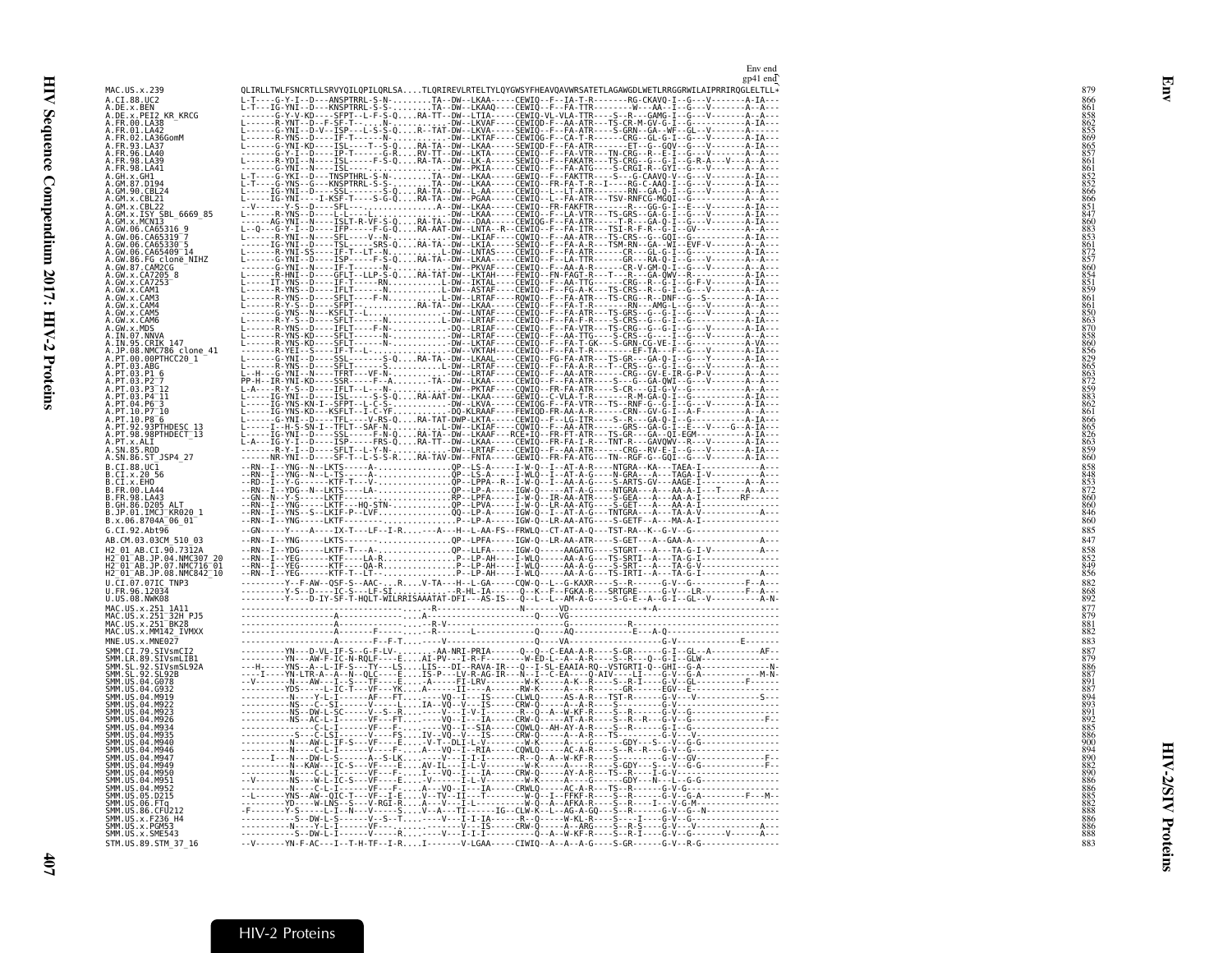|                                                                                                              | Env end<br>gp41 end |
|--------------------------------------------------------------------------------------------------------------|---------------------|
| MAC.US.x.239                                                                                                 |                     |
| A.CI.88.UC2                                                                                                  |                     |
| A.DE.X.BEN<br>A.DE.X.PEI2 KR_KRCG<br>A.FR.00.LA38<br>A.FR.01.LA42                                            |                     |
| A.FR.02.LA36GomM                                                                                             |                     |
| A.FR.93.LA37                                                                                                 |                     |
| A.FR.96.LA40<br>A.FR.98.LA39                                                                                 |                     |
| A. FR. 98. LA41<br>A.GH.x.GH1                                                                                |                     |
| A.GM.87.D194<br>A.GM.90.CBL24                                                                                |                     |
| A.GM.x.CBL21                                                                                                 |                     |
| A.GM.X.CBL22<br>A.GM.X.ISY SBL_6669_85<br>A.GM.X.MCNI3                                                       |                     |
|                                                                                                              |                     |
| A.GW.06.CA65316 9<br>A.GW.06.CA65319 7<br>A.GW.06.CA65330                                                    |                     |
| A.GW.06.CA65409 14                                                                                           |                     |
| A.GW.86.FG clone_NIHZ<br>A.GW.87.CAM2CG<br>A.GW.x.CA7205_8<br>A.GW.x.CA7205_8                                |                     |
|                                                                                                              |                     |
| A.GW.x.CAM1<br>A.GW.x.CAM3                                                                                   |                     |
| A.GW.x.CAM4<br>A.GW.x.CAM5                                                                                   |                     |
| A.GW.X.CAM6<br>A.GW.X.MDS                                                                                    |                     |
| A.IN.07.NNVA                                                                                                 |                     |
| A.IN.95.CRIK 147<br>A.JP.08.NMC786_clone_41                                                                  |                     |
| A.PT.00.00PTHCC20 1<br>A.PT.03.ABG                                                                           |                     |
| A.PT.03.P1 6                                                                                                 |                     |
| A.PT.03.P2<br>A.PT.03.P3 <sup>-12</sup>                                                                      |                     |
| A.PT.03.P4 <sup>-11</sup><br>A.PT.04.P6 <sup>-3</sup>                                                        |                     |
| A.PT.10.P7 10<br>A.PT.10.P8 <sup>-6</sup>                                                                    |                     |
| A.PT.92.93PTHDESC_13<br>A.PT.98.98PTHDECT_13                                                                 |                     |
| A.PT.x.ALI<br>A.SN.85.ROD                                                                                    |                     |
| A.SN.86.ST_JSP4_27                                                                                           |                     |
| B.CI.88.UC1                                                                                                  |                     |
| B.CI.x.20 56<br>B.CI.x.EHO<br>B.FR.00.LA44<br>B.FR.98.LA43                                                   |                     |
|                                                                                                              |                     |
| B.GH.86.D205 ALT<br>B.JP.01.IMCJ KR020 1                                                                     |                     |
| B.x.06.8704A 06 01                                                                                           |                     |
| G.CI.92.Abt96<br>AB.CM.03.03CM 510 03                                                                        |                     |
| H2 01 AB.CI.90.7312A                                                                                         |                     |
| H2 01 AB.JP.04.NMC307 20<br>H2 01 AB.JP.07.NMC716 01<br>H2 01 AB.JP.07.NMC716 01<br>H2 01 AB.JP.08.NMC842 10 |                     |
| $\overline{0}$ . $\overline{0}$ I. $\overline{0}$ Z. $\overline{0}$ ZIC_TNP3                                 |                     |
| U.FR.96.12034<br>U.US.08.NWK08                                                                               |                     |
| MAC.US.x.251 1A11                                                                                            |                     |
| MAC.US.x.251-32H PJ5<br>MAC.US.x.251-BK28                                                                    |                     |
| MAC.US.X.MM142 IVMXX                                                                                         |                     |
| MNE.US.x.MNE027<br>SMM.CI.79.SIVsmCI2                                                                        |                     |
| SMM.LR.89.SIVSmLIB1<br>SMM.SL.92.SIVSmLIB1<br>SMM.SL.92.SL92B                                                |                     |
|                                                                                                              |                     |
| SMM. US. 04. 6078<br>SMM. US. 04. 6932                                                                       |                     |
| SMM.US.04.M919<br>SMM. US.04.M922                                                                            |                     |
| SMM. US.04.M923<br>SMM.US.04.M926                                                                            |                     |
| SMM. US.04.M934                                                                                              |                     |
| SMM.US.04.M935<br>SMM.US.04.M940                                                                             |                     |
| SMM.US.04.M946<br>SMM. US.04.M947                                                                            |                     |
| SMM.US.04.M949<br>SMM.US.04.M950                                                                             |                     |
| SMM.US.04.M951<br>SMM.US.04.M952                                                                             |                     |
| SMM.US.05.D215                                                                                               |                     |
| SMM.US.06.FTg<br>SMM.US.86.CFU212                                                                            |                     |
| SMM.US.x.F236_H4<br>SMM. U.S. x. PGM53                                                                       |                     |
| SMM.US.x.SME543                                                                                              |                     |
| STM.US.89.STM 37 16                                                                                          |                     |

<span id="page-30-0"></span>Env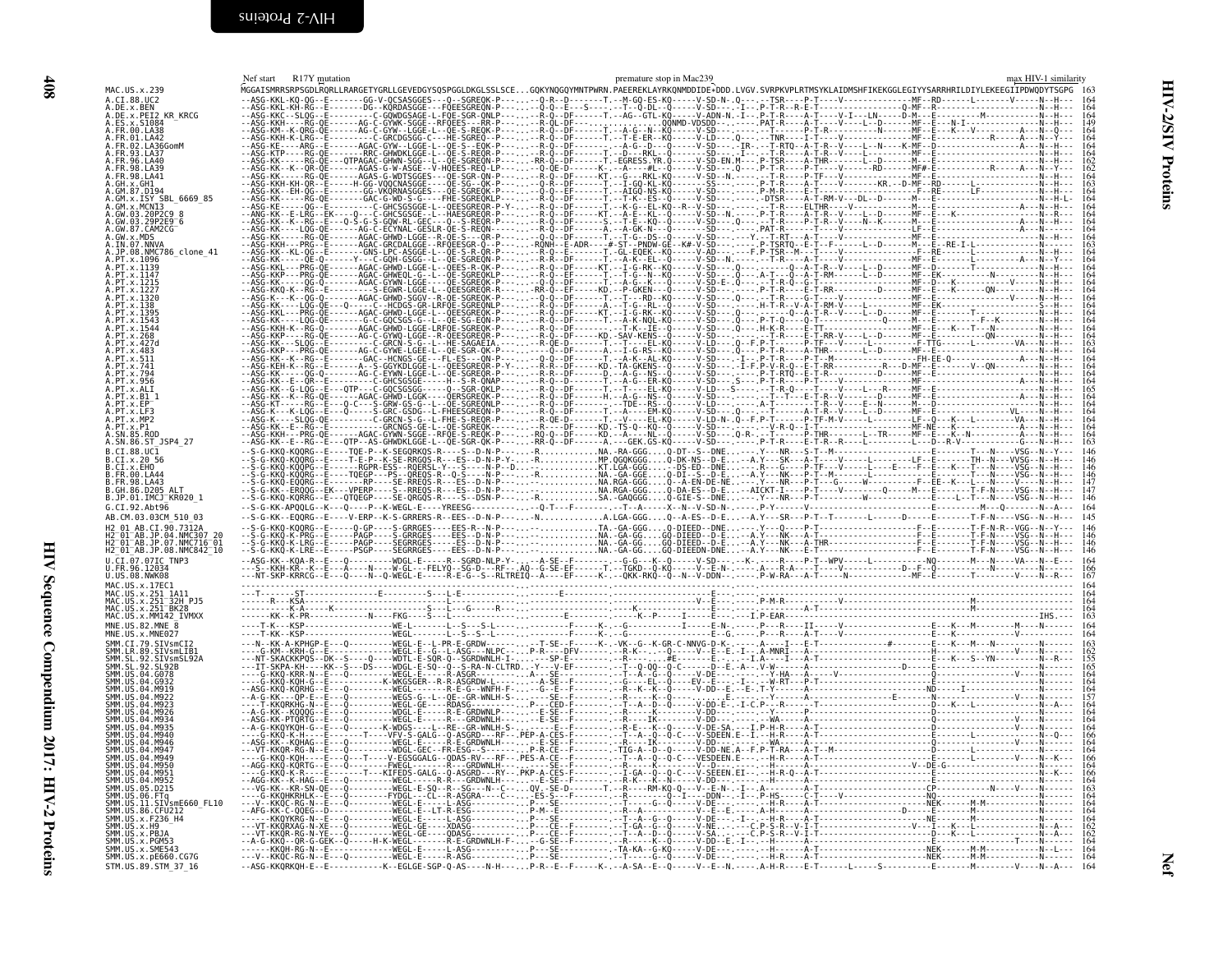<span id="page-31-1"></span><span id="page-31-0"></span>

|                                                      | Nef start R17Y mutation | premature stop in Mac239                                                                                                                                                    | max HIV-1 similarity |
|------------------------------------------------------|-------------------------|-----------------------------------------------------------------------------------------------------------------------------------------------------------------------------|----------------------|
| MAC.US.x.239                                         |                         | MGGAISMRRSRPSGDLRQRLLRARGETYGRLLGEVEDGYSQSPGGLDKGLSSLSCEGQKYNQGQYMNTPWRN.PAEEREKLAYRKQNMDDIDE*DDD.LVGV.SVRPKVPLRTMSYKLAIDMSHFIKEKGGLEGIYYSARRHRILDIYLEKEEGIIPDWQDYTSGPG 163 |                      |
| A.CI.88.UC2<br>A.DE.x.BEN                            |                         |                                                                                                                                                                             |                      |
| A.DE.x.PEI2 KR KRCG                                  |                         |                                                                                                                                                                             |                      |
| ES.x.S1084<br>.FR.00.LA38                            |                         |                                                                                                                                                                             |                      |
| FR 01 1 A42<br>A.FR.02.LA36GomM                      |                         |                                                                                                                                                                             |                      |
|                                                      |                         |                                                                                                                                                                             |                      |
|                                                      |                         |                                                                                                                                                                             |                      |
| .FR.98.LA41                                          |                         |                                                                                                                                                                             |                      |
| A.GM.87.D194<br>A.GM.x.ISY SBL 6669 85               |                         |                                                                                                                                                                             |                      |
| .GM.x.MCNI3                                          |                         |                                                                                                                                                                             |                      |
| GW.03.20P2C9 8<br>A.GW.03.29P2E9 <sup>-</sup> 6      |                         |                                                                                                                                                                             |                      |
| A.GW.87.CAM2CG<br>A.GW.x.MDS                         |                         |                                                                                                                                                                             |                      |
|                                                      |                         |                                                                                                                                                                             |                      |
| .JP.08.NMC786 clone 41                               |                         |                                                                                                                                                                             |                      |
|                                                      |                         |                                                                                                                                                                             |                      |
|                                                      |                         |                                                                                                                                                                             |                      |
|                                                      |                         |                                                                                                                                                                             |                      |
|                                                      |                         |                                                                                                                                                                             |                      |
|                                                      |                         |                                                                                                                                                                             |                      |
|                                                      |                         |                                                                                                                                                                             |                      |
|                                                      |                         |                                                                                                                                                                             |                      |
|                                                      |                         |                                                                                                                                                                             |                      |
|                                                      |                         |                                                                                                                                                                             |                      |
|                                                      |                         |                                                                                                                                                                             |                      |
|                                                      |                         |                                                                                                                                                                             |                      |
|                                                      |                         |                                                                                                                                                                             |                      |
|                                                      |                         |                                                                                                                                                                             |                      |
|                                                      |                         |                                                                                                                                                                             |                      |
| A.SN.86.ST_JSP4 27<br>B.CI.88.UC1                    |                         |                                                                                                                                                                             |                      |
| B.CI.x.20 56                                         |                         |                                                                                                                                                                             |                      |
|                                                      |                         |                                                                                                                                                                             |                      |
|                                                      |                         |                                                                                                                                                                             |                      |
| B.JP.01.IMCJ KR020 1                                 |                         |                                                                                                                                                                             |                      |
| G.CI.92.Ah <sub>t</sub> 96                           |                         |                                                                                                                                                                             |                      |
| AB.CM.03.03CM 510 03<br>H2 01 AB.CI.90.7312A         |                         |                                                                                                                                                                             |                      |
| H2-01-AB.JP.04.NMC307_20<br>H2-01-AB.JP.07.NMC716-01 |                         |                                                                                                                                                                             |                      |
| H2_01_AB.JP.08.NMC842_10                             |                         |                                                                                                                                                                             |                      |
| U.CI.07.07IC TNP3                                    |                         |                                                                                                                                                                             |                      |
| U.FR.96.12034<br>U.US.08.NWK08                       |                         |                                                                                                                                                                             |                      |
| MAC.US.x.17EC1                                       |                         |                                                                                                                                                                             |                      |
| MAC.US.x.251 1A11<br>MAC.US.x.251 32H PJ5            |                         |                                                                                                                                                                             |                      |
| MAC.US.x.MM142 IVMXX                                 |                         |                                                                                                                                                                             |                      |
| MNE.US.82.MNE $\overline{8}$                         |                         |                                                                                                                                                                             |                      |
| MNE.US.x.MNE027<br>SMM.CI.79.SIVsmCI2                |                         |                                                                                                                                                                             |                      |
| LR.89.SIVsmLIB1                                      |                         |                                                                                                                                                                             |                      |
|                                                      |                         |                                                                                                                                                                             |                      |
| SMM.US.04.G078                                       |                         |                                                                                                                                                                             |                      |
|                                                      |                         |                                                                                                                                                                             |                      |
|                                                      |                         |                                                                                                                                                                             |                      |
|                                                      |                         |                                                                                                                                                                             |                      |
|                                                      |                         |                                                                                                                                                                             |                      |
|                                                      |                         |                                                                                                                                                                             |                      |
|                                                      |                         |                                                                                                                                                                             |                      |
| A4 MQ5A                                              |                         |                                                                                                                                                                             |                      |
|                                                      |                         |                                                                                                                                                                             |                      |
| SMM.US.05.D215                                       |                         |                                                                                                                                                                             |                      |
| SMM.US.11.SIVsmE660_FL10<br>86.CFU212                |                         |                                                                                                                                                                             |                      |
| SMM.US.x.F236 H4                                     |                         |                                                                                                                                                                             |                      |
| SMM.US.x.H9<br>$US \times PBA$                       |                         |                                                                                                                                                                             |                      |
| SMM.US.x.PGM!<br>SMM.US.x.SME543                     |                         |                                                                                                                                                                             |                      |
| SMM. US. x. pE660. CG7G                              |                         |                                                                                                                                                                             |                      |
| STM.US.89.STM 37 16                                  |                         |                                                                                                                                                                             |                      |